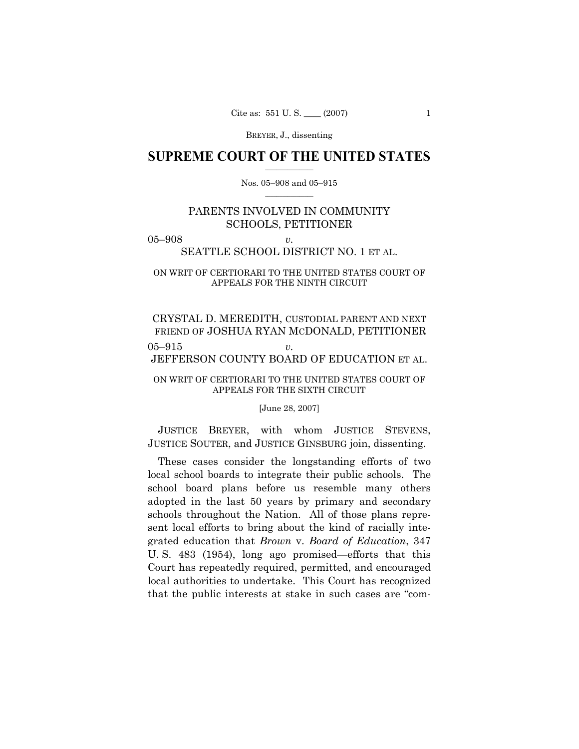## **SUPREME COURT OF THE UNITED STATES**  $\frac{1}{2}$  ,  $\frac{1}{2}$  ,  $\frac{1}{2}$  ,  $\frac{1}{2}$  ,  $\frac{1}{2}$  ,  $\frac{1}{2}$  ,  $\frac{1}{2}$

#### Nos. 05-908 and 05-915  $\mathcal{L}=\mathcal{L}$

## PARENTS INVOLVED IN COMMUNITY SCHOOLS, PETITIONER

## 05–908 *v.*

# SEATTLE SCHOOL DISTRICT NO. 1 ET AL.

## ON WRIT OF CERTIORARI TO THE UNITED STATES COURT OF APPEALS FOR THE NINTH CIRCUIT

# CRYSTAL D. MEREDITH, CUSTODIAL PARENT AND NEXT FRIEND OF JOSHUA RYAN MCDONALD, PETITIONER  $05-915$  *v.*

# JEFFERSON COUNTY BOARD OF EDUCATION ET AL.

## ON WRIT OF CERTIORARI TO THE UNITED STATES COURT OF APPEALS FOR THE SIXTH CIRCUIT

#### [June 28, 2007]

 JUSTICE BREYER, with whom JUSTICE STEVENS, JUSTICE SOUTER, and JUSTICE GINSBURG join, dissenting.

 These cases consider the longstanding efforts of two local school boards to integrate their public schools. The school board plans before us resemble many others adopted in the last 50 years by primary and secondary schools throughout the Nation. All of those plans represent local efforts to bring about the kind of racially integrated education that *Brown* v. *Board of Education*, 347 U. S.  $483$  (1954), long ago promised—efforts that this Court has repeatedly required, permitted, and encouraged local authorities to undertake. This Court has recognized that the public interests at stake in such cases are "com-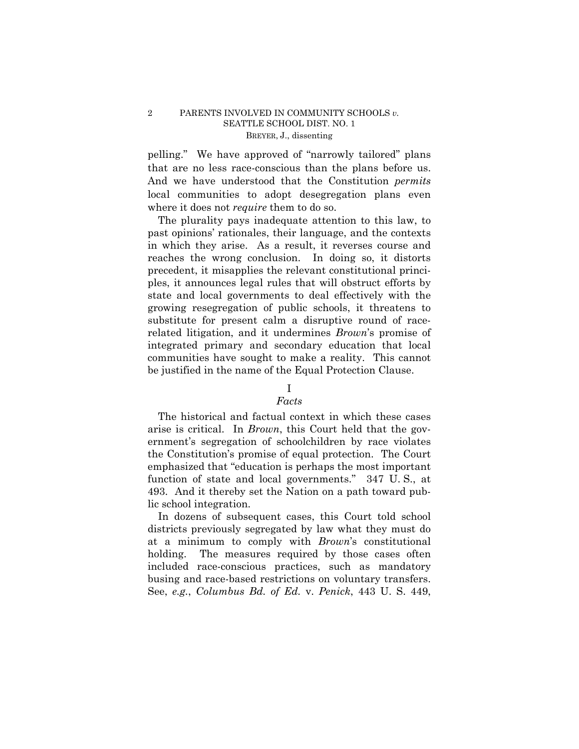pelling." We have approved of "narrowly tailored" plans that are no less race-conscious than the plans before us. And we have understood that the Constitution *permits* local communities to adopt desegregation plans even where it does not *require* them to do so.

 The plurality pays inadequate attention to this law, to past opinionsí rationales, their language, and the contexts in which they arise. As a result, it reverses course and reaches the wrong conclusion. In doing so, it distorts precedent, it misapplies the relevant constitutional principles, it announces legal rules that will obstruct efforts by state and local governments to deal effectively with the growing resegregation of public schools, it threatens to substitute for present calm a disruptive round of racerelated litigation, and it undermines *Brown*ís promise of integrated primary and secondary education that local communities have sought to make a reality. This cannot be justified in the name of the Equal Protection Clause.

# I

## *Facts*

 The historical and factual context in which these cases arise is critical. In *Brown*, this Court held that the government's segregation of schoolchildren by race violates the Constitutionís promise of equal protection. The Court emphasized that "education is perhaps the most important function of state and local governments." 347 U.S., at 493. And it thereby set the Nation on a path toward public school integration.

 In dozens of subsequent cases, this Court told school districts previously segregated by law what they must do at a minimum to comply with *Brown*ís constitutional holding. The measures required by those cases often included race-conscious practices, such as mandatory busing and race-based restrictions on voluntary transfers. See, *e.g.*, *Columbus Bd. of Ed.* v. *Penick*, 443 U. S. 449,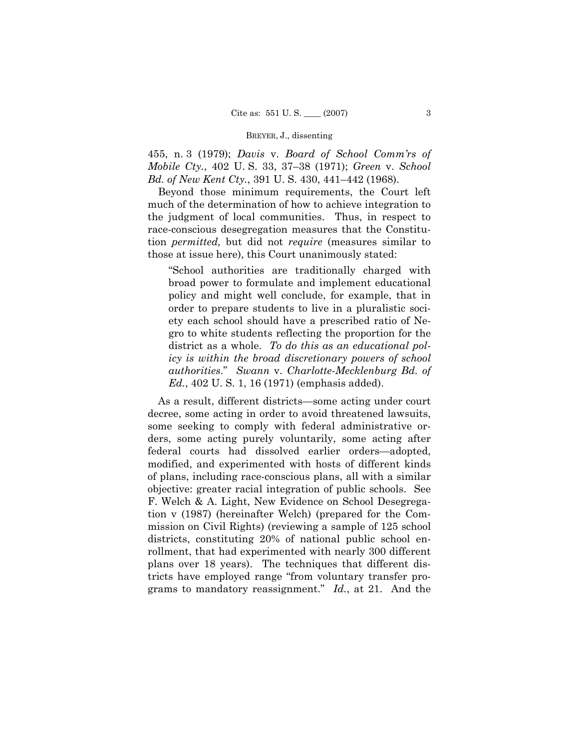455, n. 3 (1979); *Davis* v. *Board of School Commírs of Mobile Cty., 402 U.S. 33, 37–38 (1971); Green v. School Bd. of New Kent Cty.*, 391 U.S. 430, 441–442 (1968).

 Beyond those minimum requirements, the Court left much of the determination of how to achieve integration to the judgment of local communities. Thus, in respect to race-conscious desegregation measures that the Constitution *permitted,* but did not *require* (measures similar to those at issue here), this Court unanimously stated:

ìSchool authorities are traditionally charged with broad power to formulate and implement educational policy and might well conclude, for example, that in order to prepare students to live in a pluralistic society each school should have a prescribed ratio of Negro to white students reflecting the proportion for the district as a whole. *To do this as an educational policy is within the broad discretionary powers of school authorities*.î *Swann* v. *Charlotte-Mecklenburg Bd. of Ed.*, 402 U. S. 1, 16 (1971) (emphasis added).

As a result, different districts—some acting under court decree, some acting in order to avoid threatened lawsuits, some seeking to comply with federal administrative orders, some acting purely voluntarily, some acting after federal courts had dissolved earlier orders—adopted, modified, and experimented with hosts of different kinds of plans, including race-conscious plans, all with a similar objective: greater racial integration of public schools. See F. Welch & A. Light, New Evidence on School Desegregation v (1987) (hereinafter Welch) (prepared for the Commission on Civil Rights) (reviewing a sample of 125 school districts, constituting 20% of national public school enrollment, that had experimented with nearly 300 different plans over 18 years). The techniques that different districts have employed range "from voluntary transfer programs to mandatory reassignment.î *Id.*, at 21. And the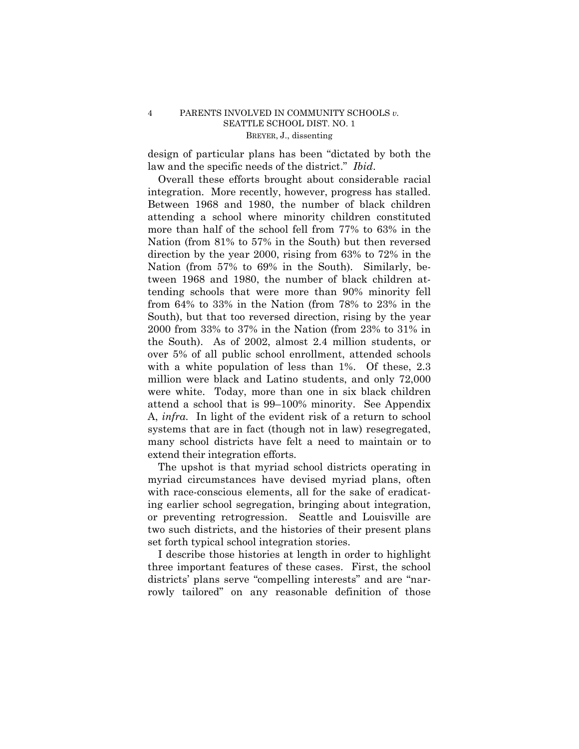design of particular plans has been "dictated by both the law and the specific needs of the district." *Ibid*.

 Overall these efforts brought about considerable racial integration. More recently, however, progress has stalled. Between 1968 and 1980, the number of black children attending a school where minority children constituted more than half of the school fell from 77% to 63% in the Nation (from 81% to 57% in the South) but then reversed direction by the year 2000, rising from 63% to 72% in the Nation (from 57% to 69% in the South). Similarly, between 1968 and 1980, the number of black children attending schools that were more than 90% minority fell from 64% to 33% in the Nation (from 78% to 23% in the South), but that too reversed direction, rising by the year 2000 from 33% to 37% in the Nation (from 23% to 31% in the South). As of 2002, almost 2.4 million students, or over 5% of all public school enrollment, attended schools with a white population of less than 1%. Of these, 2.3 million were black and Latino students, and only 72,000 were white. Today, more than one in six black children attend a school that is 99–100% minority. See Appendix A, *infra.* In light of the evident risk of a return to school systems that are in fact (though not in law) resegregated, many school districts have felt a need to maintain or to extend their integration efforts.

 The upshot is that myriad school districts operating in myriad circumstances have devised myriad plans, often with race-conscious elements, all for the sake of eradicating earlier school segregation, bringing about integration, or preventing retrogression. Seattle and Louisville are two such districts, and the histories of their present plans set forth typical school integration stories.

 I describe those histories at length in order to highlight three important features of these cases. First, the school districts' plans serve "compelling interests" and are "narrowly tailored" on any reasonable definition of those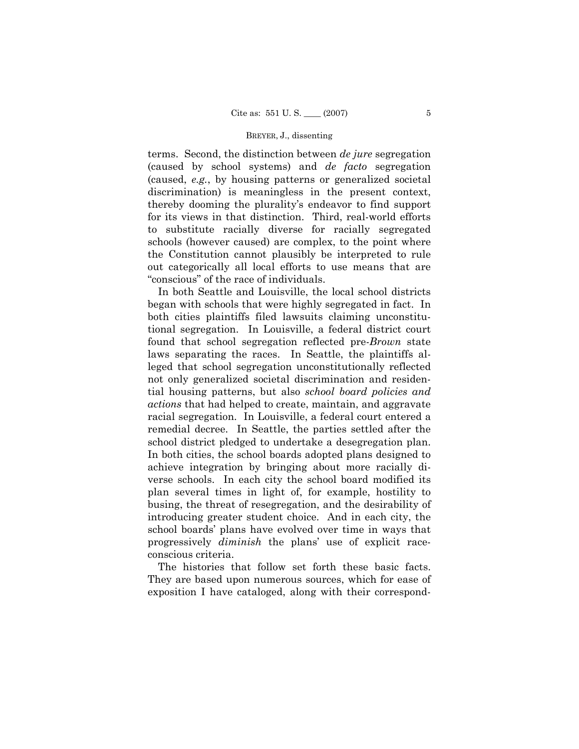terms. Second, the distinction between *de jure* segregation (caused by school systems) and *de facto* segregation (caused, *e.g.*, by housing patterns or generalized societal discrimination) is meaningless in the present context, thereby dooming the pluralityís endeavor to find support for its views in that distinction. Third, real-world efforts to substitute racially diverse for racially segregated schools (however caused) are complex, to the point where the Constitution cannot plausibly be interpreted to rule out categorically all local efforts to use means that are "conscious" of the race of individuals.

 In both Seattle and Louisville, the local school districts began with schools that were highly segregated in fact. In both cities plaintiffs filed lawsuits claiming unconstitutional segregation. In Louisville, a federal district court found that school segregation reflected pre-*Brown* state laws separating the races. In Seattle, the plaintiffs alleged that school segregation unconstitutionally reflected not only generalized societal discrimination and residential housing patterns, but also *school board policies and actions* that had helped to create, maintain, and aggravate racial segregation. In Louisville, a federal court entered a remedial decree. In Seattle, the parties settled after the school district pledged to undertake a desegregation plan. In both cities, the school boards adopted plans designed to achieve integration by bringing about more racially diverse schools. In each city the school board modified its plan several times in light of, for example, hostility to busing, the threat of resegregation, and the desirability of introducing greater student choice. And in each city, the school boards' plans have evolved over time in ways that progressively *diminish* the plans' use of explicit raceconscious criteria.

 The histories that follow set forth these basic facts. They are based upon numerous sources, which for ease of exposition I have cataloged, along with their correspond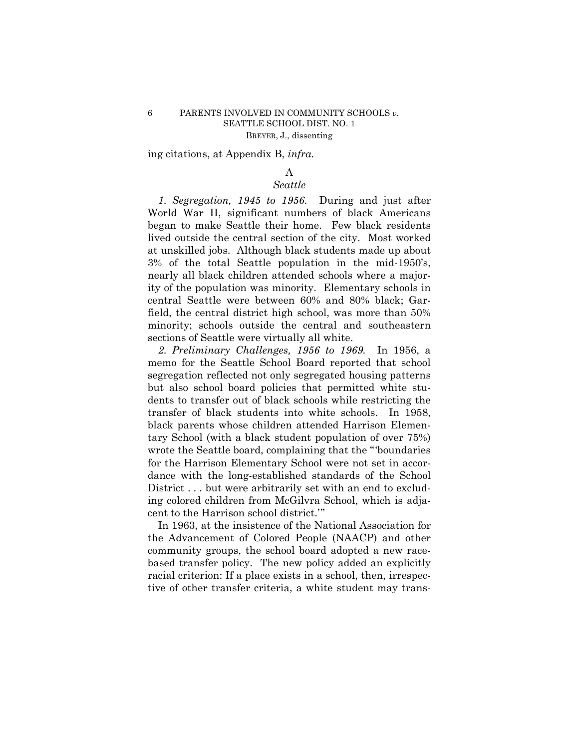ing citations, at Appendix B, *infra.*

# A

# *Seattle*

*1. Segregation, 1945 to 1956.* During and just after World War II, significant numbers of black Americans began to make Seattle their home. Few black residents lived outside the central section of the city. Most worked at unskilled jobs. Although black students made up about 3% of the total Seattle population in the mid-1950ís, nearly all black children attended schools where a majority of the population was minority. Elementary schools in central Seattle were between 60% and 80% black; Garfield, the central district high school, was more than 50% minority; schools outside the central and southeastern sections of Seattle were virtually all white.

*2. Preliminary Challenges, 1956 to 1969.* In 1956, a memo for the Seattle School Board reported that school segregation reflected not only segregated housing patterns but also school board policies that permitted white students to transfer out of black schools while restricting the transfer of black students into white schools. In 1958, black parents whose children attended Harrison Elementary School (with a black student population of over 75%) wrote the Seattle board, complaining that the "boundaries" for the Harrison Elementary School were not set in accordance with the long-established standards of the School District . . . but were arbitrarily set with an end to excluding colored children from McGilvra School, which is adjacent to the Harrison school district."

 In 1963, at the insistence of the National Association for the Advancement of Colored People (NAACP) and other community groups, the school board adopted a new racebased transfer policy. The new policy added an explicitly racial criterion: If a place exists in a school, then, irrespective of other transfer criteria, a white student may trans-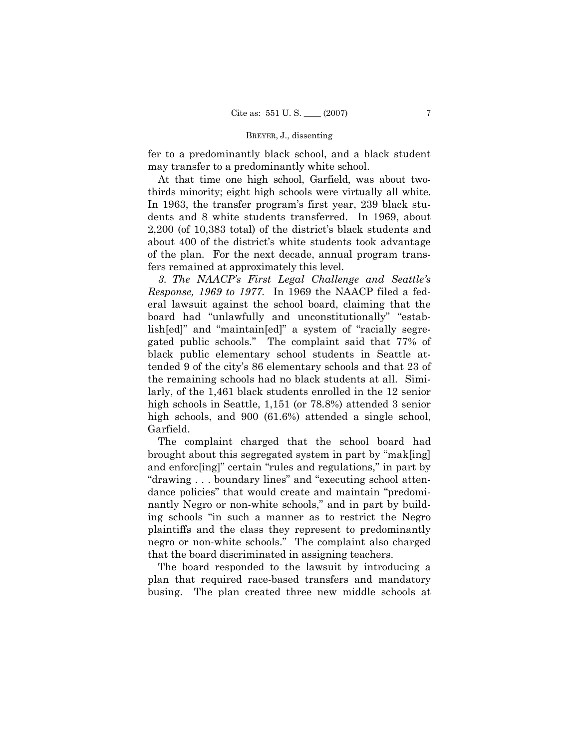fer to a predominantly black school, and a black student may transfer to a predominantly white school.

 At that time one high school, Garfield, was about twothirds minority; eight high schools were virtually all white. In 1963, the transfer program's first year, 239 black students and 8 white students transferred. In 1969, about  $2,200$  (of 10,383 total) of the district's black students and about 400 of the district's white students took advantage of the plan. For the next decade, annual program transfers remained at approximately this level.

*3. The NAACPís First Legal Challenge and Seattleís Response, 1969 to 1977.* In 1969 the NAACP filed a federal lawsuit against the school board, claiming that the board had "unlawfully and unconstitutionally" "establish[ed]" and "maintain[ed]" a system of "racially segregated public schools.î The complaint said that 77% of black public elementary school students in Seattle attended 9 of the cityís 86 elementary schools and that 23 of the remaining schools had no black students at all. Similarly, of the 1,461 black students enrolled in the 12 senior high schools in Seattle, 1,151 (or 78.8%) attended 3 senior high schools, and 900 (61.6%) attended a single school, Garfield.

 The complaint charged that the school board had brought about this segregated system in part by "mak[ing] and enforc[ing]" certain "rules and regulations," in part by "drawing . . . boundary lines" and "executing school attendance policies" that would create and maintain "predominantly Negro or non-white schools," and in part by building schools "in such a manner as to restrict the Negro plaintiffs and the class they represent to predominantly negro or non-white schools." The complaint also charged that the board discriminated in assigning teachers.

 The board responded to the lawsuit by introducing a plan that required race-based transfers and mandatory busing. The plan created three new middle schools at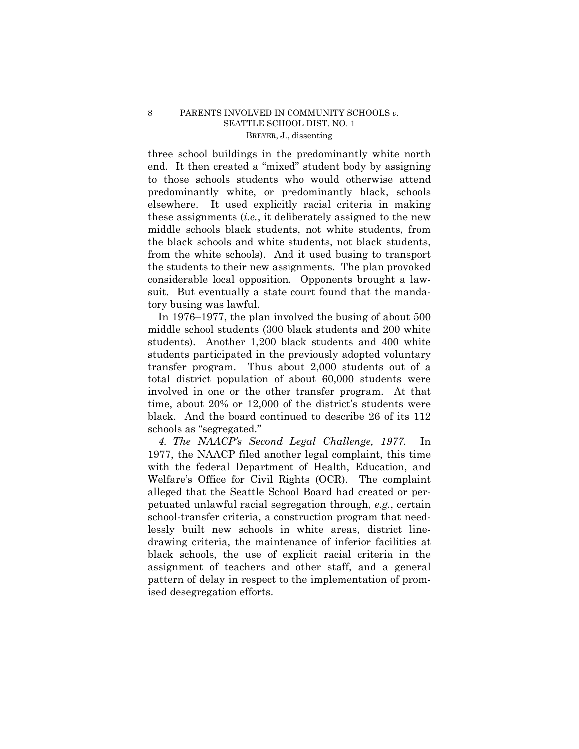three school buildings in the predominantly white north end. It then created a "mixed" student body by assigning to those schools students who would otherwise attend predominantly white, or predominantly black, schools elsewhere. It used explicitly racial criteria in making these assignments (*i.e.*, it deliberately assigned to the new middle schools black students, not white students, from the black schools and white students, not black students, from the white schools). And it used busing to transport the students to their new assignments. The plan provoked considerable local opposition. Opponents brought a lawsuit. But eventually a state court found that the mandatory busing was lawful.

In 1976–1977, the plan involved the busing of about  $500$ middle school students (300 black students and 200 white students). Another 1,200 black students and 400 white students participated in the previously adopted voluntary transfer program. Thus about 2,000 students out of a total district population of about 60,000 students were involved in one or the other transfer program. At that time, about  $20\%$  or  $12,000$  of the district's students were black. And the board continued to describe 26 of its 112 schools as "segregated."

 *4. The NAACPís Second Legal Challenge, 1977.* In 1977, the NAACP filed another legal complaint, this time with the federal Department of Health, Education, and Welfare's Office for Civil Rights (OCR). The complaint alleged that the Seattle School Board had created or perpetuated unlawful racial segregation through, *e.g.*, certain school-transfer criteria, a construction program that needlessly built new schools in white areas, district linedrawing criteria, the maintenance of inferior facilities at black schools, the use of explicit racial criteria in the assignment of teachers and other staff, and a general pattern of delay in respect to the implementation of promised desegregation efforts.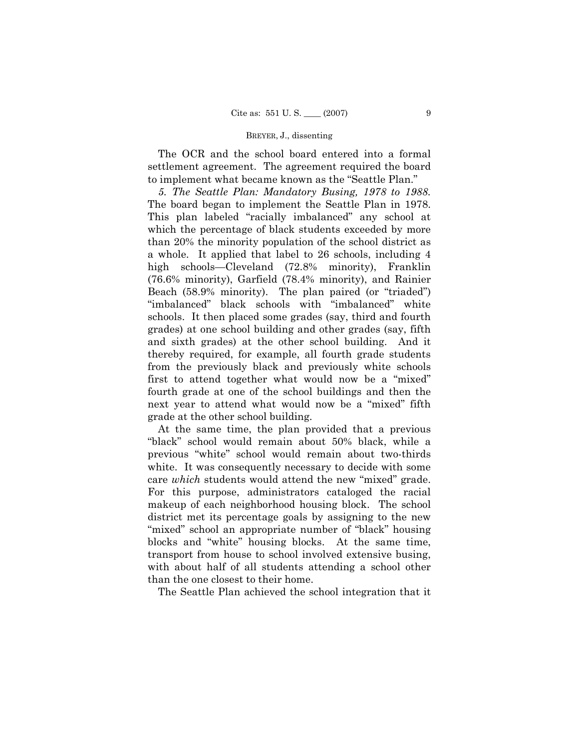The OCR and the school board entered into a formal settlement agreement. The agreement required the board to implement what became known as the "Seattle Plan."

 *5. The Seattle Plan: Mandatory Busing, 1978 to 1988.*  The board began to implement the Seattle Plan in 1978. This plan labeled "racially imbalanced" any school at which the percentage of black students exceeded by more than 20% the minority population of the school district as a whole. It applied that label to 26 schools, including 4 high schools—Cleveland (72.8% minority), Franklin (76.6% minority), Garfield (78.4% minority), and Rainier Beach  $(58.9\%$  minority). The plan paired (or "triaded") "imbalanced" black schools with "imbalanced" white schools. It then placed some grades (say, third and fourth grades) at one school building and other grades (say, fifth and sixth grades) at the other school building. And it thereby required, for example, all fourth grade students from the previously black and previously white schools first to attend together what would now be a "mixed" fourth grade at one of the school buildings and then the next year to attend what would now be a "mixed" fifth grade at the other school building.

 At the same time, the plan provided that a previous ìblackî school would remain about 50% black, while a previous "white" school would remain about two-thirds white. It was consequently necessary to decide with some care *which* students would attend the new "mixed" grade. For this purpose, administrators cataloged the racial makeup of each neighborhood housing block. The school district met its percentage goals by assigning to the new "mixed" school an appropriate number of "black" housing blocks and "white" housing blocks. At the same time, transport from house to school involved extensive busing, with about half of all students attending a school other than the one closest to their home.

The Seattle Plan achieved the school integration that it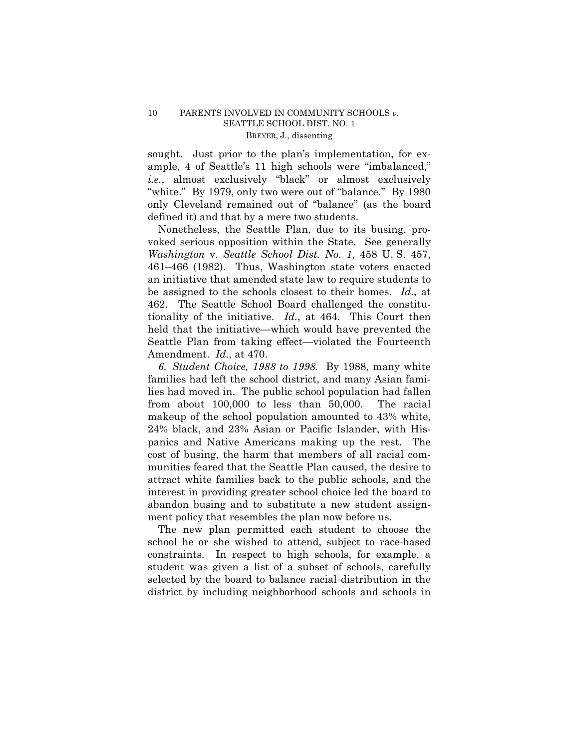sought. Just prior to the plan's implementation, for example, 4 of Seattle's 11 high schools were "imbalanced," *i.e.*, almost exclusively "black" or almost exclusively "white." By 1979, only two were out of "balance." By 1980 only Cleveland remained out of "balance" (as the board defined it) and that by a mere two students.

 Nonetheless, the Seattle Plan, due to its busing, provoked serious opposition within the State. See generally *Washington* v. *Seattle School Dist. No. 1*, 458 U. S. 457, 461–466 (1982). Thus, Washington state voters enacted an initiative that amended state law to require students to be assigned to the schools closest to their homes. *Id.*, at 462. The Seattle School Board challenged the constitutionality of the initiative. *Id.*, at 464. This Court then held that the initiative—which would have prevented the Seattle Plan from taking effect—violated the Fourteenth Amendment. *Id.*, at 470.

 *6. Student Choice, 1988 to 1998.* By 1988, many white families had left the school district, and many Asian families had moved in. The public school population had fallen from about 100,000 to less than 50,000. The racial makeup of the school population amounted to 43% white, 24% black, and 23% Asian or Pacific Islander, with Hispanics and Native Americans making up the rest. The cost of busing, the harm that members of all racial communities feared that the Seattle Plan caused, the desire to attract white families back to the public schools, and the interest in providing greater school choice led the board to abandon busing and to substitute a new student assignment policy that resembles the plan now before us.

 The new plan permitted each student to choose the school he or she wished to attend, subject to race-based constraints. In respect to high schools, for example, a student was given a list of a subset of schools, carefully selected by the board to balance racial distribution in the district by including neighborhood schools and schools in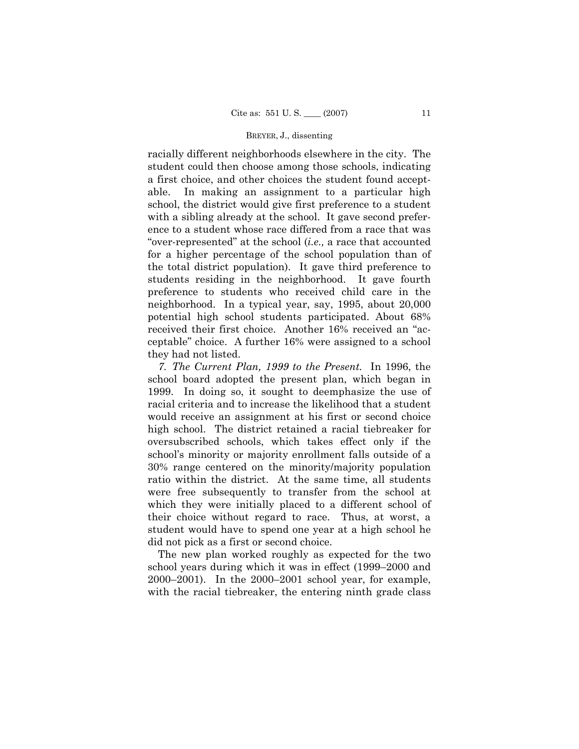racially different neighborhoods elsewhere in the city. The student could then choose among those schools, indicating a first choice, and other choices the student found acceptable. In making an assignment to a particular high school, the district would give first preference to a student with a sibling already at the school. It gave second preference to a student whose race differed from a race that was ìover-representedî at the school (*i.e.,* a race that accounted for a higher percentage of the school population than of the total district population). It gave third preference to students residing in the neighborhood. It gave fourth preference to students who received child care in the neighborhood. In a typical year, say, 1995, about 20,000 potential high school students participated. About 68% received their first choice. Another 16% received an "acceptableî choice. A further 16% were assigned to a school they had not listed.

 *7. The Current Plan, 1999 to the Present.* In 1996, the school board adopted the present plan, which began in 1999. In doing so, it sought to deemphasize the use of racial criteria and to increase the likelihood that a student would receive an assignment at his first or second choice high school. The district retained a racial tiebreaker for oversubscribed schools, which takes effect only if the school's minority or majority enrollment falls outside of a 30% range centered on the minority/majority population ratio within the district. At the same time, all students were free subsequently to transfer from the school at which they were initially placed to a different school of their choice without regard to race. Thus, at worst, a student would have to spend one year at a high school he did not pick as a first or second choice.

 The new plan worked roughly as expected for the two school years during which it was in effect (1999–2000 and  $2000-2001$ ). In the  $2000-2001$  school year, for example, with the racial tiebreaker, the entering ninth grade class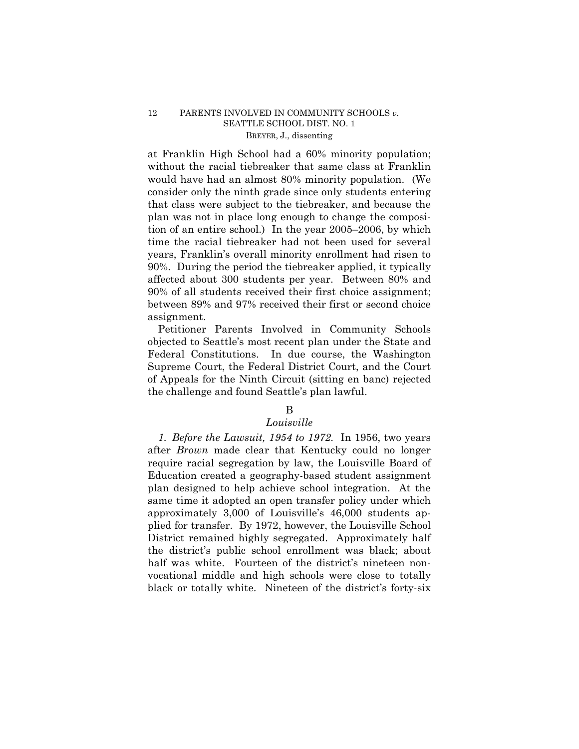at Franklin High School had a 60% minority population; without the racial tiebreaker that same class at Franklin would have had an almost 80% minority population. (We consider only the ninth grade since only students entering that class were subject to the tiebreaker, and because the plan was not in place long enough to change the composition of an entire school.) In the year  $2005-2006$ , by which time the racial tiebreaker had not been used for several years, Franklinís overall minority enrollment had risen to 90%. During the period the tiebreaker applied, it typically affected about 300 students per year. Between 80% and 90% of all students received their first choice assignment; between 89% and 97% received their first or second choice assignment.

 Petitioner Parents Involved in Community Schools objected to Seattleís most recent plan under the State and Federal Constitutions. In due course, the Washington Supreme Court, the Federal District Court, and the Court of Appeals for the Ninth Circuit (sitting en banc) rejected the challenge and found Seattleís plan lawful.

## B

## *Louisville*

*1. Before the Lawsuit, 1954 to 1972.* In 1956, two years after *Brown* made clear that Kentucky could no longer require racial segregation by law, the Louisville Board of Education created a geography-based student assignment plan designed to help achieve school integration. At the same time it adopted an open transfer policy under which approximately 3,000 of Louisville's 46,000 students applied for transfer. By 1972, however, the Louisville School District remained highly segregated. Approximately half the districtís public school enrollment was black; about half was white. Fourteen of the district's nineteen nonvocational middle and high schools were close to totally black or totally white. Nineteen of the district's forty-six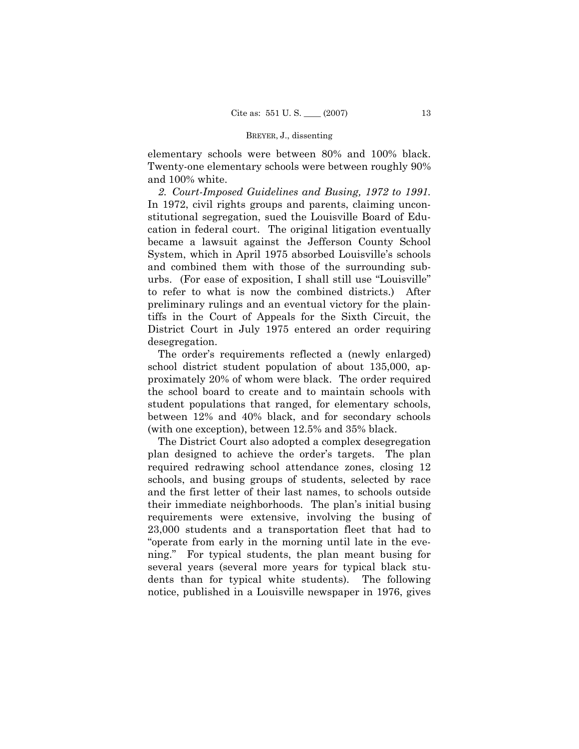elementary schools were between 80% and 100% black. Twenty-one elementary schools were between roughly 90% and 100% white.

 *2. Court-Imposed Guidelines and Busing, 1972 to 1991.* In 1972, civil rights groups and parents, claiming unconstitutional segregation, sued the Louisville Board of Education in federal court. The original litigation eventually became a lawsuit against the Jefferson County School System, which in April 1975 absorbed Louisville's schools and combined them with those of the surrounding suburbs. (For ease of exposition, I shall still use "Louisville" to refer to what is now the combined districts.) After preliminary rulings and an eventual victory for the plaintiffs in the Court of Appeals for the Sixth Circuit, the District Court in July 1975 entered an order requiring desegregation.

The order's requirements reflected a (newly enlarged) school district student population of about 135,000, approximately 20% of whom were black. The order required the school board to create and to maintain schools with student populations that ranged, for elementary schools, between 12% and 40% black, and for secondary schools (with one exception), between 12.5% and 35% black.

 The District Court also adopted a complex desegregation plan designed to achieve the orderís targets. The plan required redrawing school attendance zones, closing 12 schools, and busing groups of students, selected by race and the first letter of their last names, to schools outside their immediate neighborhoods. The plan's initial busing requirements were extensive, involving the busing of 23,000 students and a transportation fleet that had to ìoperate from early in the morning until late in the evening." For typical students, the plan meant busing for several years (several more years for typical black students than for typical white students). The following notice, published in a Louisville newspaper in 1976, gives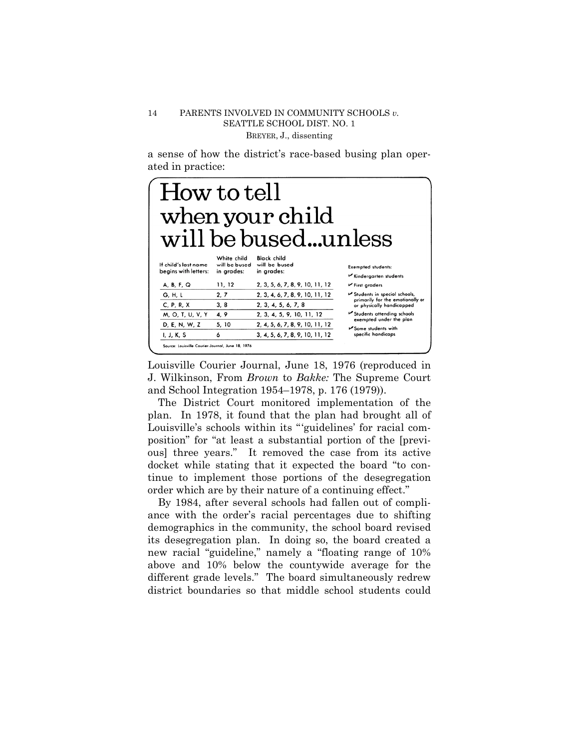a sense of how the district's race-based busing plan operated in practice:

| How to tell<br>when your child<br>will be busedunless |                                            |                                                   |                                                                                                                                                                              |
|-------------------------------------------------------|--------------------------------------------|---------------------------------------------------|------------------------------------------------------------------------------------------------------------------------------------------------------------------------------|
| If child's last name<br>begins with letters:          | White child<br>will be bused<br>in grades: | <b>Black child</b><br>will be bused<br>in grades: | <b>Exempted students:</b><br>Kindergarten students                                                                                                                           |
| A, B, F, Q                                            | 11, 12                                     | 2, 3, 5, 6, 7, 8, 9, 10, 11, 12                   | $\nu$ First graders                                                                                                                                                          |
| G, H, L                                               | 2,7                                        | 2, 3, 4, 6, 7, 8, 9, 10, 11, 12                   | Students in special schools,<br>primarily for the emotionally or<br>or physically handicapped<br>Students attending schools<br>exempted under the plan<br>Some students with |
| C, P, R, X                                            | 3,8                                        | 2, 3, 4, 5, 6, 7, 8                               |                                                                                                                                                                              |
| M, O, T, U, V, Y                                      | 4.9                                        | 2, 3, 4, 5, 9, 10, 11, 12                         |                                                                                                                                                                              |
|                                                       | 5, 10                                      | 2, 4, 5, 6, 7, 8, 9, 10, 11, 12                   |                                                                                                                                                                              |
| D, E, N, W, Z                                         |                                            |                                                   |                                                                                                                                                                              |

Louisville Courier Journal, June 18, 1976 (reproduced in J. Wilkinson, From *Brown* to *Bakke:* The Supreme Court and School Integration 1954–1978, p. 176 (1979)).

 The District Court monitored implementation of the plan. In 1978, it found that the plan had brought all of Louisville's schools within its "'guidelines' for racial composition" for "at least a substantial portion of the [previous] three years." It removed the case from its active docket while stating that it expected the board "to continue to implement those portions of the desegregation order which are by their nature of a continuing effect."

 By 1984, after several schools had fallen out of compliance with the order's racial percentages due to shifting demographics in the community, the school board revised its desegregation plan. In doing so, the board created a new racial "guideline," namely a "floating range of 10% above and 10% below the countywide average for the different grade levels." The board simultaneously redrew district boundaries so that middle school students could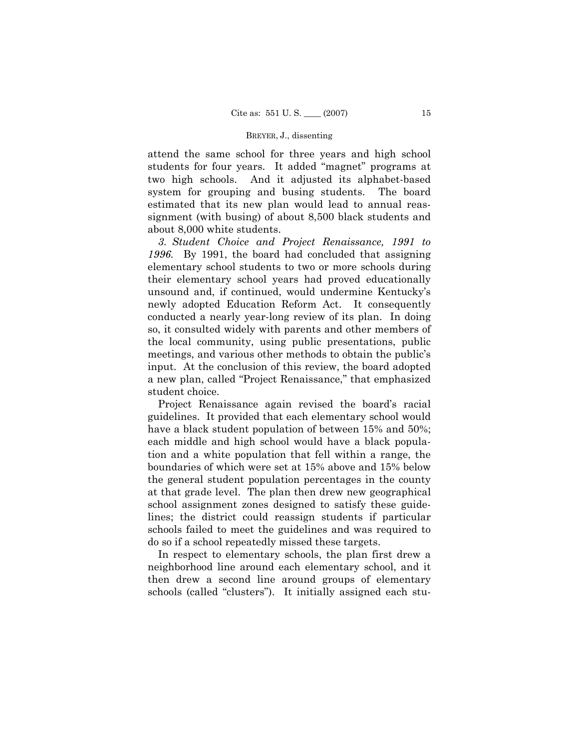attend the same school for three years and high school students for four years. It added "magnet" programs at two high schools. And it adjusted its alphabet-based system for grouping and busing students. The board estimated that its new plan would lead to annual reassignment (with busing) of about 8,500 black students and about 8,000 white students.

*3. Student Choice and Project Renaissance, 1991 to 1996.* By 1991, the board had concluded that assigning elementary school students to two or more schools during their elementary school years had proved educationally unsound and, if continued, would undermine Kentuckyís newly adopted Education Reform Act. It consequently conducted a nearly year-long review of its plan. In doing so, it consulted widely with parents and other members of the local community, using public presentations, public meetings, and various other methods to obtain the public's input. At the conclusion of this review, the board adopted a new plan, called "Project Renaissance," that emphasized student choice.

Project Renaissance again revised the board's racial guidelines. It provided that each elementary school would have a black student population of between 15% and 50%; each middle and high school would have a black population and a white population that fell within a range, the boundaries of which were set at 15% above and 15% below the general student population percentages in the county at that grade level. The plan then drew new geographical school assignment zones designed to satisfy these guidelines; the district could reassign students if particular schools failed to meet the guidelines and was required to do so if a school repeatedly missed these targets.

 In respect to elementary schools, the plan first drew a neighborhood line around each elementary school, and it then drew a second line around groups of elementary schools (called "clusters"). It initially assigned each stu-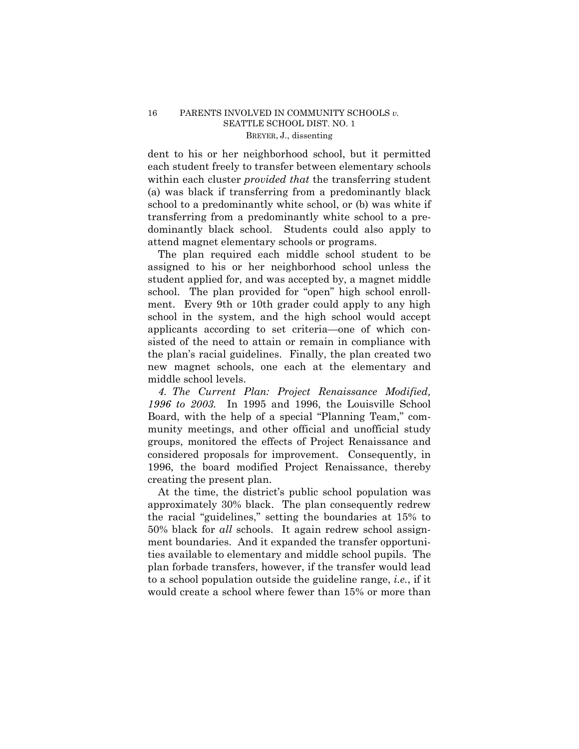dent to his or her neighborhood school, but it permitted each student freely to transfer between elementary schools within each cluster *provided that* the transferring student (a) was black if transferring from a predominantly black school to a predominantly white school, or (b) was white if transferring from a predominantly white school to a predominantly black school. Students could also apply to attend magnet elementary schools or programs.

 The plan required each middle school student to be assigned to his or her neighborhood school unless the student applied for, and was accepted by, a magnet middle school. The plan provided for "open" high school enrollment. Every 9th or 10th grader could apply to any high school in the system, and the high school would accept applicants according to set criteria—one of which consisted of the need to attain or remain in compliance with the planís racial guidelines. Finally, the plan created two new magnet schools, one each at the elementary and middle school levels.

 *4. The Current Plan: Project Renaissance Modified, 1996 to 2003.* In 1995 and 1996, the Louisville School Board, with the help of a special "Planning Team," community meetings, and other official and unofficial study groups, monitored the effects of Project Renaissance and considered proposals for improvement. Consequently, in 1996, the board modified Project Renaissance, thereby creating the present plan.

At the time, the district's public school population was approximately 30% black. The plan consequently redrew the racial "guidelines," setting the boundaries at  $15\%$  to 50% black for *all* schools. It again redrew school assignment boundaries. And it expanded the transfer opportunities available to elementary and middle school pupils. The plan forbade transfers, however, if the transfer would lead to a school population outside the guideline range, *i.e.*, if it would create a school where fewer than 15% or more than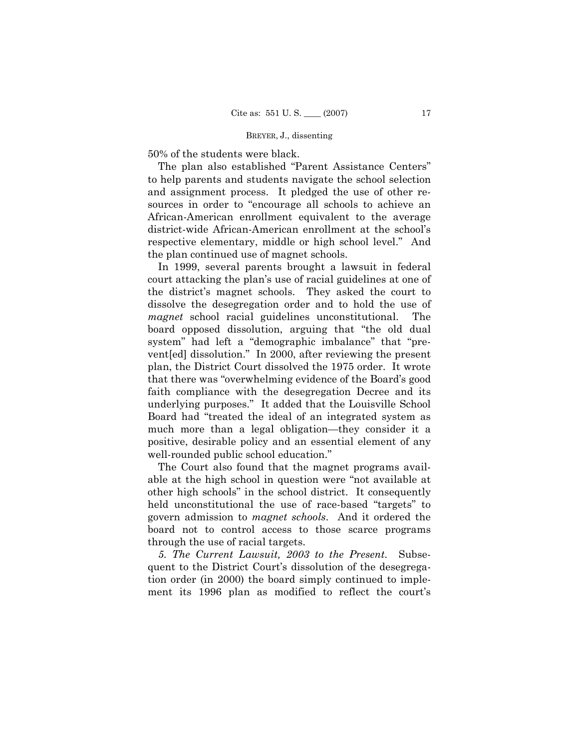50% of the students were black.

The plan also established "Parent Assistance Centers" to help parents and students navigate the school selection and assignment process. It pledged the use of other resources in order to "encourage all schools to achieve an African-American enrollment equivalent to the average district-wide African-American enrollment at the school's respective elementary, middle or high school level." And the plan continued use of magnet schools.

 In 1999, several parents brought a lawsuit in federal court attacking the plan's use of racial guidelines at one of the districtís magnet schools. They asked the court to dissolve the desegregation order and to hold the use of *magnet* school racial guidelines unconstitutional. The board opposed dissolution, arguing that "the old dual" system" had left a "demographic imbalance" that "prevent[ed] dissolution." In 2000, after reviewing the present plan, the District Court dissolved the 1975 order. It wrote that there was "overwhelming evidence of the Board's good faith compliance with the desegregation Decree and its underlying purposes." It added that the Louisville School Board had "treated the ideal of an integrated system as much more than a legal obligation—they consider it a positive, desirable policy and an essential element of any well-rounded public school education."

 The Court also found that the magnet programs available at the high school in question were "not available at other high schoolsî in the school district. It consequently held unconstitutional the use of race-based "targets" to govern admission to *magnet schools*. And it ordered the board not to control access to those scarce programs through the use of racial targets.

 *5. The Current Lawsuit, 2003 to the Present.* Subsequent to the District Court's dissolution of the desegregation order (in 2000) the board simply continued to implement its 1996 plan as modified to reflect the court's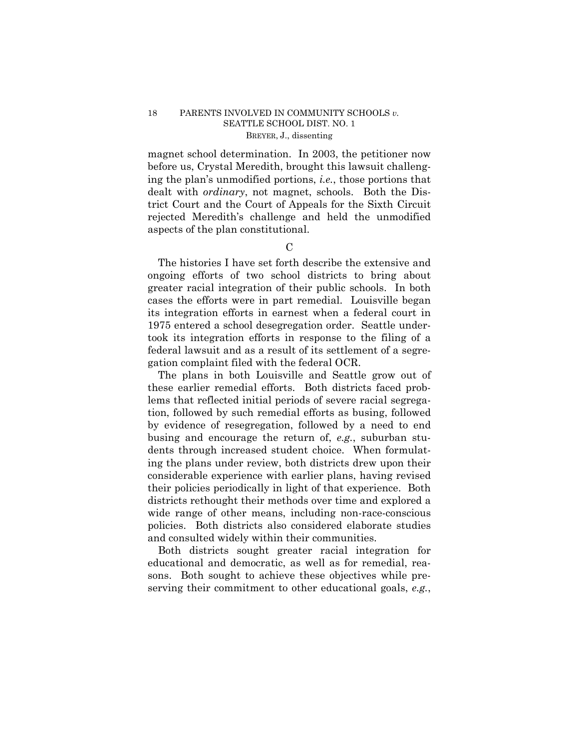magnet school determination. In 2003, the petitioner now before us, Crystal Meredith, brought this lawsuit challenging the plan's unmodified portions, *i.e.*, those portions that dealt with *ordinary*, not magnet, schools. Both the District Court and the Court of Appeals for the Sixth Circuit rejected Meredithís challenge and held the unmodified aspects of the plan constitutional.

 $\mathcal{C}$ 

 The histories I have set forth describe the extensive and ongoing efforts of two school districts to bring about greater racial integration of their public schools. In both cases the efforts were in part remedial. Louisville began its integration efforts in earnest when a federal court in 1975 entered a school desegregation order. Seattle undertook its integration efforts in response to the filing of a federal lawsuit and as a result of its settlement of a segregation complaint filed with the federal OCR.

 The plans in both Louisville and Seattle grow out of these earlier remedial efforts. Both districts faced problems that reflected initial periods of severe racial segregation, followed by such remedial efforts as busing, followed by evidence of resegregation, followed by a need to end busing and encourage the return of, *e.g.*, suburban students through increased student choice. When formulating the plans under review, both districts drew upon their considerable experience with earlier plans, having revised their policies periodically in light of that experience. Both districts rethought their methods over time and explored a wide range of other means, including non-race-conscious policies. Both districts also considered elaborate studies and consulted widely within their communities.

 Both districts sought greater racial integration for educational and democratic, as well as for remedial, reasons. Both sought to achieve these objectives while preserving their commitment to other educational goals, *e.g.*,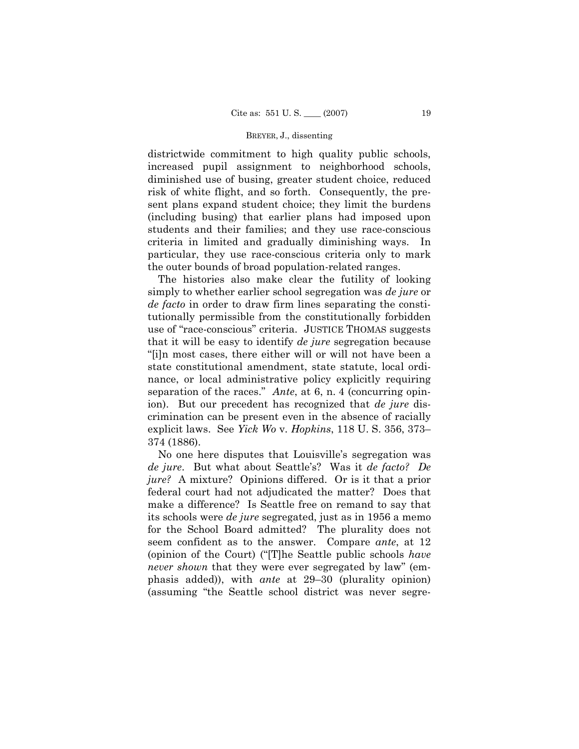districtwide commitment to high quality public schools, increased pupil assignment to neighborhood schools, diminished use of busing, greater student choice, reduced risk of white flight, and so forth. Consequently, the present plans expand student choice; they limit the burdens (including busing) that earlier plans had imposed upon students and their families; and they use race-conscious criteria in limited and gradually diminishing ways. In particular, they use race-conscious criteria only to mark the outer bounds of broad population-related ranges.

 The histories also make clear the futility of looking simply to whether earlier school segregation was *de jure* or *de facto* in order to draw firm lines separating the constitutionally permissible from the constitutionally forbidden use of "race-conscious" criteria. JUSTICE THOMAS suggests that it will be easy to identify *de jure* segregation because ì[i]n most cases, there either will or will not have been a state constitutional amendment, state statute, local ordinance, or local administrative policy explicitly requiring separation of the races." *Ante*, at 6, n. 4 (concurring opinion). But our precedent has recognized that *de jure* discrimination can be present even in the absence of racially explicit laws. See *Yick Wo* v. *Hopkins*, 118 U.S. 356, 373– 374 (1886).

No one here disputes that Louisville's segregation was *de jure*.But what about Seattleís? Was it *de facto? De jure?* A mixture? Opinions differed. Or is it that a prior federal court had not adjudicated the matter? Does that make a difference? Is Seattle free on remand to say that its schools were *de jure* segregated, just as in 1956 a memo for the School Board admitted? The plurality does not seem confident as to the answer. Compare *ante*, at 12 (opinion of the Court) ("[T]he Seattle public schools *have never shown* that they were ever segregated by law<sup>"</sup> (emphasis added)), with *ante* at 29–30 (plurality opinion) (assuming "the Seattle school district was never segre-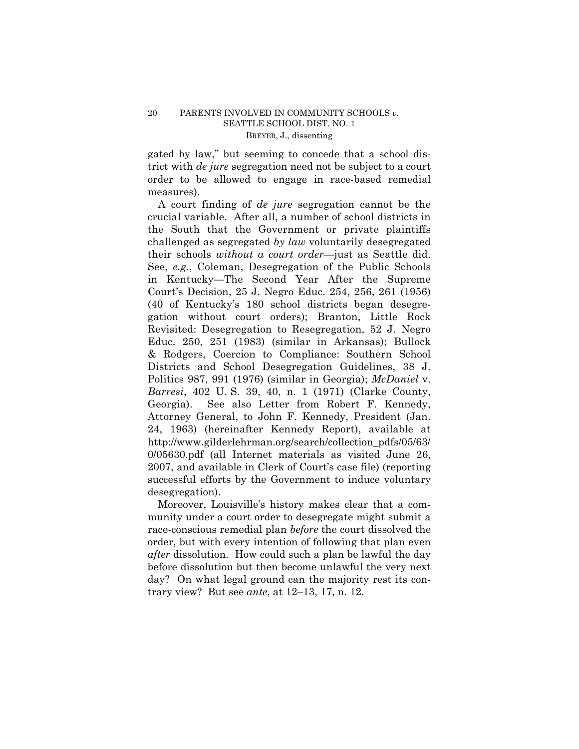gated by law," but seeming to concede that a school district with *de jure* segregation need not be subject to a court order to be allowed to engage in race-based remedial measures).

 A court finding of *de jure* segregation cannot be the crucial variable. After all, a number of school districts in the South that the Government or private plaintiffs challenged as segregated *by law* voluntarily desegregated their schools *without a court order*—just as Seattle did. See, *e.g.*, Coleman, Desegregation of the Public Schools in Kentucky–The Second Year After the Supreme Courtís Decision, 25 J. Negro Educ. 254, 256, 261 (1956) (40 of Kentuckyís 180 school districts began desegregation without court orders); Branton, Little Rock Revisited: Desegregation to Resegregation, 52 J. Negro Educ. 250, 251 (1983) (similar in Arkansas); Bullock & Rodgers, Coercion to Compliance: Southern School Districts and School Desegregation Guidelines, 38 J. Politics 987, 991 (1976) (similar in Georgia); *McDaniel* v. *Barresi*, 402 U. S. 39, 40, n. 1 (1971) (Clarke County, Georgia). See also Letter from Robert F. Kennedy, Attorney General, to John F. Kennedy, President (Jan. 24, 1963) (hereinafter Kennedy Report), available at http://www.gilderlehrman.org/search/collection\_pdfs/05/63/ 0/05630.pdf (all Internet materials as visited June 26, 2007, and available in Clerk of Court's case file) (reporting successful efforts by the Government to induce voluntary desegregation).

Moreover, Louisville's history makes clear that a community under a court order to desegregate might submit a race-conscious remedial plan *before* the court dissolved the order, but with every intention of following that plan even *after* dissolution. How could such a plan be lawful the day before dissolution but then become unlawful the very next day? On what legal ground can the majority rest its contrary view? But see *ante*, at 12–13, 17, n. 12.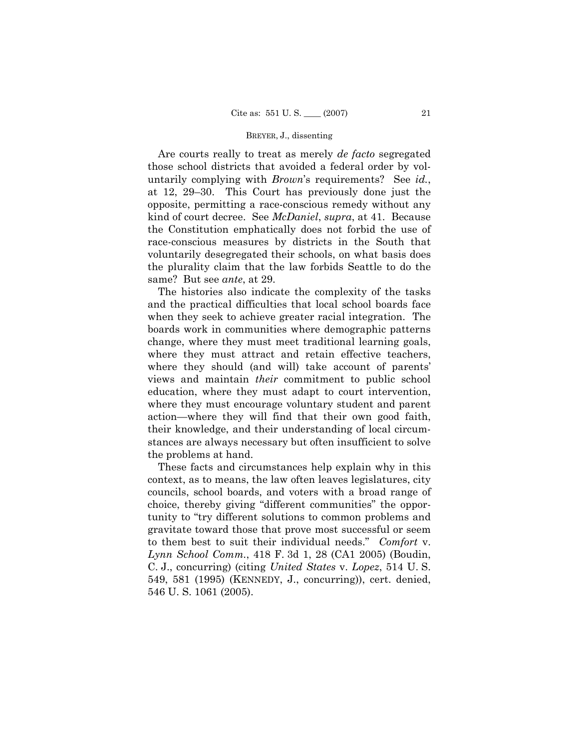Are courts really to treat as merely *de facto* segregated those school districts that avoided a federal order by voluntarily complying with *Brown*ís requirements? See *id.*, at 12, 29–30. This Court has previously done just the opposite, permitting a race-conscious remedy without any kind of court decree. See *McDaniel*, *supra*, at 41. Because the Constitution emphatically does not forbid the use of race-conscious measures by districts in the South that voluntarily desegregated their schools, on what basis does the plurality claim that the law forbids Seattle to do the same? But see *ante*, at 29.

 The histories also indicate the complexity of the tasks and the practical difficulties that local school boards face when they seek to achieve greater racial integration. The boards work in communities where demographic patterns change, where they must meet traditional learning goals, where they must attract and retain effective teachers, where they should (and will) take account of parents' views and maintain *their* commitment to public school education, where they must adapt to court intervention, where they must encourage voluntary student and parent action—where they will find that their own good faith, their knowledge, and their understanding of local circumstances are always necessary but often insufficient to solve the problems at hand.

 These facts and circumstances help explain why in this context, as to means, the law often leaves legislatures, city councils, school boards, and voters with a broad range of choice, thereby giving "different communities" the opportunity to "try different solutions to common problems and gravitate toward those that prove most successful or seem to them best to suit their individual needs.î *Comfort* v. *Lynn School Comm.*, 418 F. 3d 1, 28 (CA1 2005) (Boudin, C. J., concurring) (citing *United States* v. *Lopez*, 514 U. S. 549, 581 (1995) (KENNEDY, J., concurring)), cert. denied, 546 U. S. 1061 (2005).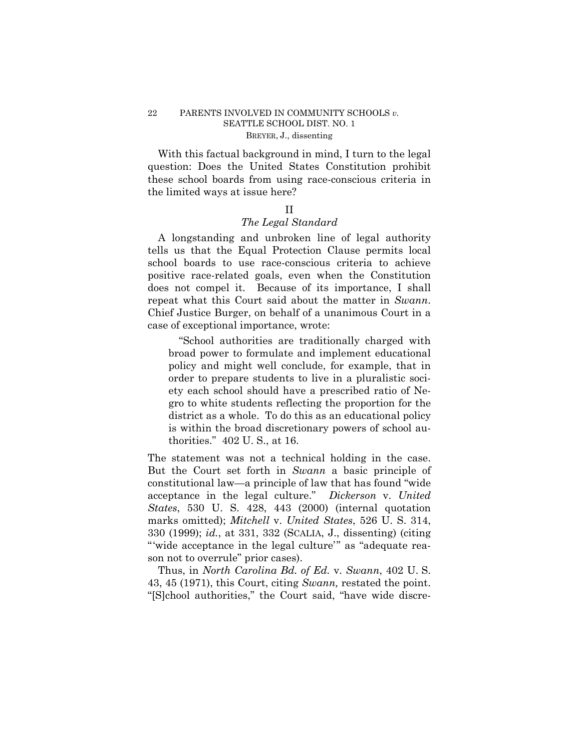With this factual background in mind, I turn to the legal question: Does the United States Constitution prohibit these school boards from using race-conscious criteria in the limited ways at issue here?

## II

## *The Legal Standard*

 A longstanding and unbroken line of legal authority tells us that the Equal Protection Clause permits local school boards to use race-conscious criteria to achieve positive race-related goals, even when the Constitution does not compel it. Because of its importance, I shall repeat what this Court said about the matter in *Swann*. Chief Justice Burger, on behalf of a unanimous Court in a case of exceptional importance, wrote:

 ìSchool authorities are traditionally charged with broad power to formulate and implement educational policy and might well conclude, for example, that in order to prepare students to live in a pluralistic society each school should have a prescribed ratio of Negro to white students reflecting the proportion for the district as a whole. To do this as an educational policy is within the broad discretionary powers of school authorities.î 402 U. S., at 16.

The statement was not a technical holding in the case. But the Court set forth in *Swann* a basic principle of constitutional law—a principle of law that has found "wide" acceptance in the legal culture.î *Dickerson* v. *United States*, 530 U. S. 428, 443 (2000) (internal quotation marks omitted); *Mitchell* v. *United States*, 526 U. S. 314, 330 (1999); *id.*, at 331, 332 (SCALIA, J., dissenting) (citing "wide acceptance in the legal culture" as "adequate reason not to overrule" prior cases).

 Thus, in *North Carolina Bd. of Ed.* v. *Swann*, 402 U. S. 43, 45 (1971), this Court, citing *Swann,* restated the point. "[S]chool authorities," the Court said, "have wide discre-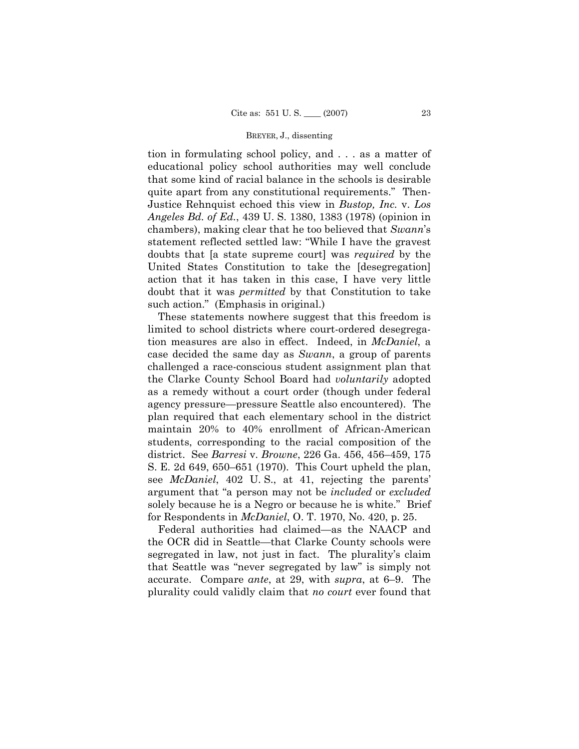tion in formulating school policy, and . . . as a matter of educational policy school authorities may well conclude that some kind of racial balance in the schools is desirable quite apart from any constitutional requirements." Then-Justice Rehnquist echoed this view in *Bustop, Inc.* v. *Los Angeles Bd. of Ed.*, 439 U. S. 1380, 1383 (1978) (opinion in chambers), making clear that he too believed that *Swann*ís statement reflected settled law: "While I have the gravest doubts that [a state supreme court] was *required* by the United States Constitution to take the [desegregation] action that it has taken in this case, I have very little doubt that it was *permitted* by that Constitution to take such action." (Emphasis in original.)

 These statements nowhere suggest that this freedom is limited to school districts where court-ordered desegregation measures are also in effect. Indeed, in *McDaniel*, a case decided the same day as *Swann*, a group of parents challenged a race-conscious student assignment plan that the Clarke County School Board had *voluntarily* adopted as a remedy without a court order (though under federal agency pressure—pressure Seattle also encountered). The plan required that each elementary school in the district maintain 20% to 40% enrollment of African-American students, corresponding to the racial composition of the district. See *Barresi* v. *Browne*, 226 Ga. 456, 456–459, 175 S. E. 2d 649, 650–651 (1970). This Court upheld the plan, see *McDaniel*, 402 U.S., at 41, rejecting the parents' argument that "a person may not be *included* or *excluded* solely because he is a Negro or because he is white." Brief for Respondents in *McDaniel*, O. T. 1970, No. 420, p. 25.

Federal authorities had claimed—as the NAACP and the OCR did in Seattle—that Clarke County schools were segregated in law, not just in fact. The plurality's claim that Seattle was "never segregated by law" is simply not accurate. Compare *ante*, at 29, with *supra*, at 6–9. The plurality could validly claim that *no court* ever found that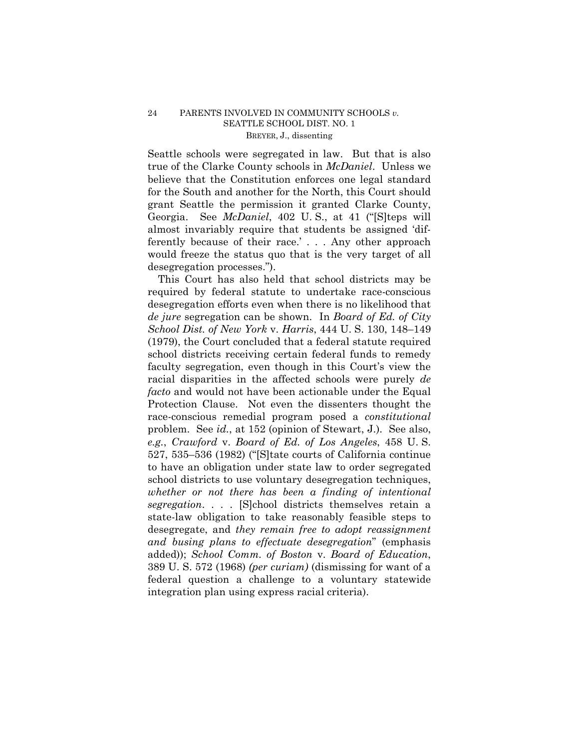Seattle schools were segregated in law. But that is also true of the Clarke County schools in *McDaniel*. Unless we believe that the Constitution enforces one legal standard for the South and another for the North, this Court should grant Seattle the permission it granted Clarke County, Georgia. See *McDaniel*, 402 U.S., at 41 ("S teps will almost invariably require that students be assigned ëdifferently because of their race.<sup>'</sup> . . . Any other approach would freeze the status quo that is the very target of all desegregation processes.").

 This Court has also held that school districts may be required by federal statute to undertake race-conscious desegregation efforts even when there is no likelihood that *de jure* segregation can be shown. In *Board of Ed. of City School Dist. of New York v. Harris,* 444 U.S. 130, 148–149 (1979), the Court concluded that a federal statute required school districts receiving certain federal funds to remedy faculty segregation, even though in this Court's view the racial disparities in the affected schools were purely *de facto* and would not have been actionable under the Equal Protection Clause. Not even the dissenters thought the race-conscious remedial program posed a *constitutional*  problem. See *id.*, at 152 (opinion of Stewart, J.). See also, *e.g.*, *Crawford* v. *Board of Ed. of Los Angeles*, 458 U. S. 527, 535–536 (1982) (" $[S]$ tate courts of California continue to have an obligation under state law to order segregated school districts to use voluntary desegregation techniques, *whether or not there has been a finding of intentional segregation*. . . . [S]chool districts themselves retain a state-law obligation to take reasonably feasible steps to desegregate, and *they remain free to adopt reassignment and busing plans to effectuate desegregation*î (emphasis added)); *School Comm. of Boston* v. *Board of Education*, 389 U. S. 572 (1968) *(per curiam)* (dismissing for want of a federal question a challenge to a voluntary statewide integration plan using express racial criteria).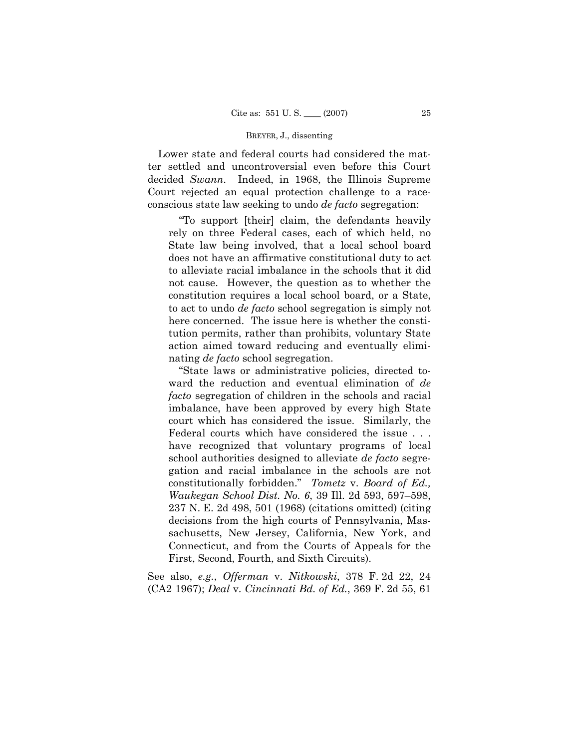Lower state and federal courts had considered the matter settled and uncontroversial even before this Court decided *Swann*. Indeed, in 1968, the Illinois Supreme Court rejected an equal protection challenge to a raceconscious state law seeking to undo *de facto* segregation:

 ìTo support [their] claim, the defendants heavily rely on three Federal cases, each of which held, no State law being involved, that a local school board does not have an affirmative constitutional duty to act to alleviate racial imbalance in the schools that it did not cause. However, the question as to whether the constitution requires a local school board, or a State, to act to undo *de facto* school segregation is simply not here concerned. The issue here is whether the constitution permits, rather than prohibits, voluntary State action aimed toward reducing and eventually eliminating *de facto* school segregation.

 ìState laws or administrative policies, directed toward the reduction and eventual elimination of *de facto* segregation of children in the schools and racial imbalance, have been approved by every high State court which has considered the issue. Similarly, the Federal courts which have considered the issue . . . have recognized that voluntary programs of local school authorities designed to alleviate *de facto* segregation and racial imbalance in the schools are not constitutionally forbidden.î *Tometz* v. *Board of Ed., Waukegan School Dist. No. 6, 39 Ill. 2d 593, 597–598,* 237 N. E. 2d 498, 501 (1968) (citations omitted) (citing decisions from the high courts of Pennsylvania, Massachusetts, New Jersey, California, New York, and Connecticut, and from the Courts of Appeals for the First, Second, Fourth, and Sixth Circuits).

See also, *e.g.*, *Offerman* v. *Nitkowski*, 378 F. 2d 22, 24 (CA2 1967); *Deal* v. *Cincinnati Bd. of Ed.*, 369 F. 2d 55, 61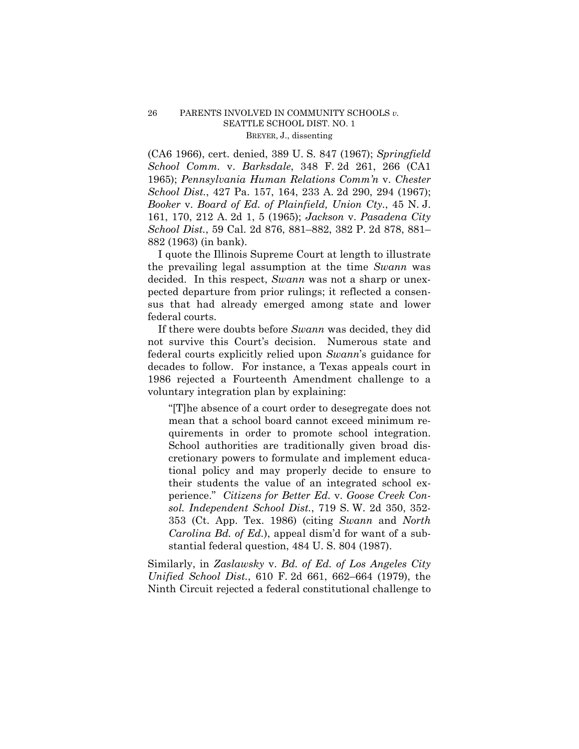(CA6 1966), cert. denied, 389 U. S. 847 (1967); *Springfield School Comm.* v. *Barksdale*, 348 F. 2d 261, 266 (CA1 1965); *Pennsylvania Human Relations Commín* v. *Chester School Dist.*, 427 Pa. 157, 164, 233 A. 2d 290, 294 (1967); *Booker* v. *Board of Ed. of Plainfield, Union Cty.*, 45 N. J. 161, 170, 212 A. 2d 1, 5 (1965); *Jackson* v. *Pasadena City School Dist.*, 59 Cal. 2d 876, 881–882, 382 P. 2d 878, 881– 882 (1963) (in bank).

 I quote the Illinois Supreme Court at length to illustrate the prevailing legal assumption at the time *Swann* was decided. In this respect, *Swann* was not a sharp or unexpected departure from prior rulings; it reflected a consensus that had already emerged among state and lower federal courts.

 If there were doubts before *Swann* was decided, they did not survive this Court's decision. Numerous state and federal courts explicitly relied upon *Swann*ís guidance for decades to follow. For instance, a Texas appeals court in 1986 rejected a Fourteenth Amendment challenge to a voluntary integration plan by explaining:

ì[T]he absence of a court order to desegregate does not mean that a school board cannot exceed minimum requirements in order to promote school integration. School authorities are traditionally given broad discretionary powers to formulate and implement educational policy and may properly decide to ensure to their students the value of an integrated school experience.î *Citizens for Better Ed.* v. *Goose Creek Consol. Independent School Dist.*, 719 S. W. 2d 350, 352- 353 (Ct. App. Tex. 1986) (citing *Swann* and *North Carolina Bd. of Ed.*), appeal dism'd for want of a substantial federal question, 484 U. S. 804 (1987).

Similarly, in *Zaslawsky* v. *Bd. of Ed. of Los Angeles City Unified School Dist.*, 610 F. 2d 661, 662–664 (1979), the Ninth Circuit rejected a federal constitutional challenge to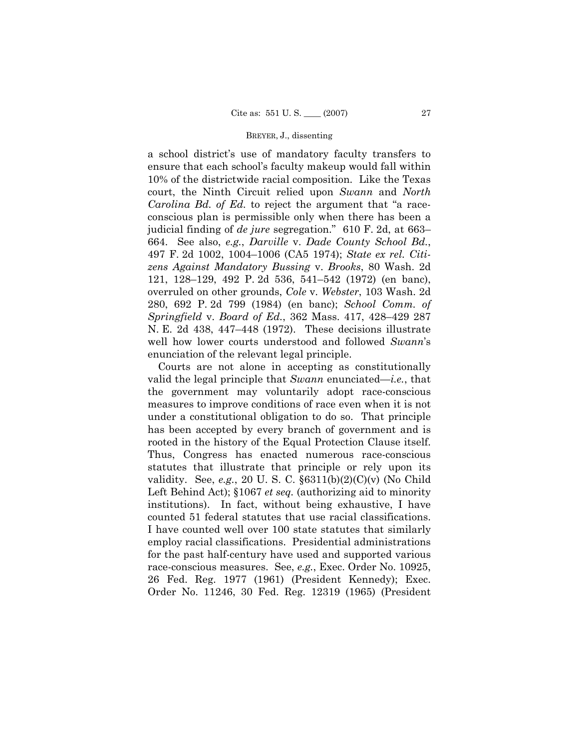a school district's use of mandatory faculty transfers to ensure that each school's faculty makeup would fall within 10% of the districtwide racial composition. Like the Texas court, the Ninth Circuit relied upon *Swann* and *North Carolina Bd. of Ed.* to reject the argument that "a raceconscious plan is permissible only when there has been a judicial finding of *de jure* segregation." 610 F. 2d, at 663-664. See also, *e.g.*, *Darville* v. *Dade County School Bd.*, 497 F. 2d 1002, 1004–1006 (CA5 1974); *State ex rel. Citizens Against Mandatory Bussing* v. *Brooks*, 80 Wash. 2d 121, 128–129, 492 P. 2d 536, 541–542 (1972) (en banc), overruled on other grounds, *Cole* v. *Webster*, 103 Wash. 2d 280, 692 P. 2d 799 (1984) (en banc); *School Comm. of Springfield* v. *Board of Ed.*, 362 Mass. 417, 428–429 287 N. E. 2d  $438$ ,  $447-448$  (1972). These decisions illustrate well how lower courts understood and followed *Swann*ís enunciation of the relevant legal principle.

 Courts are not alone in accepting as constitutionally valid the legal principle that *Swann* enunciated—*i.e.*, that the government may voluntarily adopt race-conscious measures to improve conditions of race even when it is not under a constitutional obligation to do so. That principle has been accepted by every branch of government and is rooted in the history of the Equal Protection Clause itself. Thus, Congress has enacted numerous race-conscious statutes that illustrate that principle or rely upon its validity. See, *e.g.*, 20 U. S. C. ß6311(b)(2)(C)(v) (No Child Left Behind Act); ß1067 *et seq.* (authorizing aid to minority institutions). In fact, without being exhaustive, I have counted 51 federal statutes that use racial classifications. I have counted well over 100 state statutes that similarly employ racial classifications. Presidential administrations for the past half-century have used and supported various race-conscious measures. See, *e.g.*, Exec. Order No. 10925, 26 Fed. Reg. 1977 (1961) (President Kennedy); Exec. Order No. 11246, 30 Fed. Reg. 12319 (1965) (President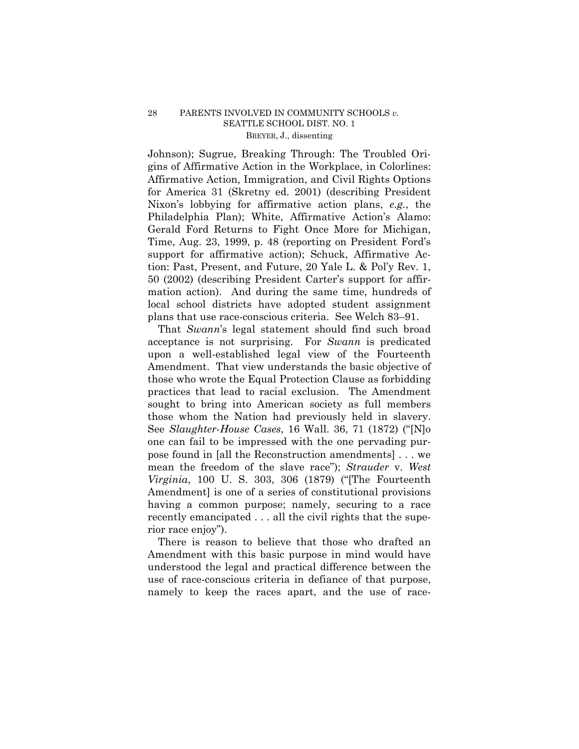Johnson); Sugrue, Breaking Through: The Troubled Origins of Affirmative Action in the Workplace, in Colorlines: Affirmative Action, Immigration, and Civil Rights Options for America 31 (Skretny ed. 2001) (describing President Nixonís lobbying for affirmative action plans, *e.g.*, the Philadelphia Plan); White, Affirmative Action's Alamo: Gerald Ford Returns to Fight Once More for Michigan, Time, Aug. 23, 1999, p. 48 (reporting on President Fordís support for affirmative action); Schuck, Affirmative Action: Past, Present, and Future, 20 Yale L. & Pol'y Rev. 1, 50 (2002) (describing President Carterís support for affirmation action). And during the same time, hundreds of local school districts have adopted student assignment plans that use race-conscious criteria. See Welch 83–91.

 That *Swann*ís legal statement should find such broad acceptance is not surprising. For *Swann* is predicated upon a well-established legal view of the Fourteenth Amendment. That view understands the basic objective of those who wrote the Equal Protection Clause as forbidding practices that lead to racial exclusion. The Amendment sought to bring into American society as full members those whom the Nation had previously held in slavery. See *Slaughter-House Cases*, 16 Wall. 36, 71 (1872) ("[N]o one can fail to be impressed with the one pervading purpose found in [all the Reconstruction amendments] . . . we mean the freedom of the slave race"); *Strauder* v. West *Virginia*, 100 U. S. 303, 306 (1879) ("The Fourteenth Amendment] is one of a series of constitutional provisions having a common purpose; namely, securing to a race recently emancipated . . . all the civil rights that the superior race enjoy").

 There is reason to believe that those who drafted an Amendment with this basic purpose in mind would have understood the legal and practical difference between the use of race-conscious criteria in defiance of that purpose, namely to keep the races apart, and the use of race-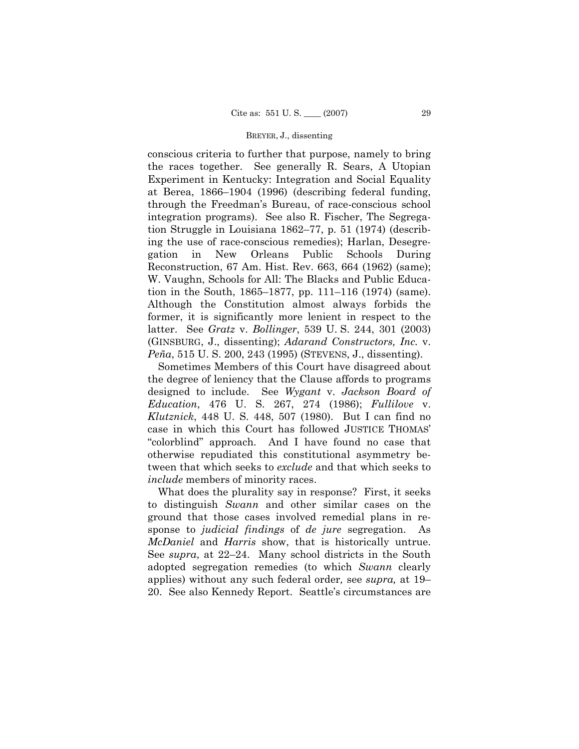conscious criteria to further that purpose, namely to bring the races together. See generally R. Sears, A Utopian Experiment in Kentucky: Integration and Social Equality at Berea,  $1866-1904$  (1996) (describing federal funding, through the Freedmanís Bureau, of race-conscious school integration programs). See also R. Fischer, The Segregation Struggle in Louisiana  $1862-77$ , p. 51 (1974) (describing the use of race-conscious remedies); Harlan, Desegregation in New Orleans Public Schools During Reconstruction, 67 Am. Hist. Rev. 663, 664 (1962) (same); W. Vaughn, Schools for All: The Blacks and Public Education in the South,  $1865-1877$ , pp. 111–116 (1974) (same). Although the Constitution almost always forbids the former, it is significantly more lenient in respect to the latter. See *Gratz* v. *Bollinger*, 539 U. S. 244, 301 (2003) (GINSBURG, J., dissenting); *Adarand Constructors, Inc.* v. *Peña*, 515 U. S. 200, 243 (1995) (STEVENS, J., dissenting).

 Sometimes Members of this Court have disagreed about the degree of leniency that the Clause affords to programs designed to include. See *Wygant* v. *Jackson Board of Education*, 476 U. S. 267, 274 (1986); *Fullilove* v. *Klutznick*, 448 U. S. 448, 507 (1980). But I can find no case in which this Court has followed JUSTICE THOMAS ìcolorblindî approach. And I have found no case that otherwise repudiated this constitutional asymmetry between that which seeks to *exclude* and that which seeks to *include* members of minority races.

 What does the plurality say in response? First, it seeks to distinguish *Swann* and other similar cases on the ground that those cases involved remedial plans in response to *judicial findings* of *de jure* segregation. As *McDaniel* and *Harris* show, that is historically untrue. See *supra*, at 22–24. Many school districts in the South adopted segregation remedies (to which *Swann* clearly applies) without any such federal order, see *supra*, at 19 20. See also Kennedy Report. Seattleís circumstances are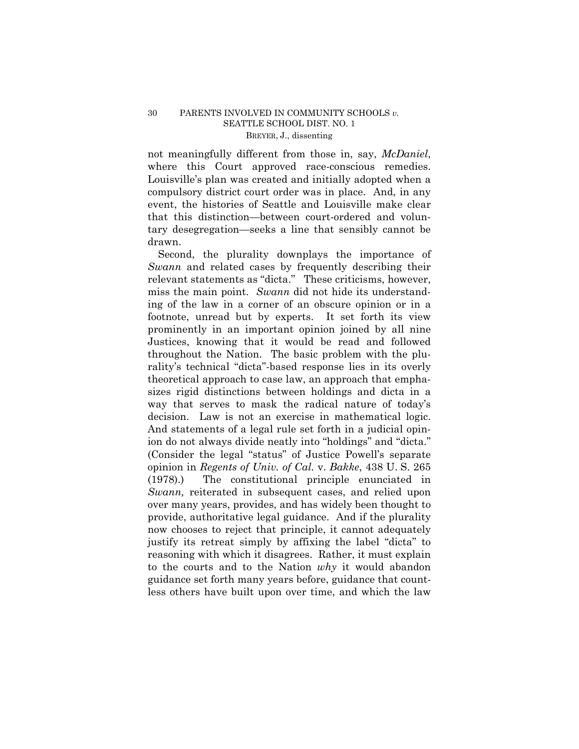not meaningfully different from those in, say, *McDaniel*, where this Court approved race-conscious remedies. Louisville's plan was created and initially adopted when a compulsory district court order was in place. And, in any event, the histories of Seattle and Louisville make clear that this distinction—between court-ordered and voluntary desegregation—seeks a line that sensibly cannot be drawn.

 Second, the plurality downplays the importance of *Swann* and related cases by frequently describing their relevant statements as "dicta." These criticisms, however, miss the main point. *Swann* did not hide its understanding of the law in a corner of an obscure opinion or in a footnote, unread but by experts. It set forth its view prominently in an important opinion joined by all nine Justices, knowing that it would be read and followed throughout the Nation. The basic problem with the plurality's technical "dicta"-based response lies in its overly theoretical approach to case law, an approach that emphasizes rigid distinctions between holdings and dicta in a way that serves to mask the radical nature of today's decision. Law is not an exercise in mathematical logic. And statements of a legal rule set forth in a judicial opinion do not always divide neatly into "holdings" and "dicta." (Consider the legal "status" of Justice Powell's separate opinion in *Regents of Univ. of Cal.* v. *Bakke*, 438 U. S. 265 (1978).) The constitutional principle enunciated in *Swann,* reiterated in subsequent cases, and relied upon over many years, provides, and has widely been thought to provide, authoritative legal guidance. And if the plurality now chooses to reject that principle, it cannot adequately justify its retreat simply by affixing the label "dicta" to reasoning with which it disagrees. Rather, it must explain to the courts and to the Nation *why* it would abandon guidance set forth many years before, guidance that countless others have built upon over time, and which the law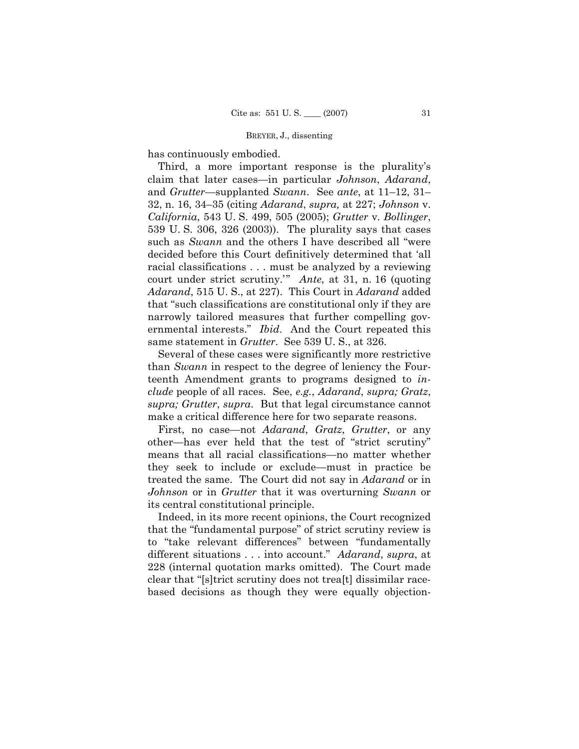has continuously embodied.

Third, a more important response is the plurality's claim that later cases—in particular *Johnson*, *Adarand*, and *Grutter*—supplanted *Swann*. See *ante*, at 11–12, 31– 32, n. 16, 34–35 (citing *Adarand*, *supra*, at 227; *Johnson* v. *California*, 543 U. S. 499, 505 (2005); *Grutter* v. *Bollinger*, 539 U. S. 306, 326 (2003)). The plurality says that cases such as *Swann* and the others I have described all "were decided before this Court definitively determined that 'all racial classifications . . . must be analyzed by a reviewing court under strict scrutiny.<sup>78</sup> *Ante*, at 31, n. 16 (quoting *Adarand*, 515 U. S., at 227). This Court in *Adarand* added that "such classifications are constitutional only if they are narrowly tailored measures that further compelling governmental interests." *Ibid*. And the Court repeated this same statement in *Grutter*. See 539 U. S., at 326.

 Several of these cases were significantly more restrictive than *Swann* in respect to the degree of leniency the Fourteenth Amendment grants to programs designed to *include* people of all races. See, *e.g.*, *Adarand*, *supra; Gratz*, *supra; Grutter*, *supra*. But that legal circumstance cannot make a critical difference here for two separate reasons.

First, no case—not *Adarand*, *Gratz*, *Grutter*, or any other—has ever held that the test of "strict scrutiny" means that all racial classifications—no matter whether they seek to include or exclude—must in practice be treated the same. The Court did not say in *Adarand* or in *Johnson* or in *Grutter* that it was overturning *Swann* or its central constitutional principle.

 Indeed, in its more recent opinions, the Court recognized that the "fundamental purpose" of strict scrutiny review is to "take relevant differences" between "fundamentally different situations . . . into account.î *Adarand*, *supra*, at 228 (internal quotation marks omitted). The Court made clear that " $[s]$ trict scrutiny does not trea $[t]$  dissimilar racebased decisions as though they were equally objection-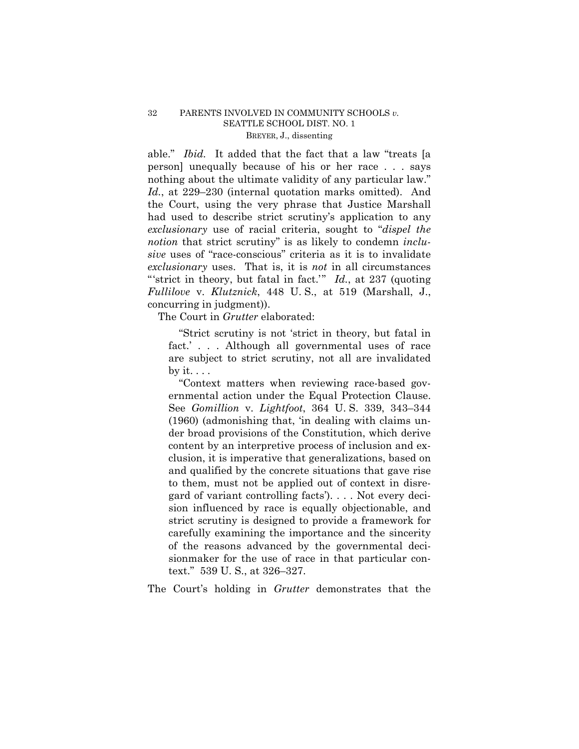able." *Ibid.* It added that the fact that a law "treats [a person] unequally because of his or her race . . . says nothing about the ultimate validity of any particular law." *Id.*, at 229–230 (internal quotation marks omitted). And the Court, using the very phrase that Justice Marshall had used to describe strict scrutiny's application to any *exclusionary* use of racial criteria, sought to *dispel the notion* that strict scrutiny" is as likely to condemn *inclu*sive uses of "race-conscious" criteria as it is to invalidate *exclusionary* uses. That is, it is *not* in all circumstances "strict in theory, but fatal in fact."  $Id.$ , at 237 (quoting *Fullilove* v. *Klutznick*, 448 U. S., at 519 (Marshall, J., concurring in judgment)).

The Court in *Grutter* elaborated:

 ìStrict scrutiny is not ëstrict in theory, but fatal in fact.'... Although all governmental uses of race are subject to strict scrutiny, not all are invalidated by it. . . .

 ìContext matters when reviewing race-based governmental action under the Equal Protection Clause. See *Gomillion* v. *Lightfoot*, 364 U.S. 339, 343–344 (1960) (admonishing that, ëin dealing with claims under broad provisions of the Constitution, which derive content by an interpretive process of inclusion and exclusion, it is imperative that generalizations, based on and qualified by the concrete situations that gave rise to them, must not be applied out of context in disregard of variant controlling facts').  $\ldots$  Not every decision influenced by race is equally objectionable, and strict scrutiny is designed to provide a framework for carefully examining the importance and the sincerity of the reasons advanced by the governmental decisionmaker for the use of race in that particular context." 539 U.S., at  $326-327$ .

The Court's holding in *Grutter* demonstrates that the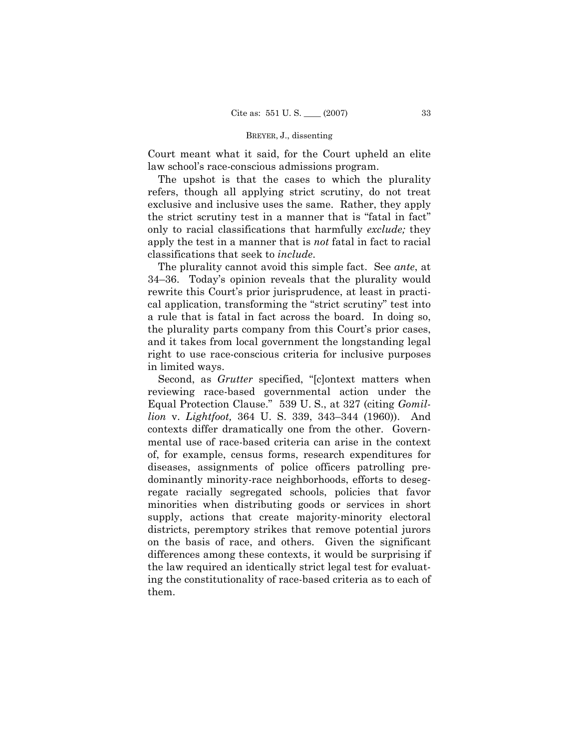Court meant what it said, for the Court upheld an elite law school's race-conscious admissions program.

 The upshot is that the cases to which the plurality refers, though all applying strict scrutiny, do not treat exclusive and inclusive uses the same. Rather, they apply the strict scrutiny test in a manner that is "fatal in fact" only to racial classifications that harmfully *exclude;* they apply the test in a manner that is *not* fatal in fact to racial classifications that seek to *include*.

 The plurality cannot avoid this simple fact. See *ante*, at 34–36. Today's opinion reveals that the plurality would rewrite this Court's prior jurisprudence, at least in practical application, transforming the "strict scrutiny" test into a rule that is fatal in fact across the board. In doing so, the plurality parts company from this Court's prior cases, and it takes from local government the longstanding legal right to use race-conscious criteria for inclusive purposes in limited ways.

Second, as *Grutter* specified, "[c]ontext matters when reviewing race-based governmental action under the Equal Protection Clause.î 539 U. S., at 327 (citing *Gomillion* v. *Lightfoot*, 364 U. S. 339, 343–344 (1960)). And contexts differ dramatically one from the other. Governmental use of race-based criteria can arise in the context of, for example, census forms, research expenditures for diseases, assignments of police officers patrolling predominantly minority-race neighborhoods, efforts to desegregate racially segregated schools, policies that favor minorities when distributing goods or services in short supply, actions that create majority-minority electoral districts, peremptory strikes that remove potential jurors on the basis of race, and others. Given the significant differences among these contexts, it would be surprising if the law required an identically strict legal test for evaluating the constitutionality of race-based criteria as to each of them.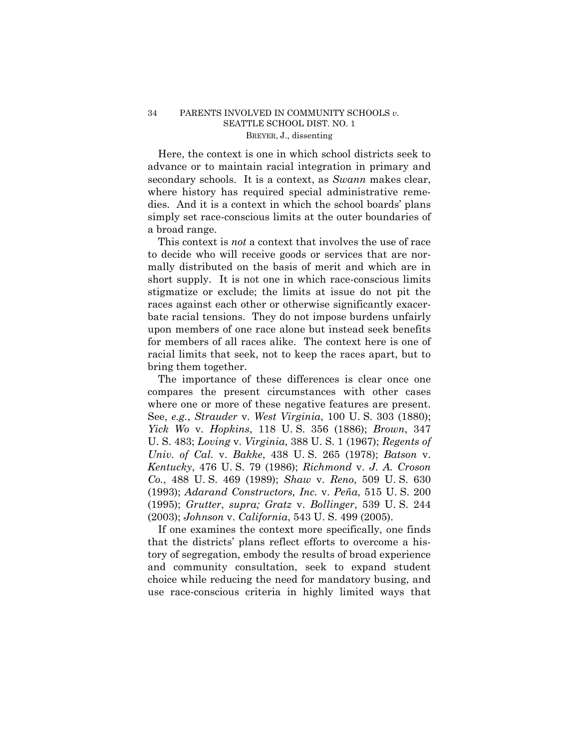Here, the context is one in which school districts seek to advance or to maintain racial integration in primary and secondary schools. It is a context, as *Swann* makes clear, where history has required special administrative remedies. And it is a context in which the school boards' plans simply set race-conscious limits at the outer boundaries of a broad range.

 This context is *not* a context that involves the use of race to decide who will receive goods or services that are normally distributed on the basis of merit and which are in short supply. It is not one in which race-conscious limits stigmatize or exclude; the limits at issue do not pit the races against each other or otherwise significantly exacerbate racial tensions. They do not impose burdens unfairly upon members of one race alone but instead seek benefits for members of all races alike. The context here is one of racial limits that seek, not to keep the races apart, but to bring them together.

 The importance of these differences is clear once one compares the present circumstances with other cases where one or more of these negative features are present. See, *e.g.*, *Strauder* v. *West Virginia*, 100 U. S. 303 (1880); *Yick Wo* v. *Hopkins*, 118 U. S. 356 (1886); *Brown*, 347 U. S. 483; *Loving* v. *Virginia*, 388 U. S. 1 (1967); *Regents of Univ. of Cal.* v. *Bakke*, 438 U. S. 265 (1978); *Batson* v. *Kentucky*, 476 U. S. 79 (1986); *Richmond* v. *J. A. Croson Co.*, 488 U. S. 469 (1989); *Shaw* v. *Reno*, 509 U. S. 630 (1993); *Adarand Constructors, Inc. v. Peña,* 515 U. S. 200 (1995); *Grutter*, *supra; Gratz* v. *Bollinger*, 539 U. S. 244 (2003); *Johnson* v. *California*, 543 U. S. 499 (2005).

 If one examines the context more specifically, one finds that the districts' plans reflect efforts to overcome a history of segregation, embody the results of broad experience and community consultation, seek to expand student choice while reducing the need for mandatory busing, and use race-conscious criteria in highly limited ways that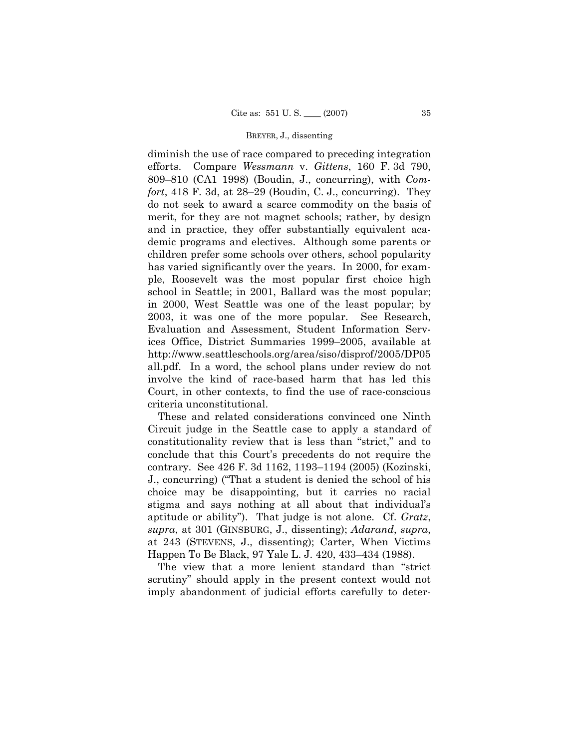diminish the use of race compared to preceding integration efforts. Compare *Wessmann* v. *Gittens*, 160 F. 3d 790, 809–810 (CA1 1998) (Boudin, J., concurring), with *Comfort*, 418 F. 3d, at  $28-29$  (Boudin, C. J., concurring). They do not seek to award a scarce commodity on the basis of merit, for they are not magnet schools; rather, by design and in practice, they offer substantially equivalent academic programs and electives. Although some parents or children prefer some schools over others, school popularity has varied significantly over the years. In 2000, for example, Roosevelt was the most popular first choice high school in Seattle; in 2001, Ballard was the most popular; in 2000, West Seattle was one of the least popular; by 2003, it was one of the more popular. See Research, Evaluation and Assessment, Student Information Services Office, District Summaries 1999–2005, available at http://www.seattleschools.org/area/siso/disprof/2005/DP05 all.pdf. In a word, the school plans under review do not involve the kind of race-based harm that has led this Court, in other contexts, to find the use of race-conscious criteria unconstitutional.

 These and related considerations convinced one Ninth Circuit judge in the Seattle case to apply a standard of constitutionality review that is less than "strict," and to conclude that this Court's precedents do not require the contrary. See 426 F. 3d 1162, 1193–1194 (2005) (Kozinski, J., concurring) ("That a student is denied the school of his choice may be disappointing, but it carries no racial stigma and says nothing at all about that individual's aptitude or abilityî). That judge is not alone. Cf. *Gratz*, *supra*, at 301 (GINSBURG, J., dissenting); *Adarand*, *supra*, at 243 (STEVENS, J., dissenting); Carter, When Victims Happen To Be Black, 97 Yale L. J. 420, 433–434 (1988).

The view that a more lenient standard than "strict" scrutinyî should apply in the present context would not imply abandonment of judicial efforts carefully to deter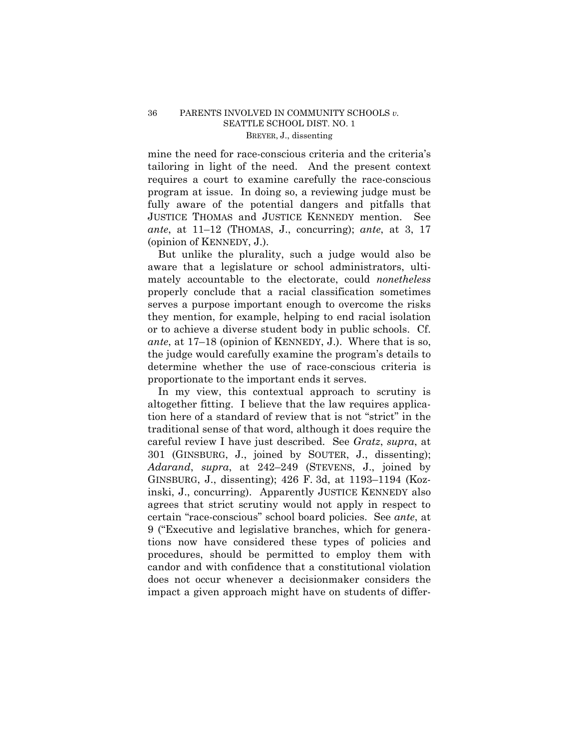mine the need for race-conscious criteria and the criteria's tailoring in light of the need. And the present context requires a court to examine carefully the race-conscious program at issue. In doing so, a reviewing judge must be fully aware of the potential dangers and pitfalls that JUSTICE THOMAS and JUSTICE KENNEDY mention. See *ante*, at 11–12 (THOMAS, J., concurring); *ante*, at 3, 17 (opinion of KENNEDY, J.).

 But unlike the plurality, such a judge would also be aware that a legislature or school administrators, ultimately accountable to the electorate, could *nonetheless*  properly conclude that a racial classification sometimes serves a purpose important enough to overcome the risks they mention, for example, helping to end racial isolation or to achieve a diverse student body in public schools. Cf. *ante*, at 17–18 (opinion of KENNEDY, J.). Where that is so, the judge would carefully examine the programís details to determine whether the use of race-conscious criteria is proportionate to the important ends it serves.

 In my view, this contextual approach to scrutiny is altogether fitting. I believe that the law requires application here of a standard of review that is not "strict" in the traditional sense of that word, although it does require the careful review I have just described. See *Gratz*, *supra*, at 301 (GINSBURG, J., joined by SOUTER, J., dissenting); *Adarand, supra, at 242–249 (STEVENS, J., joined by* GINSBURG, J., dissenting); 426 F. 3d, at 1193–1194 (Kozinski, J., concurring). Apparently JUSTICE KENNEDY also agrees that strict scrutiny would not apply in respect to certain "race-conscious" school board policies. See *ante*, at 9 ("Executive and legislative branches, which for generations now have considered these types of policies and procedures, should be permitted to employ them with candor and with confidence that a constitutional violation does not occur whenever a decisionmaker considers the impact a given approach might have on students of differ-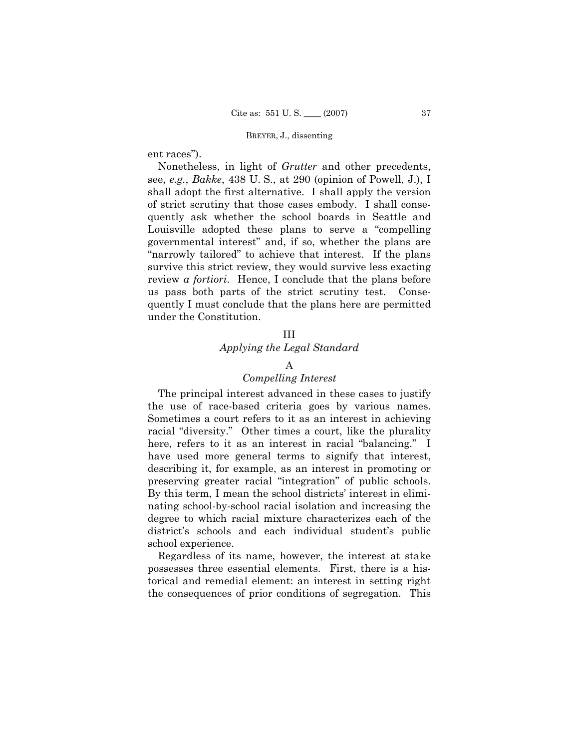ent races").

 Nonetheless, in light of *Grutter* and other precedents, see, *e.g.*, *Bakke*, 438 U. S., at 290 (opinion of Powell, J.), I shall adopt the first alternative. I shall apply the version of strict scrutiny that those cases embody. I shall consequently ask whether the school boards in Seattle and Louisville adopted these plans to serve a "compelling" governmental interest" and, if so, whether the plans are "narrowly tailored" to achieve that interest. If the plans survive this strict review, they would survive less exacting review *a fortiori*. Hence, I conclude that the plans before us pass both parts of the strict scrutiny test. Consequently I must conclude that the plans here are permitted under the Constitution.

### III

### *Applying the Legal Standard*

## A

### *Compelling Interest*

 The principal interest advanced in these cases to justify the use of race-based criteria goes by various names. Sometimes a court refers to it as an interest in achieving racial "diversity." Other times a court, like the plurality here, refers to it as an interest in racial "balancing." I have used more general terms to signify that interest, describing it, for example, as an interest in promoting or preserving greater racial "integration" of public schools. By this term, I mean the school districts' interest in eliminating school-by-school racial isolation and increasing the degree to which racial mixture characterizes each of the district's schools and each individual student's public school experience.

 Regardless of its name, however, the interest at stake possesses three essential elements. First, there is a historical and remedial element: an interest in setting right the consequences of prior conditions of segregation. This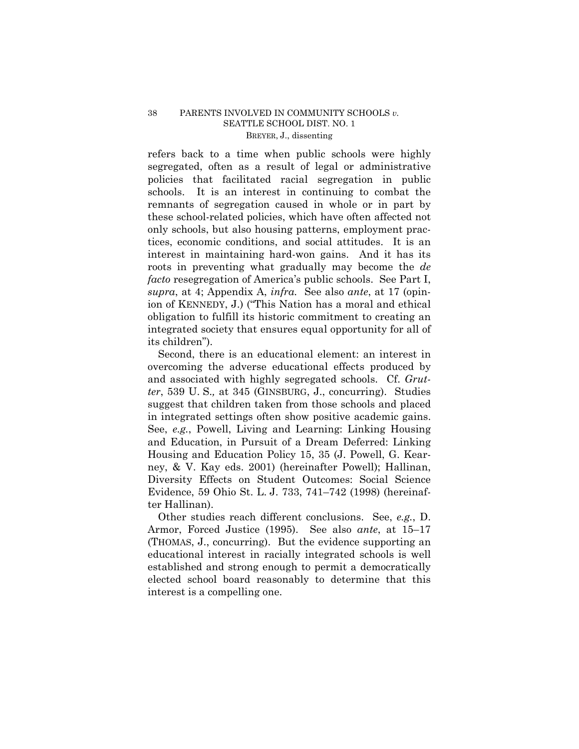refers back to a time when public schools were highly segregated, often as a result of legal or administrative policies that facilitated racial segregation in public schools. It is an interest in continuing to combat the remnants of segregation caused in whole or in part by these school-related policies, which have often affected not only schools, but also housing patterns, employment practices, economic conditions, and social attitudes. It is an interest in maintaining hard-won gains. And it has its roots in preventing what gradually may become the *de facto* resegregation of America's public schools. See Part I, *supra*, at 4; Appendix A, *infra.* See also *ante*, at 17 (opinion of KENNEDY, J.) ("This Nation has a moral and ethical obligation to fulfill its historic commitment to creating an integrated society that ensures equal opportunity for all of its children").

 Second, there is an educational element: an interest in overcoming the adverse educational effects produced by and associated with highly segregated schools. Cf. *Grutter*, 539 U. S.*,* at 345 (GINSBURG, J., concurring). Studies suggest that children taken from those schools and placed in integrated settings often show positive academic gains. See, *e.g.*, Powell, Living and Learning: Linking Housing and Education, in Pursuit of a Dream Deferred: Linking Housing and Education Policy 15, 35 (J. Powell, G. Kearney, & V. Kay eds. 2001) (hereinafter Powell); Hallinan, Diversity Effects on Student Outcomes: Social Science Evidence, 59 Ohio St. L. J. 733, 741–742 (1998) (hereinafter Hallinan).

 Other studies reach different conclusions. See, *e.g.*, D. Armor, Forced Justice (1995). See also *ante*, at 15-17 (THOMAS, J., concurring). But the evidence supporting an educational interest in racially integrated schools is well established and strong enough to permit a democratically elected school board reasonably to determine that this interest is a compelling one.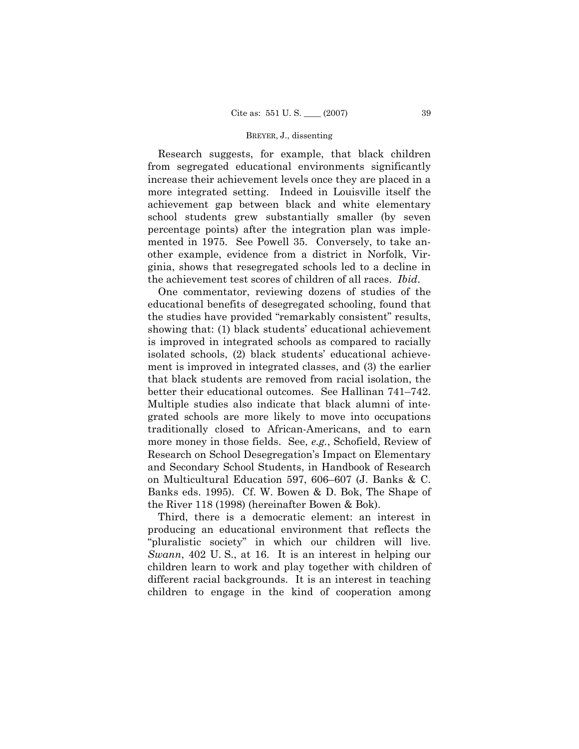Research suggests, for example, that black children from segregated educational environments significantly increase their achievement levels once they are placed in a more integrated setting. Indeed in Louisville itself the achievement gap between black and white elementary school students grew substantially smaller (by seven percentage points) after the integration plan was implemented in 1975. See Powell 35. Conversely, to take another example, evidence from a district in Norfolk, Virginia, shows that resegregated schools led to a decline in the achievement test scores of children of all races. *Ibid*.

 One commentator, reviewing dozens of studies of the educational benefits of desegregated schooling, found that the studies have provided "remarkably consistent" results, showing that: (1) black students' educational achievement is improved in integrated schools as compared to racially isolated schools, (2) black students' educational achievement is improved in integrated classes, and (3) the earlier that black students are removed from racial isolation, the better their educational outcomes. See Hallinan 741–742. Multiple studies also indicate that black alumni of integrated schools are more likely to move into occupations traditionally closed to African-Americans, and to earn more money in those fields. See, *e.g.*, Schofield, Review of Research on School Desegregationís Impact on Elementary and Secondary School Students, in Handbook of Research on Multicultural Education 597, 606–607 (J. Banks & C. Banks eds. 1995). Cf. W. Bowen & D. Bok, The Shape of the River 118 (1998) (hereinafter Bowen & Bok).

 Third, there is a democratic element: an interest in producing an educational environment that reflects the "pluralistic society" in which our children will live. *Swann*, 402 U. S., at 16. It is an interest in helping our children learn to work and play together with children of different racial backgrounds. It is an interest in teaching children to engage in the kind of cooperation among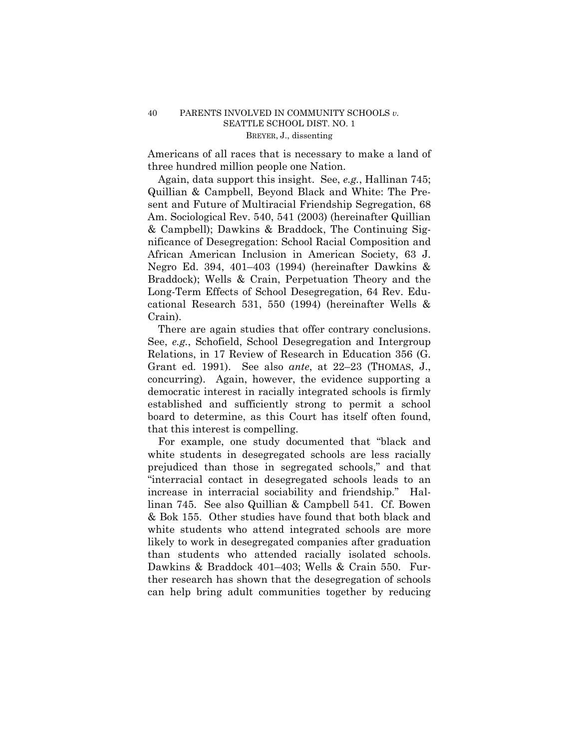Americans of all races that is necessary to make a land of three hundred million people one Nation.

 Again, data support this insight. See, *e.g.*, Hallinan 745; Quillian & Campbell, Beyond Black and White: The Present and Future of Multiracial Friendship Segregation, 68 Am. Sociological Rev. 540, 541 (2003) (hereinafter Quillian & Campbell); Dawkins & Braddock, The Continuing Significance of Desegregation: School Racial Composition and African American Inclusion in American Society, 63 J. Negro Ed. 394, 401–403 (1994) (hereinafter Dawkins  $\&$ Braddock); Wells & Crain, Perpetuation Theory and the Long-Term Effects of School Desegregation, 64 Rev. Educational Research 531, 550 (1994) (hereinafter Wells & Crain).

 There are again studies that offer contrary conclusions. See, *e.g.*, Schofield, School Desegregation and Intergroup Relations, in 17 Review of Research in Education 356 (G. Grant ed. 1991). See also *ante*, at 22–23 (THOMAS, J., concurring). Again, however, the evidence supporting a democratic interest in racially integrated schools is firmly established and sufficiently strong to permit a school board to determine, as this Court has itself often found, that this interest is compelling.

For example, one study documented that "black and white students in desegregated schools are less racially prejudiced than those in segregated schools," and that ìinterracial contact in desegregated schools leads to an increase in interracial sociability and friendship." Hallinan 745. See also Quillian & Campbell 541. Cf. Bowen & Bok 155. Other studies have found that both black and white students who attend integrated schools are more likely to work in desegregated companies after graduation than students who attended racially isolated schools. Dawkins & Braddock 401-403; Wells & Crain 550. Further research has shown that the desegregation of schools can help bring adult communities together by reducing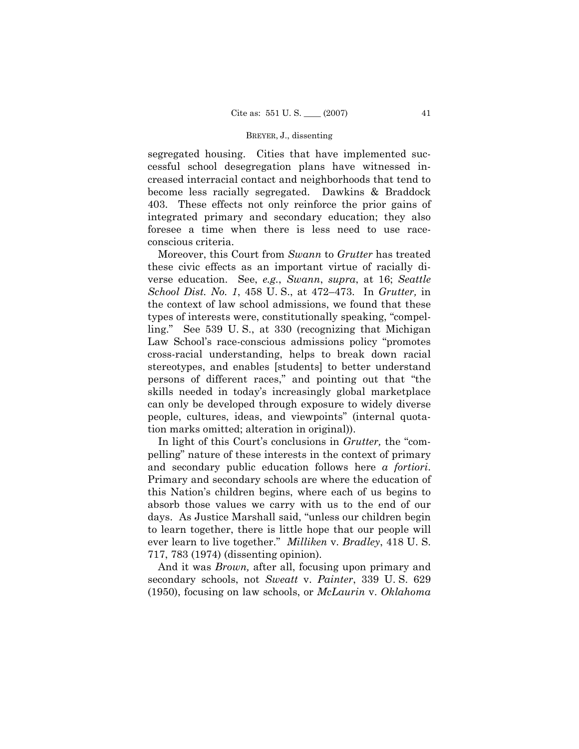segregated housing. Cities that have implemented successful school desegregation plans have witnessed increased interracial contact and neighborhoods that tend to become less racially segregated. Dawkins & Braddock 403. These effects not only reinforce the prior gains of integrated primary and secondary education; they also foresee a time when there is less need to use raceconscious criteria.

 Moreover, this Court from *Swann* to *Grutter* has treated these civic effects as an important virtue of racially diverse education. See, *e.g.*, *Swann*, *supra*, at 16; *Seattle School Dist. No. 1, 458 U.S., at 472–473. In <i>Grutter,* in the context of law school admissions, we found that these types of interests were, constitutionally speaking, "compelling." See 539 U.S., at 330 (recognizing that Michigan Law School's race-conscious admissions policy "promotes cross-racial understanding, helps to break down racial stereotypes, and enables [students] to better understand persons of different races," and pointing out that "the skills needed in todayís increasingly global marketplace can only be developed through exposure to widely diverse people, cultures, ideas, and viewpoints" (internal quotation marks omitted; alteration in original)).

In light of this Court's conclusions in *Grutter*, the "compellingî nature of these interests in the context of primary and secondary public education follows here *a fortiori*. Primary and secondary schools are where the education of this Nationís children begins, where each of us begins to absorb those values we carry with us to the end of our days. As Justice Marshall said, "unless our children begin to learn together, there is little hope that our people will ever learn to live together.î *Milliken* v. *Bradley*, 418 U. S. 717, 783 (1974) (dissenting opinion).

 And it was *Brown,* after all, focusing upon primary and secondary schools, not *Sweatt* v. *Painter*, 339 U. S. 629 (1950), focusing on law schools, or *McLaurin* v. *Oklahoma*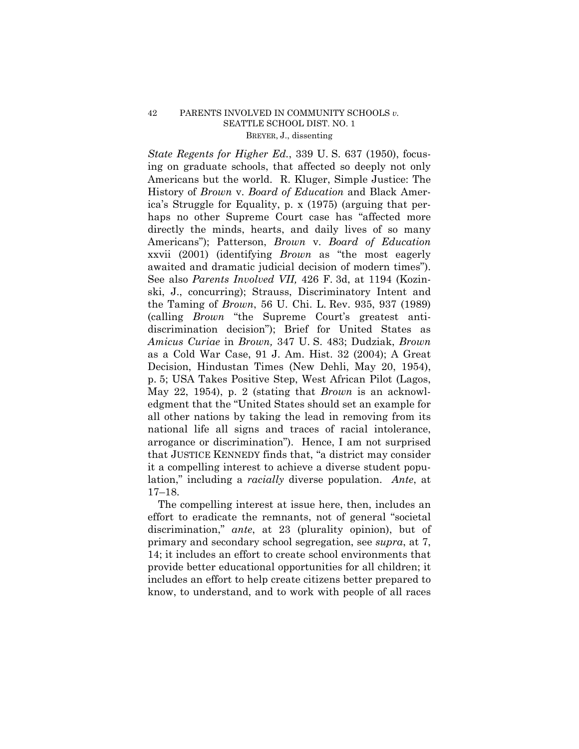*State Regents for Higher Ed.*, 339 U. S. 637 (1950), focusing on graduate schools, that affected so deeply not only Americans but the world. R. Kluger, Simple Justice: The History of *Brown* v. *Board of Education* and Black Americaís Struggle for Equality, p. x (1975) (arguing that perhaps no other Supreme Court case has "affected more directly the minds, hearts, and daily lives of so many Americansî); Patterson, *Brown* v. *Board of Education* xxvii (2001) (identifying *Brown* as "the most eagerly awaited and dramatic judicial decision of modern times"). See also *Parents Involved VII,* 426 F. 3d, at 1194 (Kozinski, J., concurring); Strauss, Discriminatory Intent and the Taming of *Brown*, 56 U. Chi. L. Rev. 935, 937 (1989) (calling *Brown* "the Supreme Court's greatest antidiscrimination decisionî); Brief for United States as *Amicus Curiae* in *Brown,* 347 U. S. 483; Dudziak, *Brown* as a Cold War Case, 91 J. Am. Hist. 32 (2004); A Great Decision, Hindustan Times (New Dehli, May 20, 1954), p. 5; USA Takes Positive Step, West African Pilot (Lagos, May 22, 1954), p. 2 (stating that *Brown* is an acknowledgment that the "United States should set an example for all other nations by taking the lead in removing from its national life all signs and traces of racial intolerance, arrogance or discriminationî). Hence, I am not surprised that JUSTICE KENNEDY finds that, "a district may consider it a compelling interest to achieve a diverse student population," including a *racially* diverse population. Ante, at  $17 - 18$ .

 The compelling interest at issue here, then, includes an effort to eradicate the remnants, not of general "societal" discrimination," ante, at 23 (plurality opinion), but of primary and secondary school segregation, see *supra*, at 7, 14; it includes an effort to create school environments that provide better educational opportunities for all children; it includes an effort to help create citizens better prepared to know, to understand, and to work with people of all races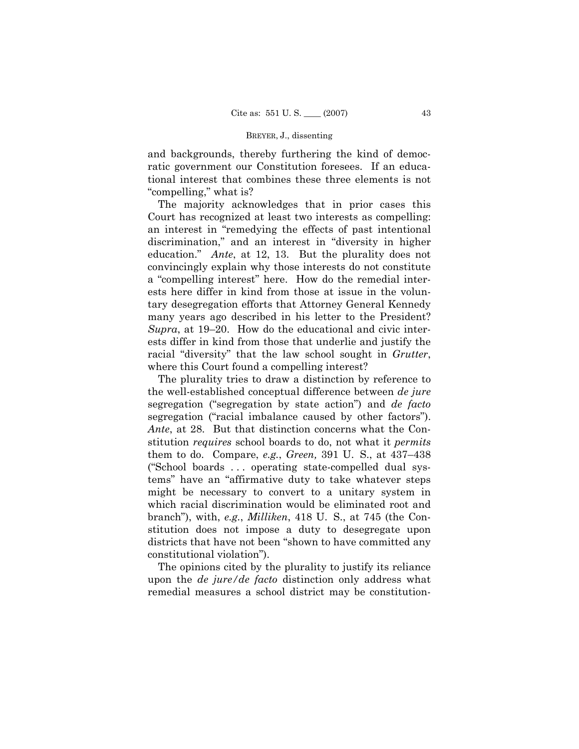and backgrounds, thereby furthering the kind of democratic government our Constitution foresees. If an educational interest that combines these three elements is not "compelling," what is?

 The majority acknowledges that in prior cases this Court has recognized at least two interests as compelling: an interest in "remedying the effects of past intentional discrimination," and an interest in "diversity in higher education.î *Ante*, at 12, 13. But the plurality does not convincingly explain why those interests do not constitute a "compelling interest" here. How do the remedial interests here differ in kind from those at issue in the voluntary desegregation efforts that Attorney General Kennedy many years ago described in his letter to the President? *Supra*, at 19–20. How do the educational and civic interests differ in kind from those that underlie and justify the racial "diversity" that the law school sought in *Grutter*, where this Court found a compelling interest?

 The plurality tries to draw a distinction by reference to the well-established conceptual difference between *de jure*  segregation ("segregation by state action") and *de facto* segregation ("racial imbalance caused by other factors"). *Ante*, at 28. But that distinction concerns what the Constitution *requires* school boards to do, not what it *permits*  them to do. Compare, *e.g.*, *Green*, 391 U. S., at 437–438 ("School boards ... operating state-compelled dual systems" have an "affirmative duty to take whatever steps might be necessary to convert to a unitary system in which racial discrimination would be eliminated root and branchî), with, *e.g.*, *Milliken*, 418 U. S., at 745 (the Constitution does not impose a duty to desegregate upon districts that have not been "shown to have committed any constitutional violationî).

 The opinions cited by the plurality to justify its reliance upon the *de jure/de facto* distinction only address what remedial measures a school district may be constitution-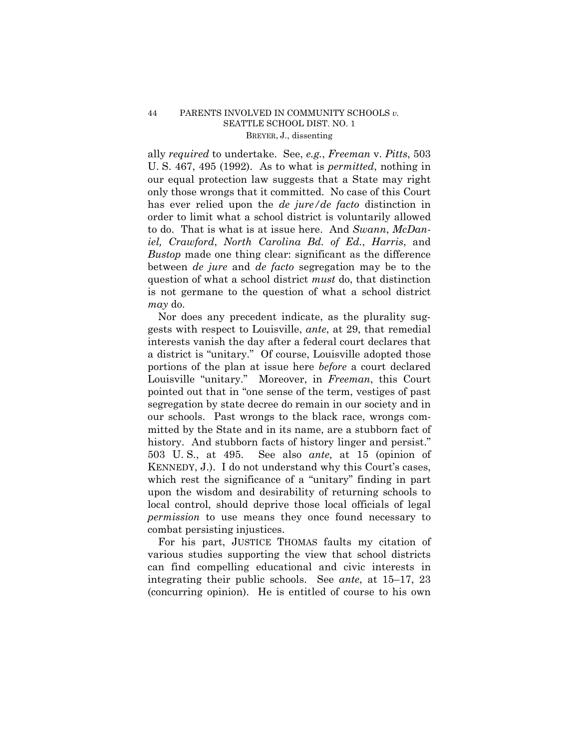ally *required* to undertake. See, *e.g.*, *Freeman* v. *Pitts*, 503 U. S. 467, 495 (1992). As to what is *permitted*, nothing in our equal protection law suggests that a State may right only those wrongs that it committed. No case of this Court has ever relied upon the *de jure/de facto* distinction in order to limit what a school district is voluntarily allowed to do. That is what is at issue here. And *Swann*, *McDaniel, Crawford*, *North Carolina Bd. of Ed.*, *Harris*, and *Bustop* made one thing clear: significant as the difference between *de jure* and *de facto* segregation may be to the question of what a school district *must* do, that distinction is not germane to the question of what a school district *may* do.

 Nor does any precedent indicate, as the plurality suggests with respect to Louisville, *ante*, at 29, that remedial interests vanish the day after a federal court declares that a district is "unitary." Of course, Louisville adopted those portions of the plan at issue here *before* a court declared Louisville "unitary." Moreover, in *Freeman*, this Court pointed out that in "one sense of the term, vestiges of past segregation by state decree do remain in our society and in our schools. Past wrongs to the black race, wrongs committed by the State and in its name, are a stubborn fact of history. And stubborn facts of history linger and persist." 503 U. S., at 495. See also *ante*, at 15 (opinion of KENNEDY, J.). I do not understand why this Court's cases, which rest the significance of a "unitary" finding in part upon the wisdom and desirability of returning schools to local control, should deprive those local officials of legal *permission* to use means they once found necessary to combat persisting injustices.

 For his part, JUSTICE THOMAS faults my citation of various studies supporting the view that school districts can find compelling educational and civic interests in integrating their public schools. See *ante*, at 15–17, 23 (concurring opinion). He is entitled of course to his own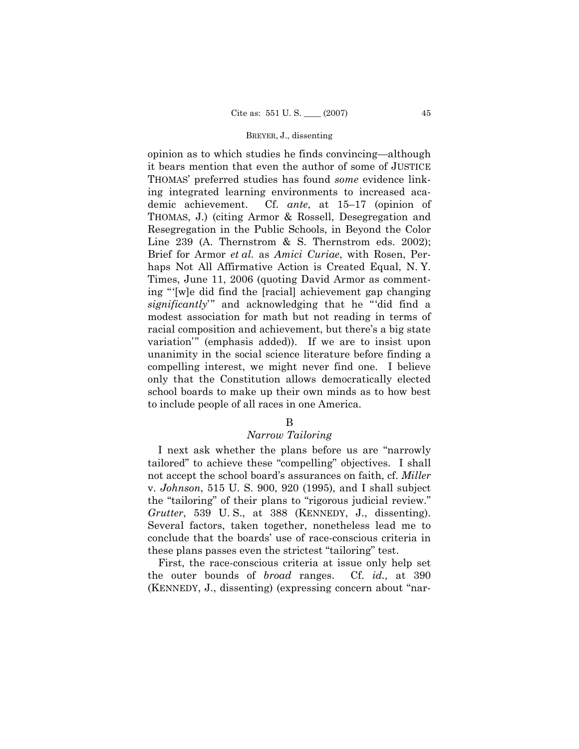opinion as to which studies he finds convincing—although it bears mention that even the author of some of JUSTICE THOMASí preferred studies has found *some* evidence linking integrated learning environments to increased academic achievement. Cf. ante, at 15-17 (opinion of THOMAS, J.) (citing Armor & Rossell, Desegregation and Resegregation in the Public Schools, in Beyond the Color Line 239 (A. Thernstrom & S. Thernstrom eds. 2002); Brief for Armor *et al.* as *Amici Curiae*, with Rosen, Perhaps Not All Affirmative Action is Created Equal, N. Y. Times, June 11, 2006 (quoting David Armor as commenting "[w]e did find the [racial] achievement gap changing *significantly*" and acknowledging that he "did find a modest association for math but not reading in terms of racial composition and achievement, but there's a big state variation<sup>"</sup> (emphasis added)). If we are to insist upon unanimity in the social science literature before finding a compelling interest, we might never find one. I believe only that the Constitution allows democratically elected school boards to make up their own minds as to how best to include people of all races in one America.

## B

### *Narrow Tailoring*

I next ask whether the plans before us are "narrowly tailored" to achieve these "compelling" objectives. I shall not accept the school board's assurances on faith, cf. *Miller* v. *Johnson*, 515 U. S. 900, 920 (1995), and I shall subject the "tailoring" of their plans to "rigorous judicial review." *Grutter*, 539 U. S., at 388 (KENNEDY, J., dissenting). Several factors, taken together, nonetheless lead me to conclude that the boards' use of race-conscious criteria in these plans passes even the strictest "tailoring" test.

 First, the race-conscious criteria at issue only help set the outer bounds of *broad* ranges. Cf. *id.,* at 390 (KENNEDY, J., dissenting) (expressing concern about "nar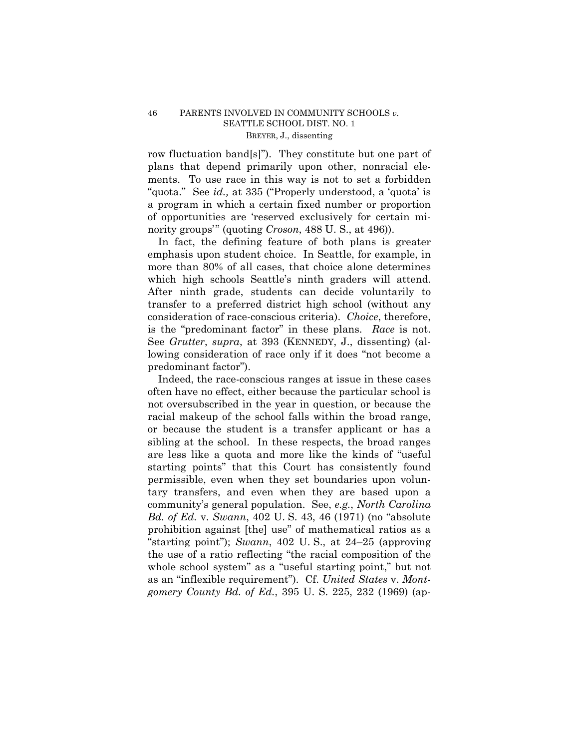row fluctuation band[s]"). They constitute but one part of plans that depend primarily upon other, nonracial elements. To use race in this way is not to set a forbidden "quota." See *id.*, at 335 ("Properly understood, a 'quota' is a program in which a certain fixed number or proportion of opportunities are ëreserved exclusively for certain minority groups<sup>3</sup> (quoting *Croson*, 488 U. S., at 496)).

 In fact, the defining feature of both plans is greater emphasis upon student choice. In Seattle, for example, in more than 80% of all cases, that choice alone determines which high schools Seattle's ninth graders will attend. After ninth grade, students can decide voluntarily to transfer to a preferred district high school (without any consideration of race-conscious criteria). *Choice*, therefore, is the "predominant factor" in these plans. *Race* is not. See *Grutter*, *supra*, at 393 (KENNEDY, J., dissenting) (allowing consideration of race only if it does "not become a predominant factor").

 Indeed, the race-conscious ranges at issue in these cases often have no effect, either because the particular school is not oversubscribed in the year in question, or because the racial makeup of the school falls within the broad range, or because the student is a transfer applicant or has a sibling at the school. In these respects, the broad ranges are less like a quota and more like the kinds of "useful" starting points" that this Court has consistently found permissible, even when they set boundaries upon voluntary transfers, and even when they are based upon a communityís general population. See, *e.g.*, *North Carolina Bd. of Ed. v. Swann,* 402 U. S. 43, 46 (1971) (no "absolute prohibition against [the] use" of mathematical ratios as a "starting point");  $Swann$ , 402 U.S., at 24–25 (approving the use of a ratio reflecting "the racial composition of the whole school system" as a "useful starting point," but not as an "inflexible requirement"). Cf. *United States v. Montgomery County Bd. of Ed.*, 395 U. S. 225, 232 (1969) (ap-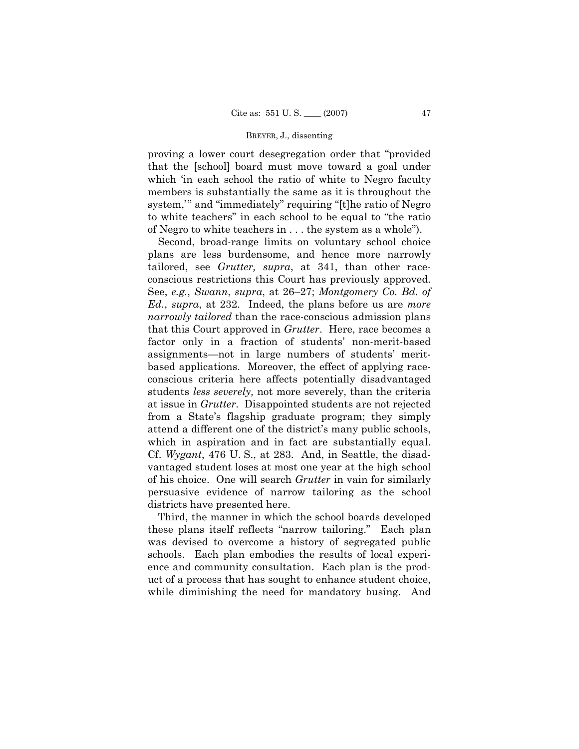proving a lower court desegregation order that "provided" that the [school] board must move toward a goal under which 'in each school the ratio of white to Negro faculty members is substantially the same as it is throughout the system," and "immediately" requiring "[t]he ratio of Negro to white teachers" in each school to be equal to "the ratio of Negro to white teachers in . . . the system as a whole").

 Second, broad-range limits on voluntary school choice plans are less burdensome, and hence more narrowly tailored, see *Grutter, supra*, at 341, than other raceconscious restrictions this Court has previously approved. See, *e.g.*, *Swann*, *supra*, at 26–27; *Montgomery Co. Bd. of Ed.*, *supra*, at 232. Indeed, the plans before us are *more narrowly tailored* than the race-conscious admission plans that this Court approved in *Grutter*. Here, race becomes a factor only in a fraction of students' non-merit-based assignments—not in large numbers of students' meritbased applications. Moreover, the effect of applying raceconscious criteria here affects potentially disadvantaged students *less severely,* not more severely, than the criteria at issue in *Grutter*. Disappointed students are not rejected from a State's flagship graduate program; they simply attend a different one of the district's many public schools, which in aspiration and in fact are substantially equal. Cf. *Wygant*, 476 U. S., at 283. And, in Seattle, the disadvantaged student loses at most one year at the high school of his choice. One will search *Grutter* in vain for similarly persuasive evidence of narrow tailoring as the school districts have presented here.

 Third, the manner in which the school boards developed these plans itself reflects "narrow tailoring." Each plan was devised to overcome a history of segregated public schools. Each plan embodies the results of local experience and community consultation. Each plan is the product of a process that has sought to enhance student choice, while diminishing the need for mandatory busing. And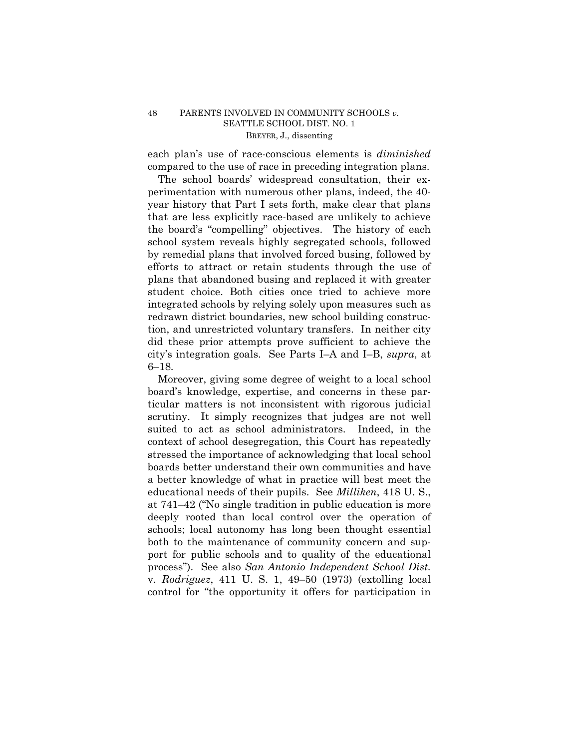each planís use of race-conscious elements is *diminished*  compared to the use of race in preceding integration plans.

The school boards' widespread consultation, their experimentation with numerous other plans, indeed, the 40 year history that Part I sets forth, make clear that plans that are less explicitly race-based are unlikely to achieve the board's "compelling" objectives. The history of each school system reveals highly segregated schools, followed by remedial plans that involved forced busing, followed by efforts to attract or retain students through the use of plans that abandoned busing and replaced it with greater student choice. Both cities once tried to achieve more integrated schools by relying solely upon measures such as redrawn district boundaries, new school building construction, and unrestricted voluntary transfers. In neither city did these prior attempts prove sufficient to achieve the city's integration goals. See Parts I–A and I–B, *supra*, at  $6 - 18$ .

 Moreover, giving some degree of weight to a local school boardís knowledge, expertise, and concerns in these particular matters is not inconsistent with rigorous judicial scrutiny. It simply recognizes that judges are not well suited to act as school administrators. Indeed, in the context of school desegregation, this Court has repeatedly stressed the importance of acknowledging that local school boards better understand their own communities and have a better knowledge of what in practice will best meet the educational needs of their pupils. See *Milliken*, 418 U. S., at  $741-42$  ("No single tradition in public education is more deeply rooted than local control over the operation of schools; local autonomy has long been thought essential both to the maintenance of community concern and support for public schools and to quality of the educational processî). See also *San Antonio Independent School Dist.* v. *Rodriguez*, 411 U. S. 1, 49–50 (1973) (extolling local control for "the opportunity it offers for participation in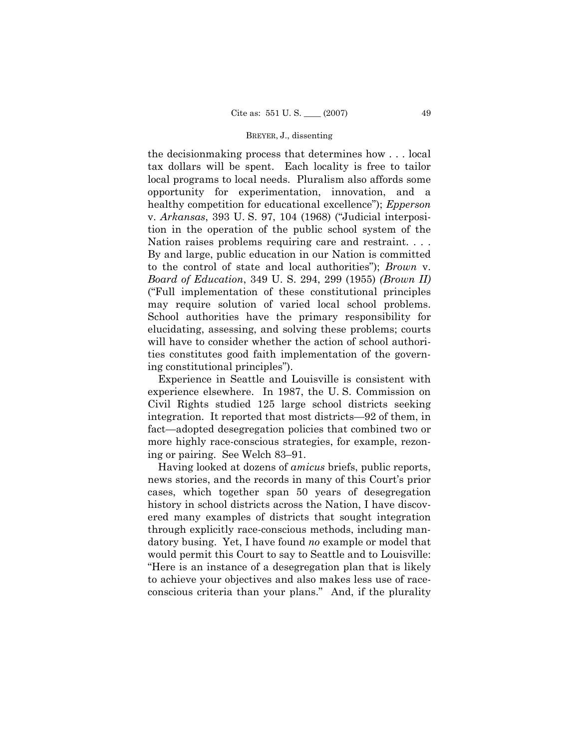the decisionmaking process that determines how . . . local tax dollars will be spent. Each locality is free to tailor local programs to local needs. Pluralism also affords some opportunity for experimentation, innovation, and a healthy competition for educational excellence"); *Epperson* v. *Arkansas*, 393 U. S. 97, 104 (1968) ("Judicial interposition in the operation of the public school system of the Nation raises problems requiring care and restraint. . . . By and large, public education in our Nation is committed to the control of state and local authoritiesî); *Brown* v. *Board of Education*, 349 U. S. 294, 299 (1955) *(Brown II)* ("Full implementation of these constitutional principles may require solution of varied local school problems. School authorities have the primary responsibility for elucidating, assessing, and solving these problems; courts will have to consider whether the action of school authorities constitutes good faith implementation of the governing constitutional principles").

 Experience in Seattle and Louisville is consistent with experience elsewhere. In 1987, the U. S. Commission on Civil Rights studied 125 large school districts seeking integration. It reported that most districts—92 of them, in fact—adopted desegregation policies that combined two or more highly race-conscious strategies, for example, rezoning or pairing. See Welch 83–91.

 Having looked at dozens of *amicus* briefs, public reports, news stories, and the records in many of this Court's prior cases, which together span 50 years of desegregation history in school districts across the Nation, I have discovered many examples of districts that sought integration through explicitly race-conscious methods, including mandatory busing. Yet, I have found *no* example or model that would permit this Court to say to Seattle and to Louisville: ìHere is an instance of a desegregation plan that is likely to achieve your objectives and also makes less use of raceconscious criteria than your plans." And, if the plurality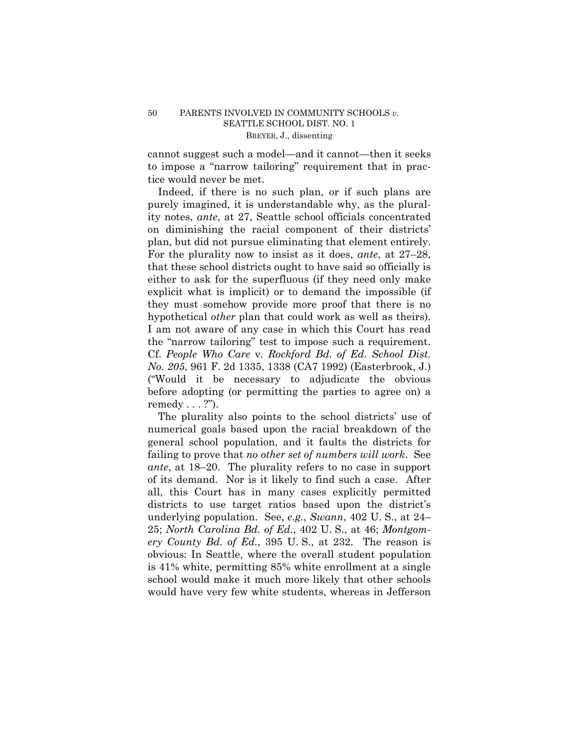cannot suggest such a model—and it cannot—then it seeks to impose a "narrow tailoring" requirement that in practice would never be met.

 Indeed, if there is no such plan, or if such plans are purely imagined, it is understandable why, as the plurality notes, *ante*, at 27, Seattle school officials concentrated on diminishing the racial component of their districts' plan, but did not pursue eliminating that element entirely. For the plurality now to insist as it does, *ante*, at  $27-28$ , that these school districts ought to have said so officially is either to ask for the superfluous (if they need only make explicit what is implicit) or to demand the impossible (if they must somehow provide more proof that there is no hypothetical *other* plan that could work as well as theirs). I am not aware of any case in which this Court has read the "narrow tailoring" test to impose such a requirement. Cf. *People Who Care* v. *Rockford Bd. of Ed. School Dist. No. 205*, 961 F. 2d 1335, 1338 (CA7 1992) (Easterbrook, J.) ("Would it be necessary to adjudicate the obvious before adopting (or permitting the parties to agree on) a remedy  $\dots$  ?").

The plurality also points to the school districts' use of numerical goals based upon the racial breakdown of the general school population, and it faults the districts for failing to prove that *no other set of numbers will work*. See *ante*, at 18–20. The plurality refers to no case in support of its demand. Nor is it likely to find such a case. After all, this Court has in many cases explicitly permitted districts to use target ratios based upon the district's underlying population. See, *e.g.*, *Swann*, 402 U.S., at 24– 25; *North Carolina Bd. of Ed.*, 402 U. S., at 46; *Montgomery County Bd. of Ed.*, 395 U. S., at 232. The reason is obvious: In Seattle, where the overall student population is 41% white, permitting 85% white enrollment at a single school would make it much more likely that other schools would have very few white students, whereas in Jefferson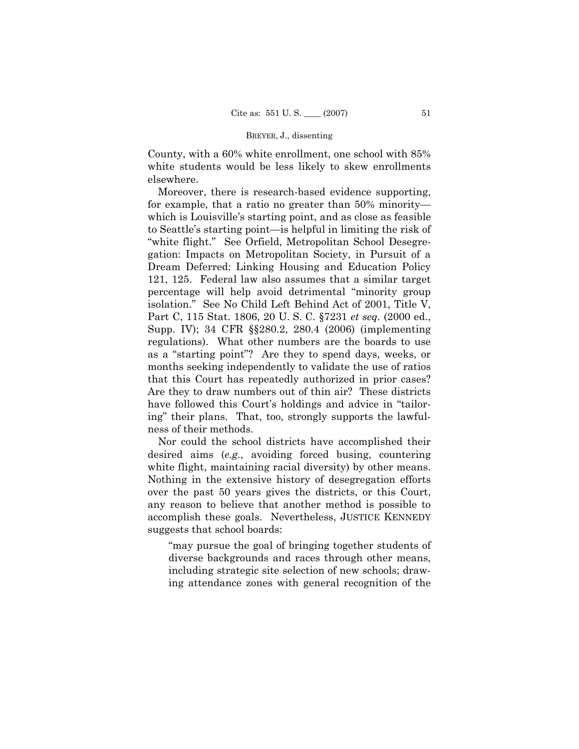County, with a 60% white enrollment, one school with 85% white students would be less likely to skew enrollments elsewhere.

 Moreover, there is research-based evidence supporting, for example, that a ratio no greater than  $50\%$  minority which is Louisville's starting point, and as close as feasible to Seattle's starting point—is helpful in limiting the risk of ìwhite flight.î See Orfield, Metropolitan School Desegregation: Impacts on Metropolitan Society, in Pursuit of a Dream Deferred: Linking Housing and Education Policy 121, 125. Federal law also assumes that a similar target percentage will help avoid detrimental "minority group" isolation." See No Child Left Behind Act of 2001, Title V, Part C, 115 Stat. 1806, 20 U. S. C. ß7231 *et seq.* (2000 ed., Supp. IV); 34 CFR ßß280.2, 280.4 (2006) (implementing regulations). What other numbers are the boards to use as a "starting point"? Are they to spend days, weeks, or months seeking independently to validate the use of ratios that this Court has repeatedly authorized in prior cases? Are they to draw numbers out of thin air? These districts have followed this Court's holdings and advice in "tailoring" their plans. That, too, strongly supports the lawfulness of their methods.

 Nor could the school districts have accomplished their desired aims (*e.g.*, avoiding forced busing, countering white flight, maintaining racial diversity) by other means. Nothing in the extensive history of desegregation efforts over the past 50 years gives the districts, or this Court, any reason to believe that another method is possible to accomplish these goals. Nevertheless, JUSTICE KENNEDY suggests that school boards:

ìmay pursue the goal of bringing together students of diverse backgrounds and races through other means, including strategic site selection of new schools; drawing attendance zones with general recognition of the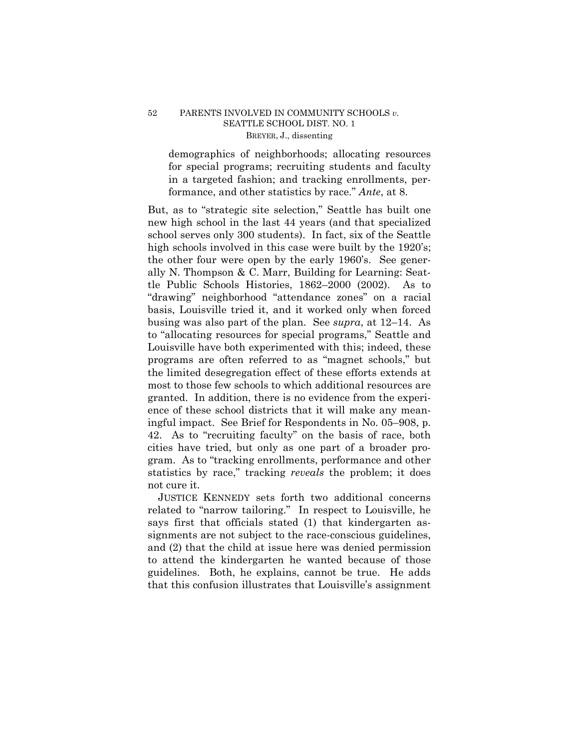demographics of neighborhoods; allocating resources for special programs; recruiting students and faculty in a targeted fashion; and tracking enrollments, performance, and other statistics by race.î *Ante*, at 8.

But, as to "strategic site selection," Seattle has built one new high school in the last 44 years (and that specialized school serves only 300 students). In fact, six of the Seattle high schools involved in this case were built by the 1920's; the other four were open by the early 1960's. See generally N. Thompson & C. Marr, Building for Learning: Seattle Public Schools Histories,  $1862-2000$  (2002). As to "drawing" neighborhood "attendance zones" on a racial basis, Louisville tried it, and it worked only when forced busing was also part of the plan. See *supra*, at 12–14. As to "allocating resources for special programs," Seattle and Louisville have both experimented with this; indeed, these programs are often referred to as "magnet schools," but the limited desegregation effect of these efforts extends at most to those few schools to which additional resources are granted. In addition, there is no evidence from the experience of these school districts that it will make any meaningful impact. See Brief for Respondents in No.  $05-908$ , p. 42. As to "recruiting faculty" on the basis of race, both cities have tried, but only as one part of a broader program. As to "tracking enrollments, performance and other statistics by race," tracking *reveals* the problem; it does not cure it.

 JUSTICE KENNEDY sets forth two additional concerns related to "narrow tailoring." In respect to Louisville, he says first that officials stated (1) that kindergarten assignments are not subject to the race-conscious guidelines, and (2) that the child at issue here was denied permission to attend the kindergarten he wanted because of those guidelines. Both, he explains, cannot be true. He adds that this confusion illustrates that Louisville's assignment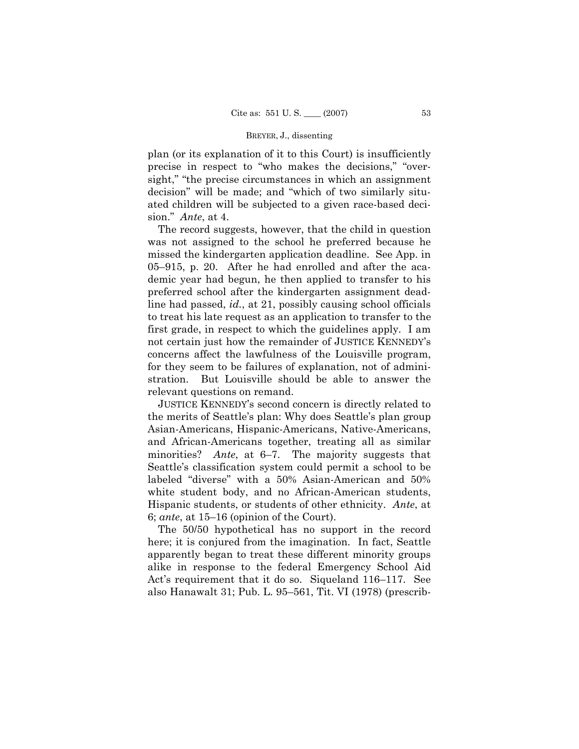plan (or its explanation of it to this Court) is insufficiently precise in respect to "who makes the decisions," "oversight," "the precise circumstances in which an assignment decision" will be made; and "which of two similarly situated children will be subjected to a given race-based decision.î *Ante*, at 4.

 The record suggests, however, that the child in question was not assigned to the school he preferred because he missed the kindergarten application deadline. See App. in 05–915, p. 20. After he had enrolled and after the academic year had begun, he then applied to transfer to his preferred school after the kindergarten assignment deadline had passed, *id.*, at 21, possibly causing school officials to treat his late request as an application to transfer to the first grade, in respect to which the guidelines apply. I am not certain just how the remainder of JUSTICE KENNEDYís concerns affect the lawfulness of the Louisville program, for they seem to be failures of explanation, not of administration. But Louisville should be able to answer the relevant questions on remand.

 JUSTICE KENNEDYís second concern is directly related to the merits of Seattle's plan: Why does Seattle's plan group Asian-Americans, Hispanic-Americans, Native-Americans, and African-Americans together, treating all as similar minorities? *Ante*, at 6–7. The majority suggests that Seattle's classification system could permit a school to be labeled "diverse" with a 50% Asian-American and 50% white student body, and no African-American students, Hispanic students, or students of other ethnicity. *Ante*, at 6; ante, at 15-16 (opinion of the Court).

 The 50/50 hypothetical has no support in the record here; it is conjured from the imagination. In fact, Seattle apparently began to treat these different minority groups alike in response to the federal Emergency School Aid Act's requirement that it do so. Siqueland 116–117. See also Hanawalt 31; Pub. L. 95–561, Tit. VI (1978) (prescrib-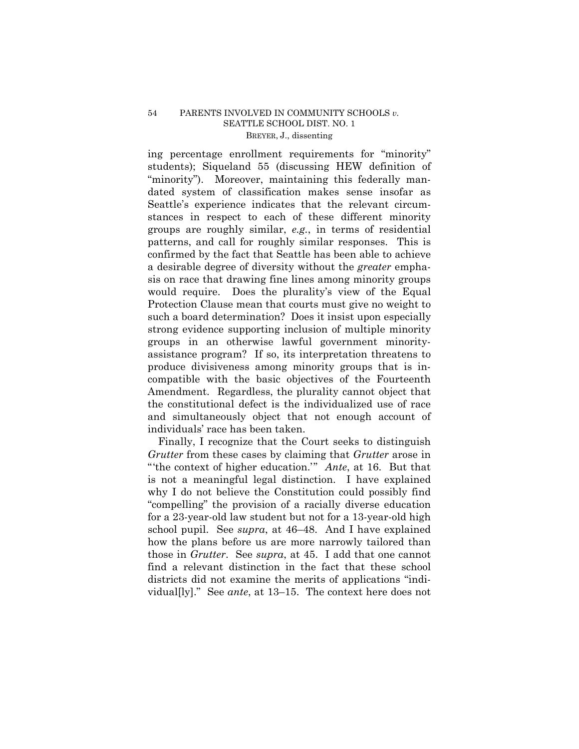ing percentage enrollment requirements for "minority" students); Siqueland 55 (discussing HEW definition of "minority"). Moreover, maintaining this federally mandated system of classification makes sense insofar as Seattle's experience indicates that the relevant circumstances in respect to each of these different minority groups are roughly similar, *e.g.*, in terms of residential patterns, and call for roughly similar responses. This is confirmed by the fact that Seattle has been able to achieve a desirable degree of diversity without the *greater* emphasis on race that drawing fine lines among minority groups would require. Does the plurality's view of the Equal Protection Clause mean that courts must give no weight to such a board determination? Does it insist upon especially strong evidence supporting inclusion of multiple minority groups in an otherwise lawful government minorityassistance program? If so, its interpretation threatens to produce divisiveness among minority groups that is incompatible with the basic objectives of the Fourteenth Amendment. Regardless, the plurality cannot object that the constitutional defect is the individualized use of race and simultaneously object that not enough account of individualsí race has been taken.

 Finally, I recognize that the Court seeks to distinguish *Grutter* from these cases by claiming that *Grutter* arose in ìëthe context of higher education.íî *Ante*, at 16. But that is not a meaningful legal distinction. I have explained why I do not believe the Constitution could possibly find ìcompellingî the provision of a racially diverse education for a 23-year-old law student but not for a 13-year-old high school pupil. See *supra*, at 46–48. And I have explained how the plans before us are more narrowly tailored than those in *Grutter*. See *supra*, at 45. I add that one cannot find a relevant distinction in the fact that these school districts did not examine the merits of applications "individual[ly]." See *ante*, at 13–15. The context here does not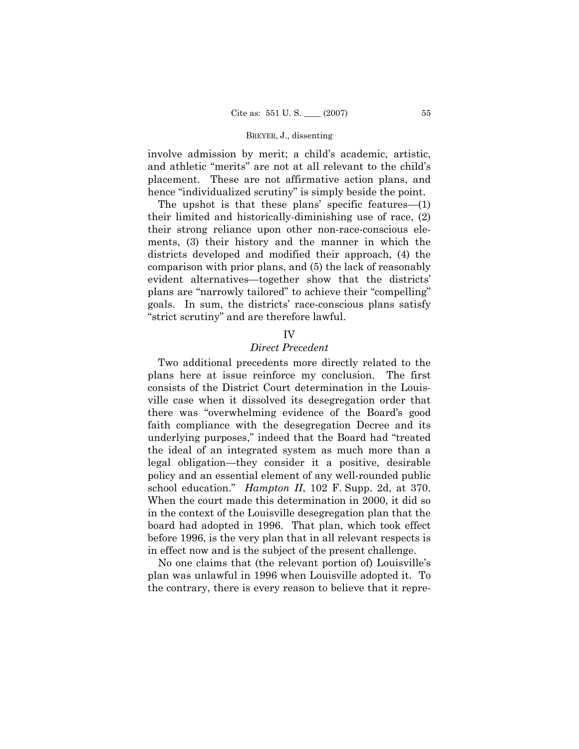involve admission by merit; a child's academic, artistic, and athletic "merits" are not at all relevant to the child's placement. These are not affirmative action plans, and hence "individualized scrutiny" is simply beside the point.

The upshot is that these plans' specific features— $(1)$ their limited and historically-diminishing use of race, (2) their strong reliance upon other non-race-conscious elements, (3) their history and the manner in which the districts developed and modified their approach, (4) the comparison with prior plans, and (5) the lack of reasonably evident alternatives—together show that the districts' plans are "narrowly tailored" to achieve their "compelling" goals. In sum, the districtsí race-conscious plans satisfy ìstrict scrutinyî and are therefore lawful.

## IV

## *Direct Precedent*

 Two additional precedents more directly related to the plans here at issue reinforce my conclusion. The first consists of the District Court determination in the Louisville case when it dissolved its desegregation order that there was "overwhelming evidence of the Board's good faith compliance with the desegregation Decree and its underlying purposes," indeed that the Board had "treated the ideal of an integrated system as much more than a legal obligation—they consider it a positive, desirable policy and an essential element of any well-rounded public school education.î *Hampton II*, 102 F. Supp. 2d, at 370. When the court made this determination in 2000, it did so in the context of the Louisville desegregation plan that the board had adopted in 1996. That plan, which took effect before 1996, is the very plan that in all relevant respects is in effect now and is the subject of the present challenge.

No one claims that (the relevant portion of) Louisville's plan was unlawful in 1996 when Louisville adopted it. To the contrary, there is every reason to believe that it repre-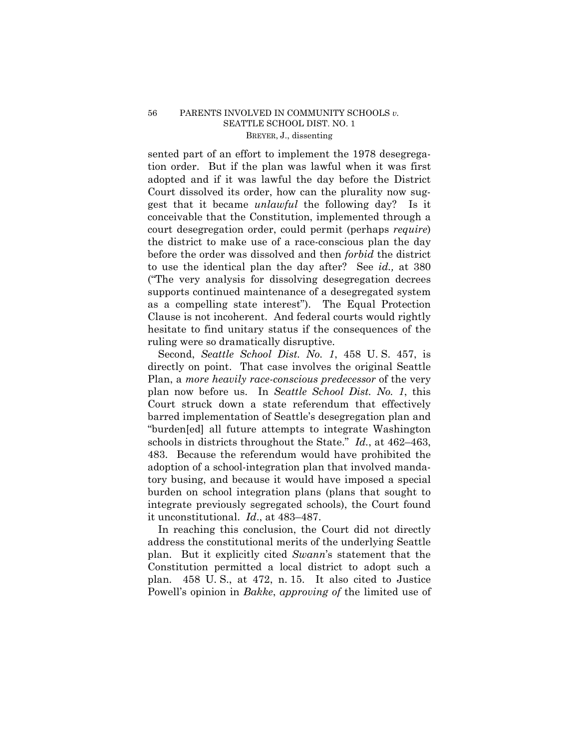sented part of an effort to implement the 1978 desegregation order. But if the plan was lawful when it was first adopted and if it was lawful the day before the District Court dissolved its order, how can the plurality now suggest that it became *unlawful* the following day? Is it conceivable that the Constitution, implemented through a court desegregation order, could permit (perhaps *require*) the district to make use of a race-conscious plan the day before the order was dissolved and then *forbid* the district to use the identical plan the day after? See *id.,* at 380 ("The very analysis for dissolving desegregation decrees") supports continued maintenance of a desegregated system as a compelling state interest"). The Equal Protection Clause is not incoherent. And federal courts would rightly hesitate to find unitary status if the consequences of the ruling were so dramatically disruptive.

 Second, *Seattle School Dist. No. 1*, 458 U. S. 457, is directly on point. That case involves the original Seattle Plan, a *more heavily race-conscious predecessor* of the very plan now before us. In *Seattle School Dist. No. 1*, this Court struck down a state referendum that effectively barred implementation of Seattle's desegregation plan and ìburden[ed] all future attempts to integrate Washington schools in districts throughout the State.<sup>n</sup> *Id.*, at 462–463, 483. Because the referendum would have prohibited the adoption of a school-integration plan that involved mandatory busing, and because it would have imposed a special burden on school integration plans (plans that sought to integrate previously segregated schools), the Court found it unconstitutional. *Id.*, at 483–487.

 In reaching this conclusion, the Court did not directly address the constitutional merits of the underlying Seattle plan. But it explicitly cited *Swann*ís statement that the Constitution permitted a local district to adopt such a plan. 458 U. S., at 472, n. 15. It also cited to Justice Powell's opinion in *Bakke*, *approving of* the limited use of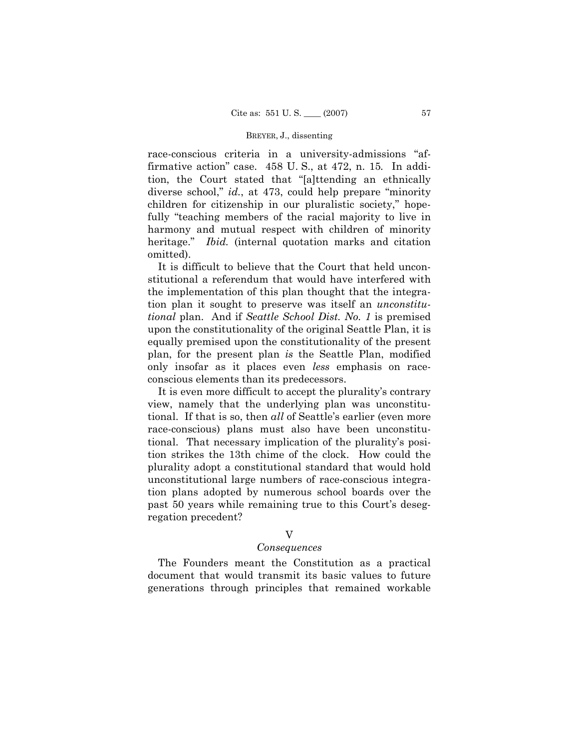race-conscious criteria in a university-admissions "affirmative actionî case. 458 U. S., at 472, n. 15*.* In addition, the Court stated that "[a]ttending an ethnically diverse school," *id.*, at 473, could help prepare "minority" children for citizenship in our pluralistic society," hopefully "teaching members of the racial majority to live in harmony and mutual respect with children of minority heritage." *Ibid.* (internal quotation marks and citation omitted).

 It is difficult to believe that the Court that held unconstitutional a referendum that would have interfered with the implementation of this plan thought that the integration plan it sought to preserve was itself an *unconstitutional* plan. And if *Seattle School Dist. No. 1* is premised upon the constitutionality of the original Seattle Plan, it is equally premised upon the constitutionality of the present plan, for the present plan *is* the Seattle Plan, modified only insofar as it places even *less* emphasis on raceconscious elements than its predecessors.

It is even more difficult to accept the plurality's contrary view, namely that the underlying plan was unconstitutional. If that is so, then *all* of Seattle's earlier (even more race-conscious) plans must also have been unconstitutional. That necessary implication of the pluralityís position strikes the 13th chime of the clock. How could the plurality adopt a constitutional standard that would hold unconstitutional large numbers of race-conscious integration plans adopted by numerous school boards over the past 50 years while remaining true to this Court's desegregation precedent?

### V

### *Consequences*

 The Founders meant the Constitution as a practical document that would transmit its basic values to future generations through principles that remained workable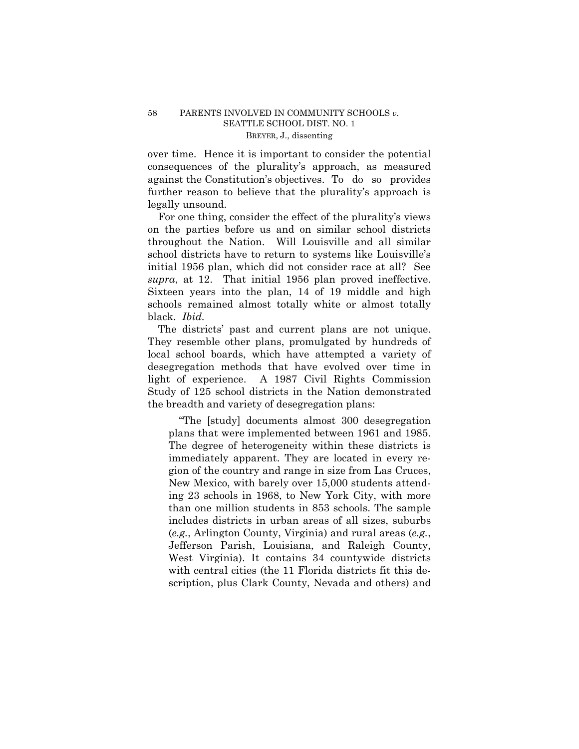over time. Hence it is important to consider the potential consequences of the pluralityís approach, as measured against the Constitutionís objectives. To do so provides further reason to believe that the plurality's approach is legally unsound.

For one thing, consider the effect of the plurality's views on the parties before us and on similar school districts throughout the Nation. Will Louisville and all similar school districts have to return to systems like Louisville's initial 1956 plan, which did not consider race at all? See *supra*, at 12. That initial 1956 plan proved ineffective. Sixteen years into the plan, 14 of 19 middle and high schools remained almost totally white or almost totally black. *Ibid.*

The districts' past and current plans are not unique. They resemble other plans, promulgated by hundreds of local school boards, which have attempted a variety of desegregation methods that have evolved over time in light of experience. A 1987 Civil Rights Commission Study of 125 school districts in the Nation demonstrated the breadth and variety of desegregation plans:

 ìThe [study] documents almost 300 desegregation plans that were implemented between 1961 and 1985. The degree of heterogeneity within these districts is immediately apparent. They are located in every region of the country and range in size from Las Cruces, New Mexico, with barely over 15,000 students attending 23 schools in 1968, to New York City, with more than one million students in 853 schools. The sample includes districts in urban areas of all sizes, suburbs (*e.g.*, Arlington County, Virginia) and rural areas (*e.g.*, Jefferson Parish, Louisiana, and Raleigh County, West Virginia). It contains 34 countywide districts with central cities (the 11 Florida districts fit this description, plus Clark County, Nevada and others) and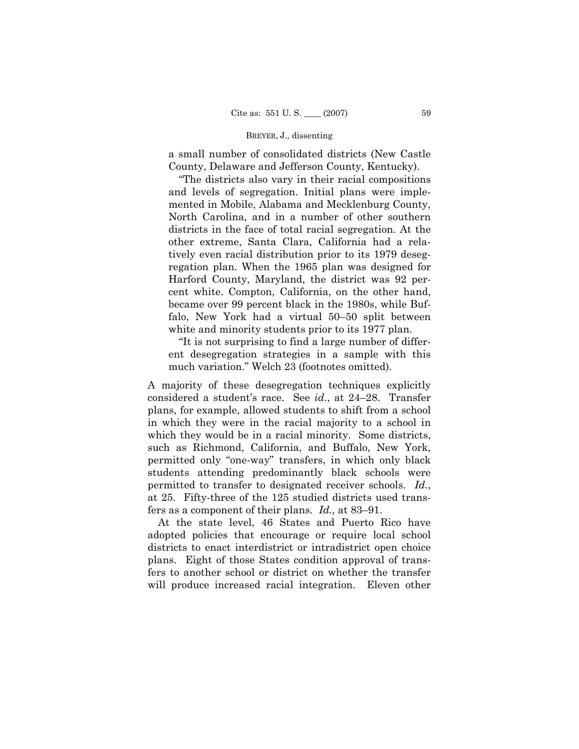a small number of consolidated districts (New Castle County, Delaware and Jefferson County, Kentucky).

 ìThe districts also vary in their racial compositions and levels of segregation. Initial plans were implemented in Mobile, Alabama and Mecklenburg County, North Carolina, and in a number of other southern districts in the face of total racial segregation. At the other extreme, Santa Clara, California had a relatively even racial distribution prior to its 1979 desegregation plan. When the 1965 plan was designed for Harford County, Maryland, the district was 92 percent white. Compton, California, on the other hand, became over 99 percent black in the 1980s, while Buffalo, New York had a virtual  $50-50$  split between white and minority students prior to its 1977 plan.

 ìIt is not surprising to find a large number of different desegregation strategies in a sample with this much variation." Welch 23 (footnotes omitted).

A majority of these desegregation techniques explicitly considered a student's race. See *id.*, at 24–28. Transfer plans, for example, allowed students to shift from a school in which they were in the racial majority to a school in which they would be in a racial minority. Some districts, such as Richmond, California, and Buffalo, New York, permitted only "one-way" transfers, in which only black students attending predominantly black schools were permitted to transfer to designated receiver schools. *Id.*, at 25. Fifty-three of the 125 studied districts used transfers as a component of their plans.  $Id.$ , at 83–91.

 At the state level, 46 States and Puerto Rico have adopted policies that encourage or require local school districts to enact interdistrict or intradistrict open choice plans. Eight of those States condition approval of transfers to another school or district on whether the transfer will produce increased racial integration. Eleven other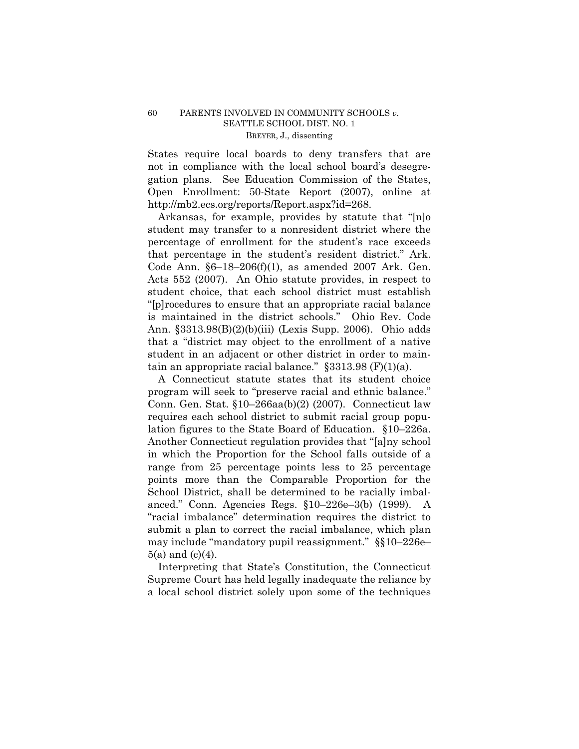States require local boards to deny transfers that are not in compliance with the local school board's desegregation plans. See Education Commission of the States, Open Enrollment: 50-State Report (2007), online at http://mb2.ecs.org/reports/Report.aspx?id=268.

Arkansas, for example, provides by statute that  $\lceil n \rceil$ student may transfer to a nonresident district where the percentage of enrollment for the student's race exceeds that percentage in the student's resident district." Ark. Code Ann.  $6-18-206(f)(1)$ , as amended 2007 Ark. Gen. Acts 552 (2007). An Ohio statute provides, in respect to student choice, that each school district must establish ì[p]rocedures to ensure that an appropriate racial balance is maintained in the district schools." Ohio Rev. Code Ann. ß3313.98(B)(2)(b)(iii) (Lexis Supp. 2006). Ohio adds that a "district may object to the enrollment of a native student in an adjacent or other district in order to maintain an appropriate racial balance."  $\S 3313.98$  (F)(1)(a).

 A Connecticut statute states that its student choice program will seek to "preserve racial and ethnic balance." Conn. Gen. Stat.  $$10-266$ aa(b)(2) (2007). Connecticut law requires each school district to submit racial group population figures to the State Board of Education.  $$10-226a$ . Another Connecticut regulation provides that "[a]ny school in which the Proportion for the School falls outside of a range from 25 percentage points less to 25 percentage points more than the Comparable Proportion for the School District, shall be determined to be racially imbalanced." Conn. Agencies Regs.  $$10-226e-3(b)$  (1999). A ìracial imbalanceî determination requires the district to submit a plan to correct the racial imbalance, which plan may include "mandatory pupil reassignment."  $\S10-226e$  $5(a)$  and  $(c)(4)$ .

Interpreting that State's Constitution, the Connecticut Supreme Court has held legally inadequate the reliance by a local school district solely upon some of the techniques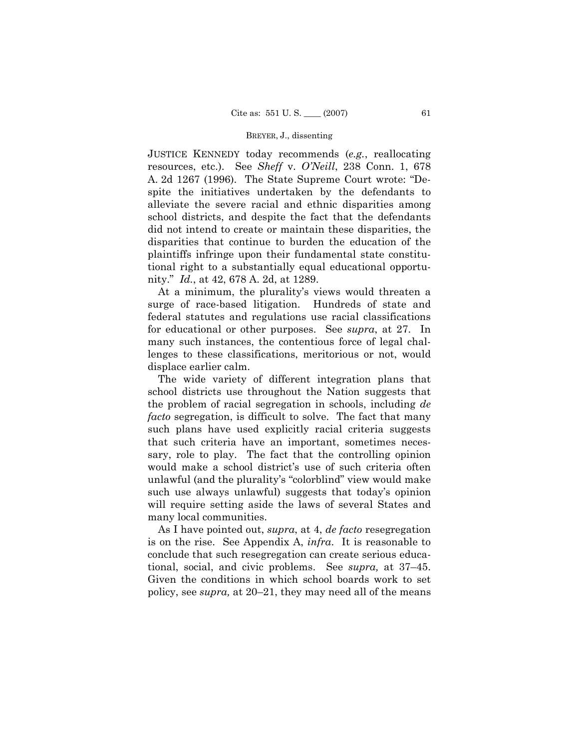JUSTICE KENNEDY today recommends (*e.g.*, reallocating resources, etc.). See *Sheff* v. *OíNeill*, 238 Conn. 1, 678 A. 2d 1267 (1996). The State Supreme Court wrote: "Despite the initiatives undertaken by the defendants to alleviate the severe racial and ethnic disparities among school districts, and despite the fact that the defendants did not intend to create or maintain these disparities, the disparities that continue to burden the education of the plaintiffs infringe upon their fundamental state constitutional right to a substantially equal educational opportunity.î *Id.*, at 42, 678 A. 2d, at 1289.

 At a minimum, the pluralityís views would threaten a surge of race-based litigation. Hundreds of state and federal statutes and regulations use racial classifications for educational or other purposes. See *supra*, at 27. In many such instances, the contentious force of legal challenges to these classifications, meritorious or not, would displace earlier calm.

 The wide variety of different integration plans that school districts use throughout the Nation suggests that the problem of racial segregation in schools, including *de facto* segregation, is difficult to solve. The fact that many such plans have used explicitly racial criteria suggests that such criteria have an important, sometimes necessary, role to play. The fact that the controlling opinion would make a school district's use of such criteria often unlawful (and the plurality's "colorblind" view would make such use always unlawful) suggests that today's opinion will require setting aside the laws of several States and many local communities.

 As I have pointed out, *supra*, at 4, *de facto* resegregation is on the rise. See Appendix A, *infra*. It is reasonable to conclude that such resegregation can create serious educational, social, and civic problems. See *supra*, at 37–45. Given the conditions in which school boards work to set policy, see *supra*, at 20–21, they may need all of the means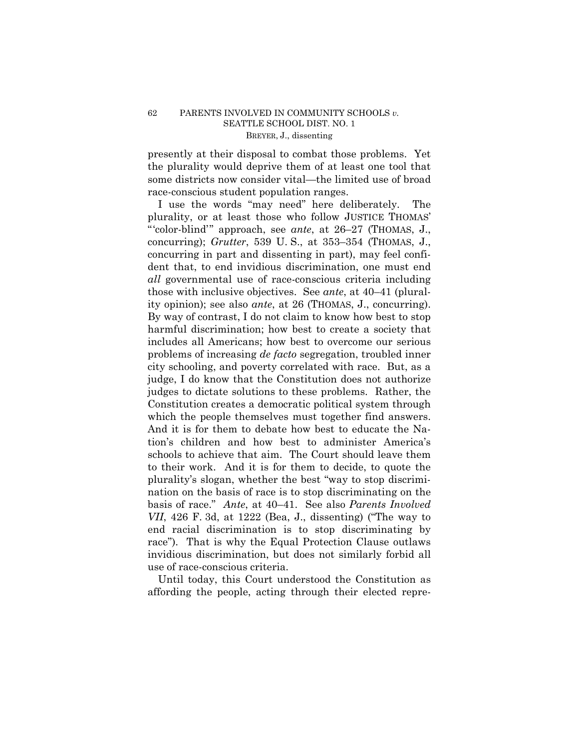presently at their disposal to combat those problems. Yet the plurality would deprive them of at least one tool that some districts now consider vital—the limited use of broad race-conscious student population ranges.

I use the words "may need" here deliberately. The plurality, or at least those who follow JUSTICE THOMAS' "color-blind" approach, see *ante*, at 26-27 (THOMAS, J., concurring); *Grutter*, 539 U.S., at 353–354 (THOMAS, J., concurring in part and dissenting in part), may feel confident that, to end invidious discrimination, one must end *all* governmental use of race-conscious criteria including those with inclusive objectives. See *ante*, at 40–41 (plurality opinion); see also *ante*, at 26 (THOMAS, J., concurring). By way of contrast, I do not claim to know how best to stop harmful discrimination; how best to create a society that includes all Americans; how best to overcome our serious problems of increasing *de facto* segregation, troubled inner city schooling, and poverty correlated with race. But, as a judge, I do know that the Constitution does not authorize judges to dictate solutions to these problems. Rather, the Constitution creates a democratic political system through which the people themselves must together find answers. And it is for them to debate how best to educate the Nationís children and how best to administer Americaís schools to achieve that aim. The Court should leave them to their work. And it is for them to decide, to quote the plurality's slogan, whether the best "way to stop discrimination on the basis of race is to stop discriminating on the basis of race." *Ante*, at 40–41. See also *Parents Involved VII*, 426 F. 3d, at 1222 (Bea, J., dissenting) ("The way to end racial discrimination is to stop discriminating by race"). That is why the Equal Protection Clause outlaws invidious discrimination, but does not similarly forbid all use of race-conscious criteria.

 Until today, this Court understood the Constitution as affording the people, acting through their elected repre-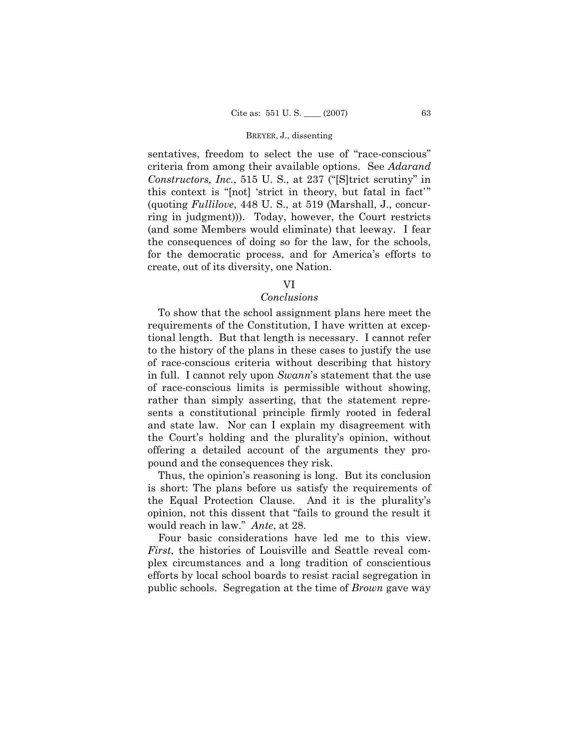sentatives, freedom to select the use of "race-conscious" criteria from among their available options. See *Adarand Constructors, Inc.*, 515 U. S., at 237 ("[S]trict scrutiny" in this context is "[not] 'strict in theory, but fatal in fact'" (quoting *Fullilove*, 448 U. S., at 519 (Marshall, J., concurring in judgment))). Today, however, the Court restricts (and some Members would eliminate) that leeway. I fear the consequences of doing so for the law, for the schools, for the democratic process, and for Americaís efforts to create, out of its diversity, one Nation.

### VI

## *Conclusions*

 To show that the school assignment plans here meet the requirements of the Constitution, I have written at exceptional length. But that length is necessary. I cannot refer to the history of the plans in these cases to justify the use of race-conscious criteria without describing that history in full. I cannot rely upon *Swann*'s statement that the use of race-conscious limits is permissible without showing, rather than simply asserting, that the statement represents a constitutional principle firmly rooted in federal and state law. Nor can I explain my disagreement with the Court's holding and the plurality's opinion, without offering a detailed account of the arguments they propound and the consequences they risk.

Thus, the opinion's reasoning is long. But its conclusion is short: The plans before us satisfy the requirements of the Equal Protection Clause. And it is the pluralityís opinion, not this dissent that "fails to ground the result it would reach in law.î *Ante*, at 28.

 Four basic considerations have led me to this view. *First*, the histories of Louisville and Seattle reveal complex circumstances and a long tradition of conscientious efforts by local school boards to resist racial segregation in public schools. Segregation at the time of *Brown* gave way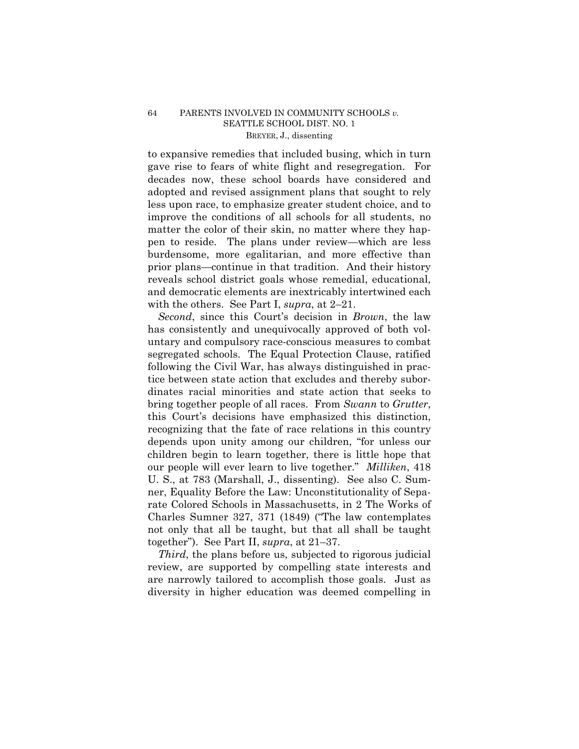to expansive remedies that included busing, which in turn gave rise to fears of white flight and resegregation. For decades now, these school boards have considered and adopted and revised assignment plans that sought to rely less upon race, to emphasize greater student choice, and to improve the conditions of all schools for all students, no matter the color of their skin, no matter where they happen to reside. The plans under review—which are less burdensome, more egalitarian, and more effective than prior plans—continue in that tradition. And their history reveals school district goals whose remedial, educational, and democratic elements are inextricably intertwined each with the others. See Part I,  $\textit{supra}$ , at  $2-21$ .

*Second*, since this Court's decision in *Brown*, the law has consistently and unequivocally approved of both voluntary and compulsory race-conscious measures to combat segregated schools. The Equal Protection Clause, ratified following the Civil War, has always distinguished in practice between state action that excludes and thereby subordinates racial minorities and state action that seeks to bring together people of all races. From *Swann* to *Grutter*, this Courtís decisions have emphasized this distinction, recognizing that the fate of race relations in this country depends upon unity among our children, "for unless our children begin to learn together, there is little hope that our people will ever learn to live together.î *Milliken*, 418 U. S., at 783 (Marshall, J., dissenting). See also C. Sumner, Equality Before the Law: Unconstitutionality of Separate Colored Schools in Massachusetts, in 2 The Works of Charles Sumner  $327, 371$  (1849) ("The law contemplates not only that all be taught, but that all shall be taught together"). See Part II, *supra*, at 21-37.

*Third*, the plans before us, subjected to rigorous judicial review, are supported by compelling state interests and are narrowly tailored to accomplish those goals. Just as diversity in higher education was deemed compelling in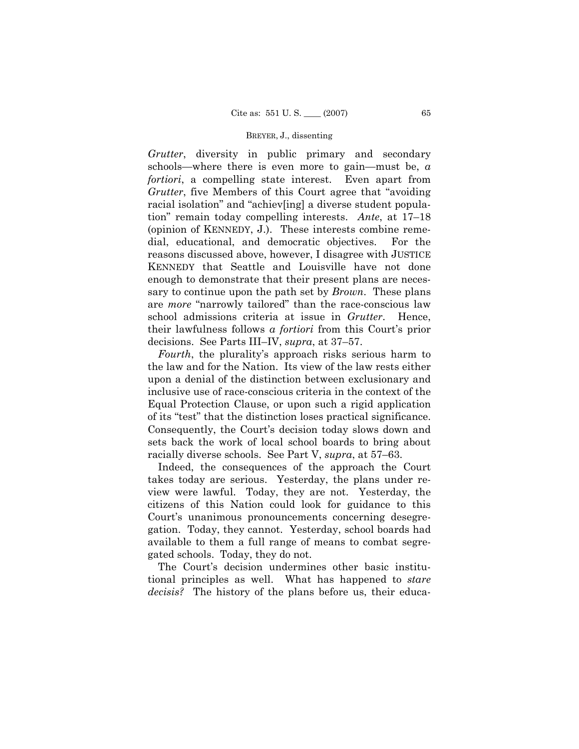*Grutter*, diversity in public primary and secondary schools—where there is even more to gain—must be, *a fortiori*, a compelling state interest. Even apart from *Grutter*, five Members of this Court agree that "avoiding" racial isolation" and "achiev[ing] a diverse student population<sup>"</sup> remain today compelling interests. *Ante*, at 17–18 (opinion of KENNEDY, J.). These interests combine remedial, educational, and democratic objectives. For the reasons discussed above, however, I disagree with JUSTICE KENNEDY that Seattle and Louisville have not done enough to demonstrate that their present plans are necessary to continue upon the path set by *Brown*. These plans are *more* "narrowly tailored" than the race-conscious law school admissions criteria at issue in *Grutter*. Hence, their lawfulness follows *a fortiori* from this Court's prior decisions. See Parts III–IV, *supra*, at 37–57.

*Fourth*, the pluralityís approach risks serious harm to the law and for the Nation. Its view of the law rests either upon a denial of the distinction between exclusionary and inclusive use of race-conscious criteria in the context of the Equal Protection Clause, or upon such a rigid application of its "test" that the distinction loses practical significance. Consequently, the Court's decision today slows down and sets back the work of local school boards to bring about racially diverse schools. See Part V, *supra*, at 57–63.

 Indeed, the consequences of the approach the Court takes today are serious. Yesterday, the plans under review were lawful. Today, they are not. Yesterday, the citizens of this Nation could look for guidance to this Court's unanimous pronouncements concerning desegregation. Today, they cannot. Yesterday, school boards had available to them a full range of means to combat segregated schools. Today, they do not.

The Court's decision undermines other basic institutional principles as well. What has happened to *stare decisis?* The history of the plans before us, their educa-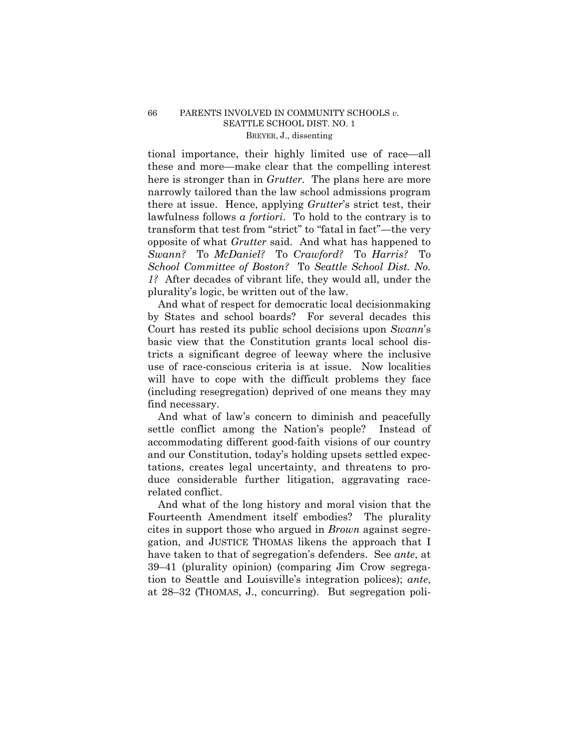tional importance, their highly limited use of race—all these and more—make clear that the compelling interest here is stronger than in *Grutter*. The plans here are more narrowly tailored than the law school admissions program there at issue. Hence, applying *Grutter*ís strict test, their lawfulness follows *a fortiori*. To hold to the contrary is to transform that test from "strict" to "fatal in fact"—the very opposite of what *Grutter* said. And what has happened to *Swann?* To *McDaniel?* To *Crawford?* To *Harris?* To *School Committee of Boston?* To *Seattle School Dist. No. 1?* After decades of vibrant life, they would all, under the pluralityís logic, be written out of the law.

 And what of respect for democratic local decisionmaking by States and school boards? For several decades this Court has rested its public school decisions upon *Swann*ís basic view that the Constitution grants local school districts a significant degree of leeway where the inclusive use of race-conscious criteria is at issue. Now localities will have to cope with the difficult problems they face (including resegregation) deprived of one means they may find necessary.

 And what of lawís concern to diminish and peacefully settle conflict among the Nationís people? Instead of accommodating different good-faith visions of our country and our Constitution, today's holding upsets settled expectations, creates legal uncertainty, and threatens to produce considerable further litigation, aggravating racerelated conflict.

 And what of the long history and moral vision that the Fourteenth Amendment itself embodies? The plurality cites in support those who argued in *Brown* against segregation, and JUSTICE THOMAS likens the approach that I have taken to that of segregation's defenders. See *ante*, at  $39-41$  (plurality opinion) (comparing Jim Crow segregation to Seattle and Louisville's integration polices); *ante*, at 28–32 (THOMAS, J., concurring). But segregation poli-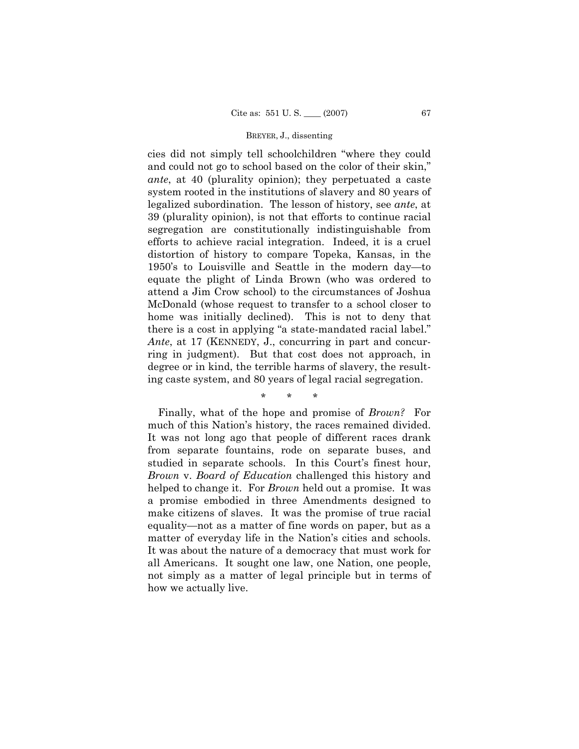cies did not simply tell schoolchildren "where they could and could not go to school based on the color of their skin," *ante*, at 40 (plurality opinion); they perpetuated a caste system rooted in the institutions of slavery and 80 years of legalized subordination. The lesson of history, see *ante*, at 39 (plurality opinion), is not that efforts to continue racial segregation are constitutionally indistinguishable from efforts to achieve racial integration. Indeed, it is a cruel distortion of history to compare Topeka, Kansas, in the 1950's to Louisville and Seattle in the modern day—to equate the plight of Linda Brown (who was ordered to attend a Jim Crow school) to the circumstances of Joshua McDonald (whose request to transfer to a school closer to home was initially declined). This is not to deny that there is a cost in applying "a state-mandated racial label." *Ante*, at 17 (KENNEDY, J., concurring in part and concurring in judgment). But that cost does not approach, in degree or in kind, the terrible harms of slavery, the resulting caste system, and 80 years of legal racial segregation.

\* \* \*

 Finally, what of the hope and promise of *Brown?* For much of this Nation's history, the races remained divided. It was not long ago that people of different races drank from separate fountains, rode on separate buses, and studied in separate schools. In this Court's finest hour, *Brown* v. *Board of Education* challenged this history and helped to change it. For *Brown* held out a promise. It was a promise embodied in three Amendments designed to make citizens of slaves. It was the promise of true racial equality—not as a matter of fine words on paper, but as a matter of everyday life in the Nation's cities and schools. It was about the nature of a democracy that must work for all Americans. It sought one law, one Nation, one people, not simply as a matter of legal principle but in terms of how we actually live.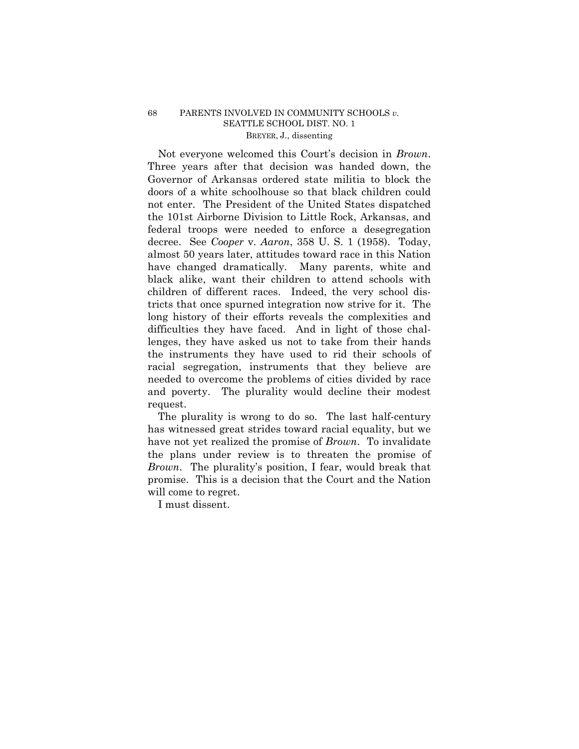Not everyone welcomed this Court's decision in *Brown*. Three years after that decision was handed down, the Governor of Arkansas ordered state militia to block the doors of a white schoolhouse so that black children could not enter. The President of the United States dispatched the 101st Airborne Division to Little Rock, Arkansas, and federal troops were needed to enforce a desegregation decree. See *Cooper* v. *Aaron*, 358 U. S. 1 (1958). Today, almost 50 years later, attitudes toward race in this Nation have changed dramatically. Many parents, white and black alike, want their children to attend schools with children of different races. Indeed, the very school districts that once spurned integration now strive for it. The long history of their efforts reveals the complexities and difficulties they have faced. And in light of those challenges, they have asked us not to take from their hands the instruments they have used to rid their schools of racial segregation, instruments that they believe are needed to overcome the problems of cities divided by race and poverty. The plurality would decline their modest request.

 The plurality is wrong to do so. The last half-century has witnessed great strides toward racial equality, but we have not yet realized the promise of *Brown*. To invalidate the plans under review is to threaten the promise of *Brown.* The plurality's position, I fear, would break that promise. This is a decision that the Court and the Nation will come to regret.

I must dissent.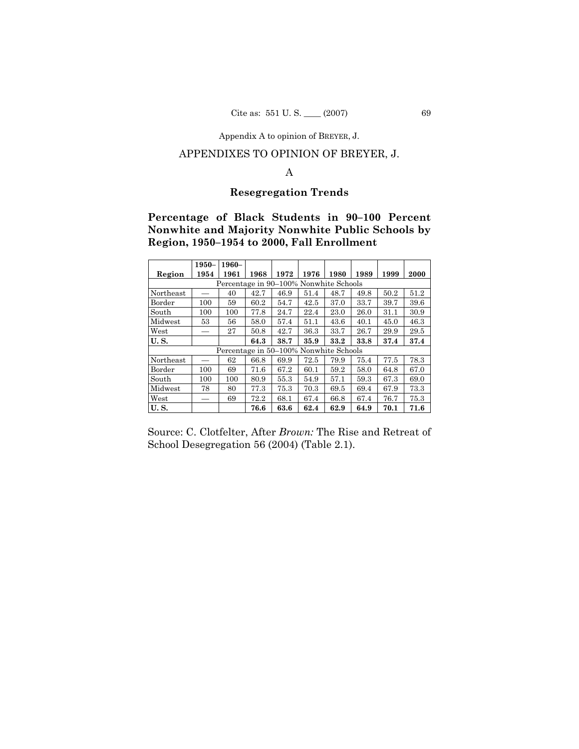Appendix A to opinion of BREYER, J.

# APPENDIXES TO OPINION OF BREYER, J.

## A

## **Resegregation Trends**

# Percentage of Black Students in 90-100 Percent **Nonwhite and Majority Nonwhite Public Schools by**  Region, 1950-1954 to 2000, Fall Enrollment

|                                        | $1950 -$ | 1960- |      |      |      |      |      |      |      |  |  |  |
|----------------------------------------|----------|-------|------|------|------|------|------|------|------|--|--|--|
| Region                                 | 1954     | 1961  | 1968 | 1972 | 1976 | 1980 | 1989 | 1999 | 2000 |  |  |  |
| Percentage in 90–100% Nonwhite Schools |          |       |      |      |      |      |      |      |      |  |  |  |
| Northeast                              |          | 40    | 42.7 | 46.9 | 51.4 | 48.7 | 49.8 | 50.2 | 51.2 |  |  |  |
| $\operatorname{Border}$                | 100      | 59    | 60.2 | 54.7 | 42.5 | 37.0 | 33.7 | 39.7 | 39.6 |  |  |  |
| South                                  | 100      | 100   | 77.8 | 24.7 | 22.4 | 23.0 | 26.0 | 31.1 | 30.9 |  |  |  |
| Midwest                                | 53       | 56    | 58.0 | 57.4 | 51.1 | 43.6 | 40.1 | 45.0 | 46.3 |  |  |  |
| ${\rm West}$                           |          | 27    | 50.8 | 42.7 | 36.3 | 33.7 | 26.7 | 29.9 | 29.5 |  |  |  |
| U.S.                                   |          |       | 64.3 | 38.7 | 35.9 | 33.2 | 33.8 | 37.4 | 37.4 |  |  |  |
| Percentage in 50–100% Nonwhite Schools |          |       |      |      |      |      |      |      |      |  |  |  |
| Northeast                              |          | 62    | 66.8 | 69.9 | 72.5 | 79.9 | 75.4 | 77.5 | 78.3 |  |  |  |
| $\operatorname{Border}$                | 100      | 69    | 71.6 | 67.2 | 60.1 | 59.2 | 58.0 | 64.8 | 67.0 |  |  |  |
| South                                  | 100      | 100   | 80.9 | 55.3 | 54.9 | 57.1 | 59.3 | 67.3 | 69.0 |  |  |  |
| Midwest                                | 78       | 80    | 77.3 | 75.3 | 70.3 | 69.5 | 69.4 | 67.9 | 73.3 |  |  |  |
| ${\rm West}$                           |          | 69    | 72.2 | 68.1 | 67.4 | 66.8 | 67.4 | 76.7 | 75.3 |  |  |  |
| U.S.                                   |          |       | 76.6 | 63.6 | 62.4 | 62.9 | 64.9 | 70.1 | 71.6 |  |  |  |

Source: C. Clotfelter, After *Brown:* The Rise and Retreat of School Desegregation 56 (2004) (Table 2.1).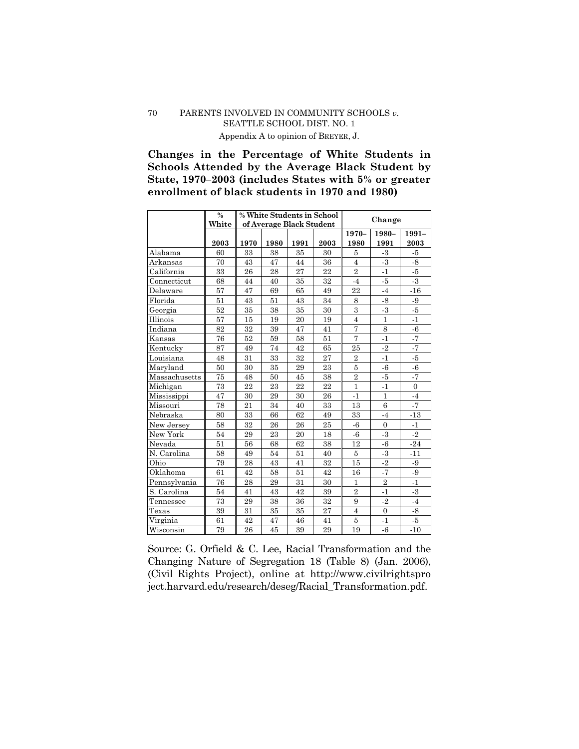## 70 PARENTS INVOLVED IN COMMUNITY SCHOOLS *v.* SEATTLE SCHOOL DIST. NO. 1 Appendix A to opinion of BREYER, J.

**Changes in the Percentage of White Students in Schools Attended by the Average Black Student by**  State, 1970–2003 (includes States with 5% or greater **enrollment of black students in 1970 and 1980)** 

|               | $\frac{0}{0}$<br>White |      |      | % White Students in School<br>of Average Black Student | Change |                |                |                |
|---------------|------------------------|------|------|--------------------------------------------------------|--------|----------------|----------------|----------------|
|               |                        |      |      |                                                        |        | 1970-          | 1980-          | $1991 -$       |
|               | 2003                   | 1970 | 1980 | 1991                                                   | 2003   | 1980           | 1991           | 2003           |
| Alabama       | 60                     | 33   | 38   | 35                                                     | 30     | 5              | $-3$           | $-5$           |
| Arkansas      | 70                     | 43   | 47   | 44                                                     | 36     | $\overline{4}$ | $-3$           | $-8$           |
| California    | 33                     | 26   | 28   | 27                                                     | 22     | $\overline{2}$ | $-1$           | $-5$           |
| Connecticut   | 68                     | 44   | 40   | 35                                                     | 32     | $-4$           | $-5$           | $-3$           |
| Delaware      | 57                     | 47   | 69   | 65                                                     | 49     | 22             | $-4$           | $-16$          |
| Florida       | 51                     | 43   | 51   | 43                                                     | 34     | 8              | $-8$           | $-9$           |
| Georgia       | 52                     | 35   | 38   | 35                                                     | 30     | 3              | $-3$           | $-5$           |
| Illinois      | 57                     | 15   | 19   | 20                                                     | 19     | $\overline{4}$ | $\mathbf{1}$   | $-1$           |
| Indiana       | 82                     | 32   | 39   | 47                                                     | 41     | 7              | 8              | $-6$           |
| Kansas        | 76                     | 52   | 59   | 58                                                     | 51     | $\overline{7}$ | $-1$           | $-7$           |
| Kentucky      | 87                     | 49   | 74   | 42                                                     | 65     | 25             | $-2$           | $-7$           |
| Louisiana     | 48                     | 31   | 33   | 32                                                     | 27     | $\overline{2}$ | $-1$           | $-5$           |
| Maryland      | 50                     | 30   | 35   | 29                                                     | 23     | 5              | $-6$           | $-6$           |
| Massachusetts | 75                     | 48   | 50   | 45                                                     | 38     | $\overline{2}$ | $-5$           | $-7$           |
| Michigan      | 73                     | 22   | 23   | 22                                                     | 22     | $\mathbf{1}$   | $-1$           | $\overline{0}$ |
| Mississippi   | 47                     | 30   | 29   | 30                                                     | 26     | $-1$           | $\mathbf{1}$   | $-4$           |
| Missouri      | 78                     | 21   | 34   | 40                                                     | 33     | 13             | 6              | $-7$           |
| Nebraska      | 80                     | 33   | 66   | 62                                                     | 49     | 33             | $-4$           | $-13$          |
| New Jersey    | 58                     | 32   | 26   | 26                                                     | 25     | $-6$           | $\Omega$       | $-1$           |
| New York      | 54                     | 29   | 23   | 20                                                     | 18     | $-6$           | $-3$           | $-2$           |
| Nevada        | 51                     | 56   | 68   | 62                                                     | 38     | 12             | $-6$           | $-24$          |
| N. Carolina   | 58                     | 49   | 54   | 51                                                     | 40     | 5              | $-3$           | $-11$          |
| Ohio          | 79                     | 28   | 43   | 41                                                     | 32     | 15             | $-2$           | $-9$           |
| Oklahoma      | 61                     | 42   | 58   | 51                                                     | 42     | 16             | $-7$           | -9             |
| Pennsylvania  | 76                     | 28   | 29   | 31                                                     | 30     | $\mathbf{1}$   | $\overline{2}$ | $-1$           |
| S. Carolina   | 54                     | 41   | 43   | 42                                                     | 39     | $\overline{2}$ | $-1$           | -3             |
| Tennessee     | 73                     | 29   | 38   | 36                                                     | 32     | 9              | $-2$           | $-4$           |
| Texas         | 39                     | 31   | 35   | 35                                                     | 27     | $\overline{4}$ | $\overline{0}$ | $-8$           |
| Virginia      | 61                     | 42   | 47   | 46                                                     | 41     | 5              | $-1$           | $-5$           |
| Wisconsin     | 79                     | 26   | 45   | 39                                                     | 29     | 19             | $-6$           | $-10$          |

Source: G. Orfield & C. Lee, Racial Transformation and the Changing Nature of Segregation 18 (Table 8) (Jan. 2006), (Civil Rights Project), online at http://www.civilrightspro ject.harvard.edu/research/deseg/Racial\_Transformation.pdf.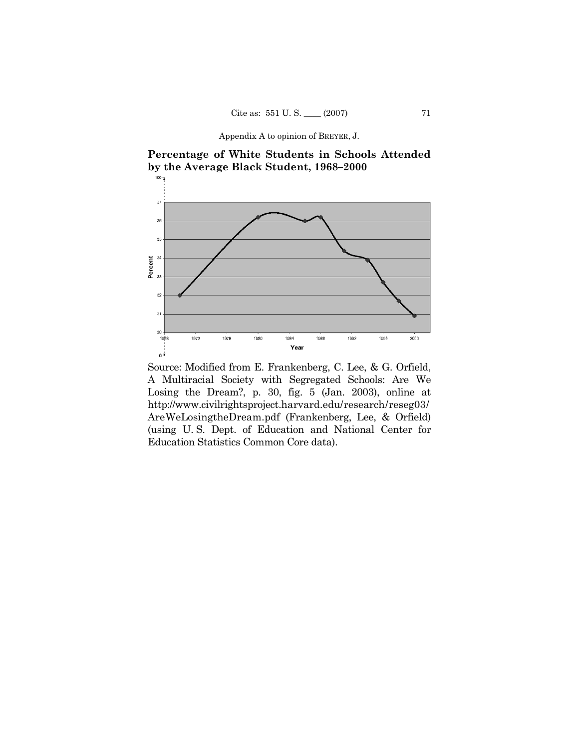**Percentage of White Students in Schools Attended**  by the Average Black Student, 1968-2000



Source: Modified from E. Frankenberg, C. Lee, & G. Orfield, A Multiracial Society with Segregated Schools: Are We Losing the Dream?, p. 30, fig. 5 (Jan. 2003), online at http://www.civilrightsproject.harvard.edu/research/reseg03/ AreWeLosingtheDream.pdf (Frankenberg, Lee, & Orfield) (using U. S. Dept. of Education and National Center for Education Statistics Common Core data).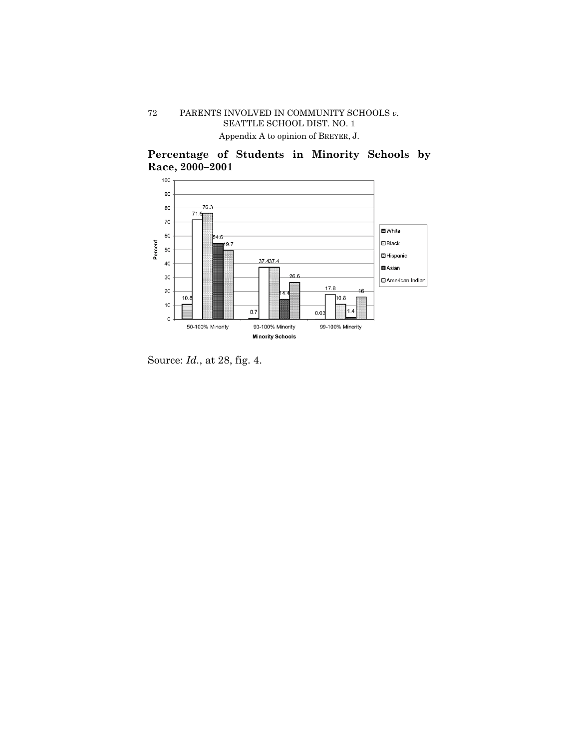## 72 PARENTS INVOLVED IN COMMUNITY SCHOOLS *v.* SEATTLE SCHOOL DIST. NO. 1 Appendix A to opinion of BREYER, J.

**Percentage of Students in Minority Schools by Race, 2000-2001** 



Source: *Id.*, at 28, fig. 4.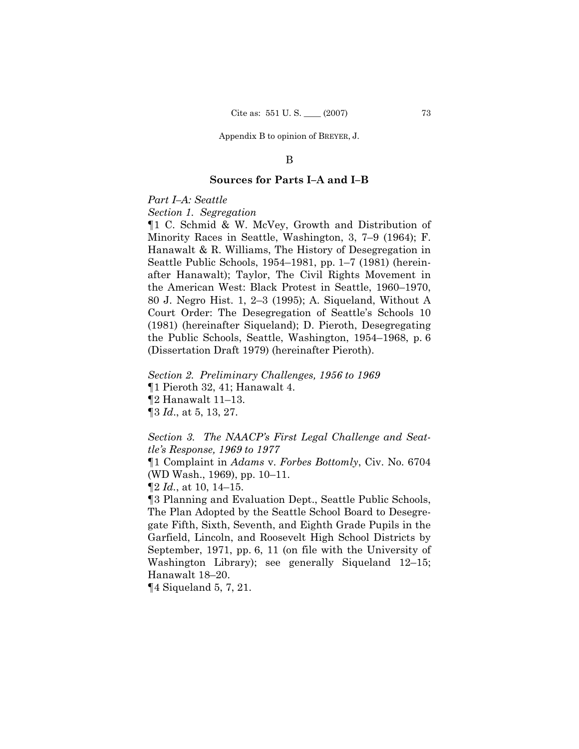Appendix B to opinion of BREYER, J.

### B

#### **Sources for Parts I-A and I-B**

# *Part I-A: Seattle Section 1. Segregation*

¶1 C. Schmid & W. McVey, Growth and Distribution of Minority Races in Seattle, Washington, 3,  $7-9$  (1964); F. Hanawalt & R. Williams, The History of Desegregation in Seattle Public Schools, 1954–1981, pp. 1–7 (1981) (hereinafter Hanawalt); Taylor, The Civil Rights Movement in the American West: Black Protest in Seattle, 1960–1970, 80 J. Negro Hist. 1, 2–3 (1995); A. Siqueland, Without A Court Order: The Desegregation of Seattle's Schools 10 (1981) (hereinafter Siqueland); D. Pieroth, Desegregating the Public Schools, Seattle, Washington,  $1954-1968$ , p. 6 (Dissertation Draft 1979) (hereinafter Pieroth).

*Section 2. Preliminary Challenges, 1956 to 1969*

¶1 Pieroth 32, 41; Hanawalt 4.

 $\P$ 2 Hanawalt 11–13.

¶3 *Id*., at 5, 13, 27.

*Section 3. The NAACPís First Legal Challenge and Seattleís Response, 1969 to 1977*

¶1 Complaint in *Adams* v. *Forbes Bottomly*, Civ. No. 6704  $(WD$  Wash., 1969), pp. 10–11.

 $\P 2 Id., at 10, 14–15.$ 

¶3 Planning and Evaluation Dept., Seattle Public Schools, The Plan Adopted by the Seattle School Board to Desegregate Fifth, Sixth, Seventh, and Eighth Grade Pupils in the Garfield, Lincoln, and Roosevelt High School Districts by September, 1971, pp. 6, 11 (on file with the University of Washington Library); see generally Siqueland  $12-15$ ; Hanawalt 18–20.

¶4 Siqueland 5, 7, 21.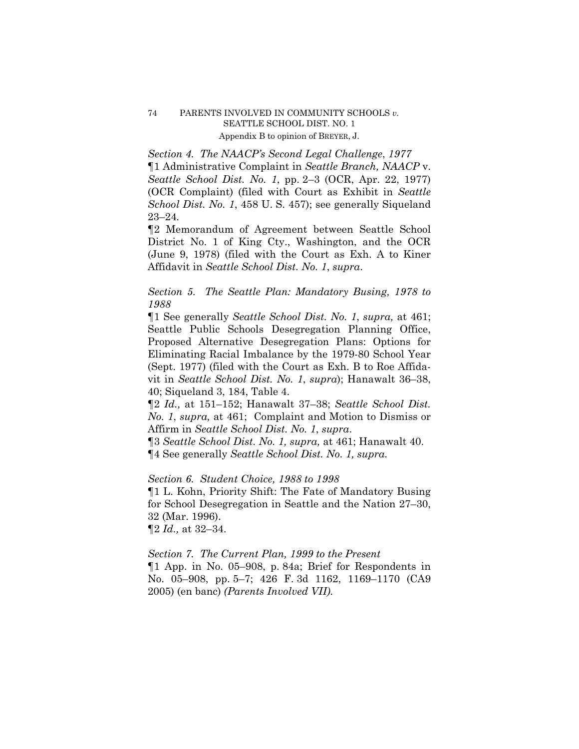## 74 PARENTS INVOLVED IN COMMUNITY SCHOOLS *v.* SEATTLE SCHOOL DIST. NO. 1 Appendix B to opinion of BREYER, J.

*Section 4. The NAACPís Second Legal Challenge*, *1977* ¶1 Administrative Complaint in *Seattle Branch, NAACP* v. *Seattle School Dist. No. 1, pp. 2–3 (OCR, Apr. 22, 1977)* (OCR Complaint) (filed with Court as Exhibit in *Seattle School Dist. No. 1*, 458 U. S. 457); see generally Siqueland 23–24.

¶2 Memorandum of Agreement between Seattle School District No. 1 of King Cty., Washington, and the OCR (June 9, 1978) (filed with the Court as Exh. A to Kiner Affidavit in *Seattle School Dist. No. 1*, *supra*.

# *Section 5. The Seattle Plan: Mandatory Busing, 1978 to 1988*

¶1 See generally *Seattle School Dist. No. 1*, *supra,* at 461; Seattle Public Schools Desegregation Planning Office, Proposed Alternative Desegregation Plans: Options for Eliminating Racial Imbalance by the 1979-80 School Year (Sept. 1977) (filed with the Court as Exh. B to Roe Affidavit in *Seattle School Dist. No. 1, supra*); Hanawalt 36–38, 40; Siqueland 3, 184, Table 4.

**[2** *Id.***, at 151–152; Hanawalt 37–38;** *Seattle School Dist. No. 1*, *supra,* at 461; Complaint and Motion to Dismiss or Affirm in *Seattle School Dist. No. 1*, *supra*.

¶3 *Seattle School Dist. No. 1, supra,* at 461; Hanawalt 40. ¶4 See generally *Seattle School Dist. No. 1, supra.*

## *Section 6. Student Choice, 1988 to 1998*

¶1 L. Kohn, Priority Shift: The Fate of Mandatory Busing for School Desegregation in Seattle and the Nation  $27-30$ , 32 (Mar. 1996).

 $\P$ 2 *Id.*, at 32–34.

# *Section 7. The Current Plan, 1999 to the Present*

 $\P$ 1 App. in No. 05–908, p. 84a; Brief for Respondents in No. 05–908, pp. 5–7; 426 F. 3d 1162, 1169–1170 (CA9 2005) (en banc) *(Parents Involved VII).*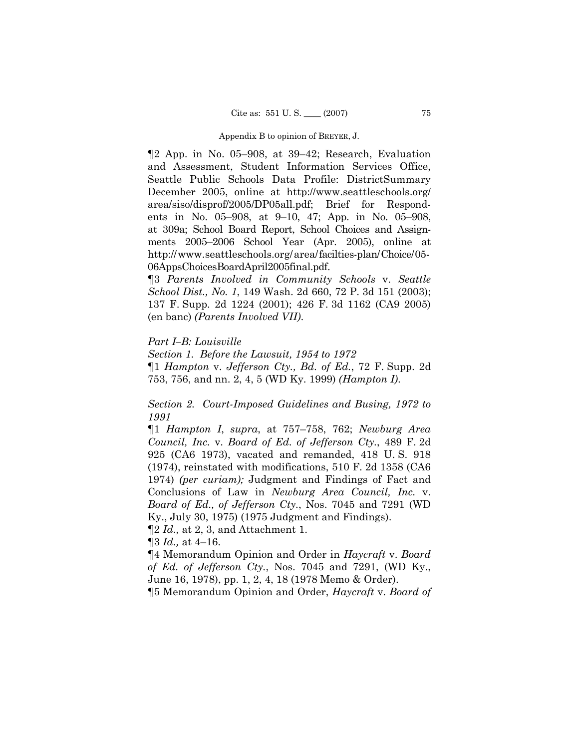#### Appendix B to opinion of BREYER, J.

 $\P$ 2 App. in No. 05–908, at 39–42; Research, Evaluation and Assessment, Student Information Services Office, Seattle Public Schools Data Profile: DistrictSummary December 2005, online at http://www.seattleschools.org/ area/siso/disprof/2005/DP05all.pdf; Brief for Respondents in No. 05–908, at 9–10, 47; App. in No. 05–908, at 309a; School Board Report, School Choices and Assignments  $2005-2006$  School Year (Apr. 2005), online at http://www.seattleschools.org/area/facilties-plan/Choice/05-06AppsChoicesBoardApril2005final.pdf.

¶3 *Parents Involved in Community Schools* v. *Seattle School Dist., No. 1*, 149 Wash. 2d 660, 72 P. 3d 151 (2003); 137 F. Supp. 2d 1224 (2001); 426 F. 3d 1162 (CA9 2005) (en banc) *(Parents Involved VII)*.

### *Part I-B: Louisville*

*Section 1. Before the Lawsuit, 1954 to 1972*  ¶1 *Hampton* v. *Jefferson Cty., Bd. of Ed.*, 72 F. Supp. 2d 753, 756, and nn. 2, 4, 5 (WD Ky. 1999) *(Hampton I)*.

*Section 2. Court-Imposed Guidelines and Busing, 1972 to 1991* 

**[1** *Hampton I, supra, at 757–758, 762; Newburg Area Council, Inc.* v. *Board of Ed. of Jefferson Cty.*, 489 F. 2d 925 (CA6 1973), vacated and remanded, 418 U. S. 918 (1974), reinstated with modifications, 510 F. 2d 1358 (CA6 1974) *(per curiam);* Judgment and Findings of Fact and Conclusions of Law in *Newburg Area Council, Inc.* v. *Board of Ed., of Jefferson Cty.*, Nos. 7045 and 7291 (WD Ky., July 30, 1975) (1975 Judgment and Findings).

¶2 *Id.,* at 2, 3, and Attachment 1.

 $\P 3 Id.,$  at 4–16.

¶4 Memorandum Opinion and Order in *Haycraft* v. *Board of Ed. of Jefferson Cty.*, Nos. 7045 and 7291, (WD Ky., June 16, 1978), pp. 1, 2, 4, 18 (1978 Memo & Order).

¶5 Memorandum Opinion and Order, *Haycraft* v. *Board of*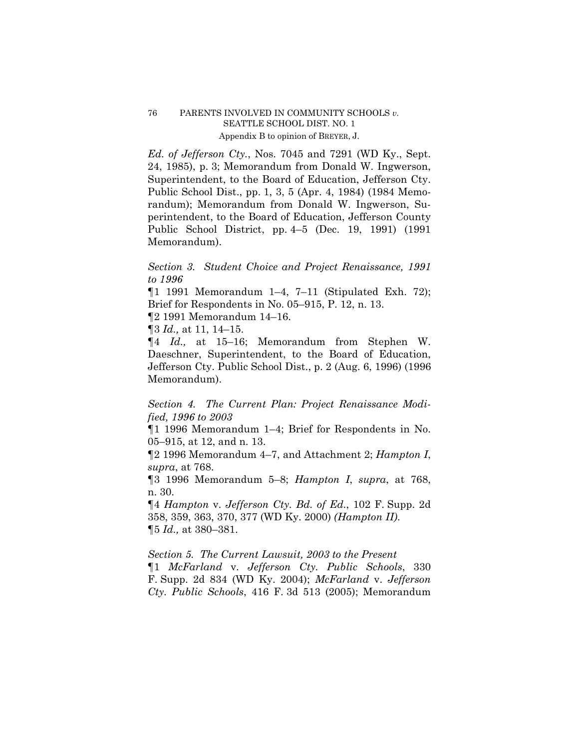## 76 PARENTS INVOLVED IN COMMUNITY SCHOOLS *v.* SEATTLE SCHOOL DIST. NO. 1 Appendix B to opinion of BREYER, J.

*Ed. of Jefferson Cty.*, Nos. 7045 and 7291 (WD Ky., Sept. 24, 1985), p. 3; Memorandum from Donald W. Ingwerson, Superintendent, to the Board of Education, Jefferson Cty. Public School Dist., pp. 1, 3, 5 (Apr. 4, 1984) (1984 Memorandum); Memorandum from Donald W. Ingwerson, Superintendent, to the Board of Education, Jefferson County Public School District, pp. 4–5 (Dec. 19, 1991) (1991) Memorandum).

*Section 3. Student Choice and Project Renaissance, 1991 to 1996* 

 $\P1$  1991 Memorandum 1–4, 7–11 (Stipulated Exh. 72); Brief for Respondents in No.  $05-915$ , P. 12, n. 13.

 $\P$ 2 1991 Memorandum 14–16.

 $\P 3$  *Id.*, at 11, 14–15.

**[4 Id., at 15–16; Memorandum from Stephen W.** Daeschner, Superintendent, to the Board of Education, Jefferson Cty. Public School Dist., p. 2 (Aug. 6, 1996) (1996 Memorandum).

*Section 4. The Current Plan: Project Renaissance Modified, 1996 to 2003* 

 $\P$ 1 1996 Memorandum 1–4; Brief for Respondents in No. 05–915, at 12, and n. 13.

¶2 1996 Memorandum 4ñ7, and Attachment 2; *Hampton I*, *supra*, at 768.

 $\P$ 3 1996 Memorandum 5–8; *Hampton I*, *supra*, at 768, n. 30.

¶4 *Hampton* v. *Jefferson Cty. Bd. of Ed.*, 102 F. Supp. 2d 358, 359, 363, 370, 377 (WD Ky. 2000) *(Hampton II)*.  $\P5$  *Id.*, at 380–381.

*Section 5. The Current Lawsuit, 2003 to the Present*  ¶1 *McFarland* v. *Jefferson Cty. Public Schools*, 330 F. Supp. 2d 834 (WD Ky. 2004); *McFarland* v. *Jefferson Cty. Public Schools*, 416 F. 3d 513 (2005); Memorandum